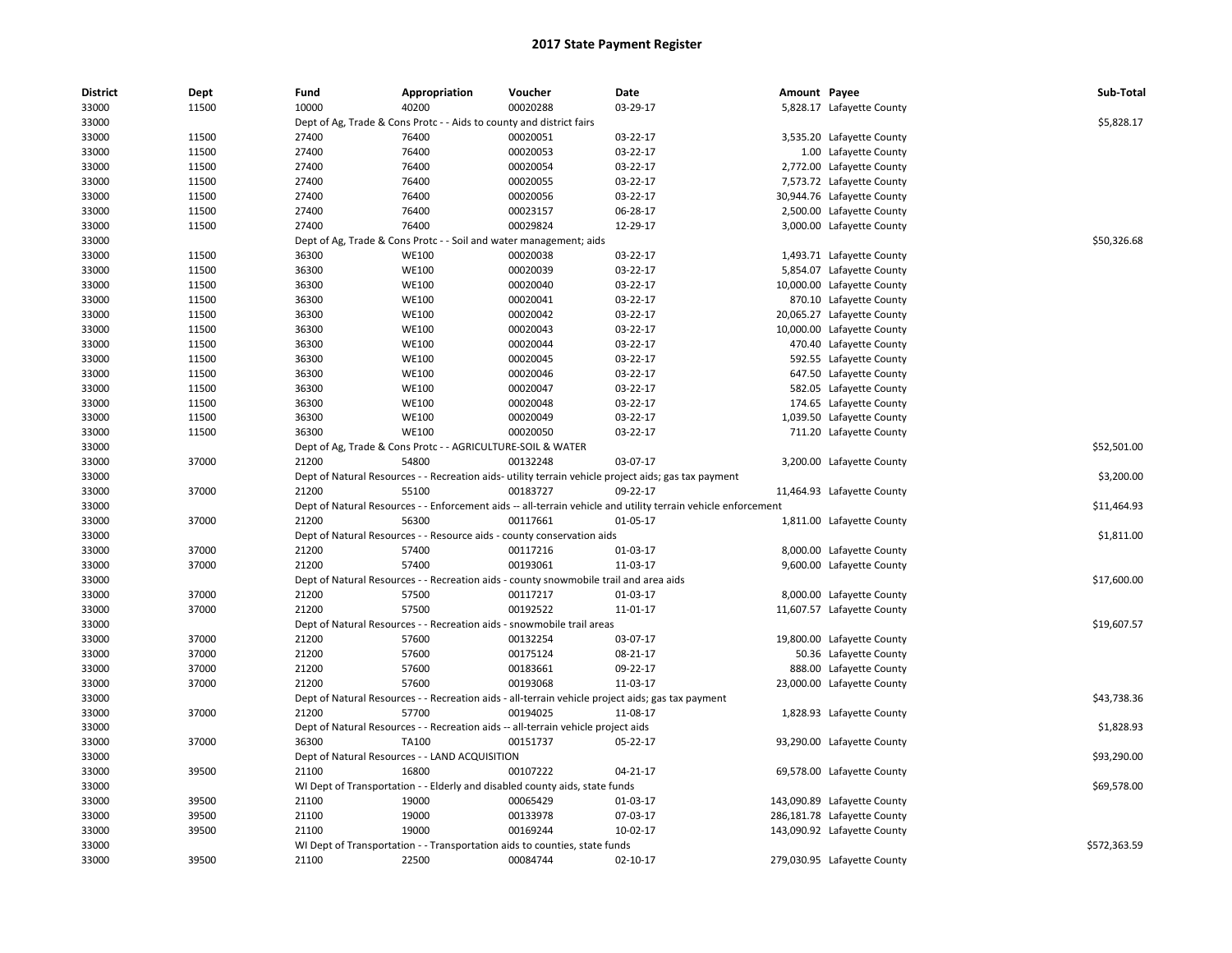| <b>District</b> | Dept  | Fund  | Appropriation                                                        | Voucher                                                                               | Date                                                                                                          | Amount Payee |                             | Sub-Total    |
|-----------------|-------|-------|----------------------------------------------------------------------|---------------------------------------------------------------------------------------|---------------------------------------------------------------------------------------------------------------|--------------|-----------------------------|--------------|
| 33000           | 11500 | 10000 | 40200                                                                | 00020288                                                                              | 03-29-17                                                                                                      |              | 5,828.17 Lafayette County   |              |
| 33000           |       |       | Dept of Ag, Trade & Cons Protc - - Aids to county and district fairs |                                                                                       |                                                                                                               |              |                             | \$5,828.17   |
| 33000           | 11500 | 27400 | 76400                                                                | 00020051                                                                              | 03-22-17                                                                                                      |              | 3,535.20 Lafayette County   |              |
| 33000           | 11500 | 27400 | 76400                                                                | 00020053                                                                              | 03-22-17                                                                                                      |              | 1.00 Lafayette County       |              |
| 33000           | 11500 | 27400 | 76400                                                                | 00020054                                                                              | 03-22-17                                                                                                      |              | 2,772.00 Lafayette County   |              |
| 33000           | 11500 | 27400 | 76400                                                                | 00020055                                                                              | 03-22-17                                                                                                      |              | 7,573.72 Lafayette County   |              |
| 33000           | 11500 | 27400 | 76400                                                                | 00020056                                                                              | 03-22-17                                                                                                      |              | 30,944.76 Lafayette County  |              |
| 33000           | 11500 | 27400 | 76400                                                                | 00023157                                                                              | 06-28-17                                                                                                      |              | 2,500.00 Lafayette County   |              |
| 33000           | 11500 | 27400 | 76400                                                                | 00029824                                                                              | 12-29-17                                                                                                      |              | 3,000.00 Lafayette County   |              |
| 33000           |       |       | Dept of Ag, Trade & Cons Protc - - Soil and water management; aids   |                                                                                       |                                                                                                               |              |                             | \$50,326.68  |
| 33000           | 11500 | 36300 | <b>WE100</b>                                                         | 00020038                                                                              | 03-22-17                                                                                                      |              | 1,493.71 Lafayette County   |              |
| 33000           | 11500 | 36300 | <b>WE100</b>                                                         | 00020039                                                                              | 03-22-17                                                                                                      |              | 5,854.07 Lafayette County   |              |
| 33000           | 11500 | 36300 | <b>WE100</b>                                                         | 00020040                                                                              | 03-22-17                                                                                                      |              | 10,000.00 Lafayette County  |              |
| 33000           | 11500 | 36300 | <b>WE100</b>                                                         | 00020041                                                                              | 03-22-17                                                                                                      |              | 870.10 Lafayette County     |              |
| 33000           | 11500 | 36300 | <b>WE100</b>                                                         | 00020042                                                                              | 03-22-17                                                                                                      |              | 20,065.27 Lafayette County  |              |
| 33000           | 11500 | 36300 | <b>WE100</b>                                                         | 00020043                                                                              | 03-22-17                                                                                                      |              | 10,000.00 Lafayette County  |              |
| 33000           | 11500 | 36300 | <b>WE100</b>                                                         | 00020044                                                                              | 03-22-17                                                                                                      |              | 470.40 Lafayette County     |              |
| 33000           | 11500 | 36300 | <b>WE100</b>                                                         | 00020045                                                                              | 03-22-17                                                                                                      |              | 592.55 Lafayette County     |              |
| 33000           | 11500 | 36300 | <b>WE100</b>                                                         | 00020046                                                                              | 03-22-17                                                                                                      |              | 647.50 Lafayette County     |              |
| 33000           | 11500 | 36300 | <b>WE100</b>                                                         | 00020047                                                                              | 03-22-17                                                                                                      |              | 582.05 Lafayette County     |              |
| 33000           | 11500 | 36300 | <b>WE100</b>                                                         | 00020048                                                                              | 03-22-17                                                                                                      |              | 174.65 Lafayette County     |              |
| 33000           | 11500 | 36300 | <b>WE100</b>                                                         | 00020049                                                                              | 03-22-17                                                                                                      |              | 1,039.50 Lafayette County   |              |
| 33000           | 11500 | 36300 | <b>WE100</b>                                                         | 00020050                                                                              | 03-22-17                                                                                                      |              | 711.20 Lafayette County     |              |
| 33000           |       |       | Dept of Ag, Trade & Cons Protc - - AGRICULTURE-SOIL & WATER          |                                                                                       |                                                                                                               |              |                             | \$52,501.00  |
| 33000           | 37000 | 21200 | 54800                                                                | 00132248                                                                              | 03-07-17                                                                                                      |              | 3,200.00 Lafayette County   |              |
| 33000           |       |       |                                                                      |                                                                                       | Dept of Natural Resources - - Recreation aids- utility terrain vehicle project aids; gas tax payment          |              |                             | \$3,200.00   |
| 33000           | 37000 | 21200 | 55100                                                                | 00183727                                                                              | 09-22-17                                                                                                      |              |                             |              |
| 33000           |       |       |                                                                      |                                                                                       |                                                                                                               |              | 11,464.93 Lafayette County  | \$11,464.93  |
|                 |       | 21200 |                                                                      |                                                                                       | Dept of Natural Resources - - Enforcement aids -- all-terrain vehicle and utility terrain vehicle enforcement |              |                             |              |
| 33000           | 37000 |       | 56300                                                                | 00117661                                                                              | 01-05-17                                                                                                      |              | 1,811.00 Lafayette County   |              |
| 33000           |       |       |                                                                      | Dept of Natural Resources - - Resource aids - county conservation aids                |                                                                                                               |              |                             | \$1,811.00   |
| 33000           | 37000 | 21200 | 57400                                                                | 00117216                                                                              | 01-03-17                                                                                                      |              | 8,000.00 Lafayette County   |              |
| 33000           | 37000 | 21200 | 57400                                                                | 00193061                                                                              | 11-03-17                                                                                                      |              | 9,600.00 Lafayette County   |              |
| 33000           |       |       |                                                                      | Dept of Natural Resources - - Recreation aids - county snowmobile trail and area aids |                                                                                                               |              |                             | \$17,600.00  |
| 33000           | 37000 | 21200 | 57500                                                                | 00117217                                                                              | 01-03-17                                                                                                      |              | 8,000.00 Lafayette County   |              |
| 33000           | 37000 | 21200 | 57500                                                                | 00192522                                                                              | 11-01-17                                                                                                      |              | 11,607.57 Lafayette County  |              |
| 33000           |       |       |                                                                      | Dept of Natural Resources - - Recreation aids - snowmobile trail areas                |                                                                                                               |              |                             | \$19,607.57  |
| 33000           | 37000 | 21200 | 57600                                                                | 00132254                                                                              | 03-07-17                                                                                                      |              | 19,800.00 Lafayette County  |              |
| 33000           | 37000 | 21200 | 57600                                                                | 00175124                                                                              | 08-21-17                                                                                                      |              | 50.36 Lafayette County      |              |
| 33000           | 37000 | 21200 | 57600                                                                | 00183661                                                                              | 09-22-17                                                                                                      |              | 888.00 Lafayette County     |              |
| 33000           | 37000 | 21200 | 57600                                                                | 00193068                                                                              | 11-03-17                                                                                                      |              | 23,000.00 Lafayette County  |              |
| 33000           |       |       |                                                                      |                                                                                       | Dept of Natural Resources - - Recreation aids - all-terrain vehicle project aids; gas tax payment             |              |                             | \$43,738.36  |
| 33000           | 37000 | 21200 | 57700                                                                | 00194025                                                                              | 11-08-17                                                                                                      |              | 1,828.93 Lafayette County   |              |
| 33000           |       |       |                                                                      | Dept of Natural Resources - - Recreation aids -- all-terrain vehicle project aids     |                                                                                                               |              |                             | \$1,828.93   |
| 33000           | 37000 | 36300 | TA100                                                                | 00151737                                                                              | 05-22-17                                                                                                      |              | 93,290.00 Lafayette County  |              |
| 33000           |       |       | Dept of Natural Resources - - LAND ACQUISITION                       |                                                                                       |                                                                                                               |              |                             | \$93,290.00  |
| 33000           | 39500 | 21100 | 16800                                                                | 00107222                                                                              | $04 - 21 - 17$                                                                                                |              | 69,578.00 Lafayette County  |              |
| 33000           |       |       |                                                                      | WI Dept of Transportation - - Elderly and disabled county aids, state funds           |                                                                                                               |              |                             | \$69,578.00  |
| 33000           | 39500 | 21100 | 19000                                                                | 00065429                                                                              | 01-03-17                                                                                                      |              | 143,090.89 Lafayette County |              |
| 33000           | 39500 | 21100 | 19000                                                                | 00133978                                                                              | 07-03-17                                                                                                      |              | 286,181.78 Lafayette County |              |
| 33000           | 39500 | 21100 | 19000                                                                | 00169244                                                                              | 10-02-17                                                                                                      |              | 143,090.92 Lafayette County |              |
| 33000           |       |       |                                                                      | WI Dept of Transportation - - Transportation aids to counties, state funds            |                                                                                                               |              |                             | \$572,363.59 |
| 33000           | 39500 | 21100 | 22500                                                                | 00084744                                                                              | $02 - 10 - 17$                                                                                                |              | 279,030.95 Lafayette County |              |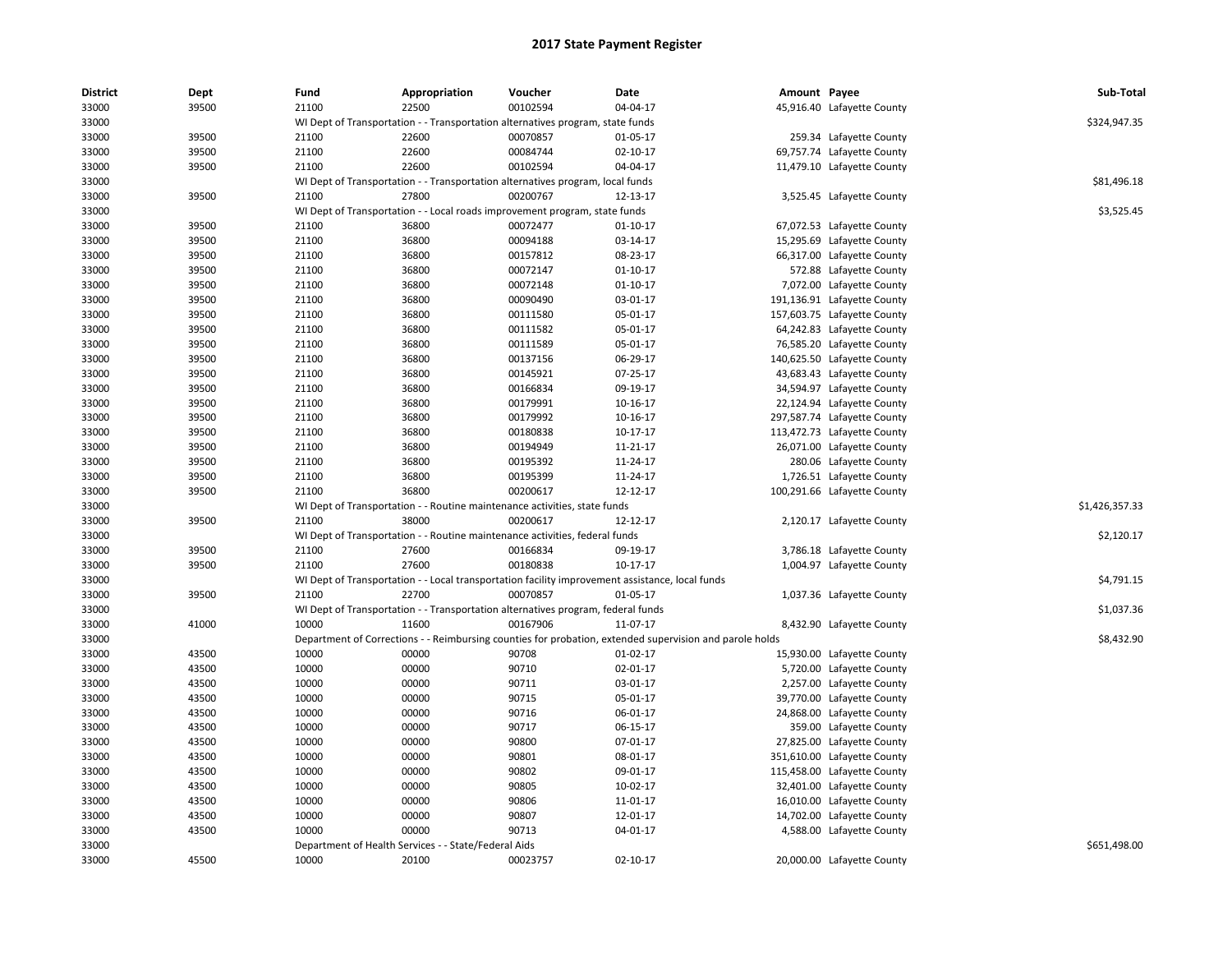| <b>District</b> | Dept  | Fund  | Appropriation                                        | Voucher                                                                               | Date                                                                                                    | Amount Payee |                             | Sub-Total      |
|-----------------|-------|-------|------------------------------------------------------|---------------------------------------------------------------------------------------|---------------------------------------------------------------------------------------------------------|--------------|-----------------------------|----------------|
| 33000           | 39500 | 21100 | 22500                                                | 00102594                                                                              | 04-04-17                                                                                                |              | 45,916.40 Lafayette County  |                |
| 33000           |       |       |                                                      | WI Dept of Transportation - - Transportation alternatives program, state funds        |                                                                                                         |              |                             | \$324,947.35   |
| 33000           | 39500 | 21100 | 22600                                                | 00070857                                                                              | 01-05-17                                                                                                |              | 259.34 Lafayette County     |                |
| 33000           | 39500 | 21100 | 22600                                                | 00084744                                                                              | 02-10-17                                                                                                |              | 69,757.74 Lafayette County  |                |
| 33000           | 39500 | 21100 | 22600                                                | 00102594                                                                              | 04-04-17                                                                                                |              | 11,479.10 Lafayette County  |                |
| 33000           |       |       |                                                      | WI Dept of Transportation - - Transportation alternatives program, local funds        |                                                                                                         |              |                             | \$81.496.18    |
| 33000           | 39500 | 21100 | 27800                                                | 00200767                                                                              | 12-13-17                                                                                                |              | 3,525.45 Lafayette County   |                |
| 33000           |       |       |                                                      | WI Dept of Transportation - - Local roads improvement program, state funds            |                                                                                                         |              |                             | \$3,525.45     |
| 33000           | 39500 | 21100 | 36800                                                | 00072477                                                                              | $01 - 10 - 17$                                                                                          |              | 67,072.53 Lafayette County  |                |
| 33000           | 39500 | 21100 | 36800                                                | 00094188                                                                              | 03-14-17                                                                                                |              | 15,295.69 Lafayette County  |                |
| 33000           | 39500 | 21100 | 36800                                                | 00157812                                                                              | 08-23-17                                                                                                |              | 66,317.00 Lafayette County  |                |
| 33000           | 39500 | 21100 | 36800                                                | 00072147                                                                              | $01 - 10 - 17$                                                                                          |              | 572.88 Lafayette County     |                |
| 33000           | 39500 | 21100 | 36800                                                | 00072148                                                                              | $01 - 10 - 17$                                                                                          |              | 7,072.00 Lafayette County   |                |
| 33000           | 39500 | 21100 | 36800                                                | 00090490                                                                              | 03-01-17                                                                                                |              | 191,136.91 Lafayette County |                |
| 33000           | 39500 | 21100 | 36800                                                | 00111580                                                                              | 05-01-17                                                                                                |              | 157,603.75 Lafayette County |                |
| 33000           | 39500 | 21100 | 36800                                                | 00111582                                                                              | 05-01-17                                                                                                |              | 64,242.83 Lafayette County  |                |
| 33000           | 39500 | 21100 | 36800                                                | 00111589                                                                              | 05-01-17                                                                                                |              | 76,585.20 Lafayette County  |                |
| 33000           | 39500 | 21100 | 36800                                                | 00137156                                                                              | 06-29-17                                                                                                |              | 140,625.50 Lafayette County |                |
| 33000           | 39500 | 21100 | 36800                                                | 00145921                                                                              | 07-25-17                                                                                                |              | 43,683.43 Lafayette County  |                |
| 33000           | 39500 | 21100 | 36800                                                | 00166834                                                                              | 09-19-17                                                                                                |              | 34,594.97 Lafayette County  |                |
| 33000           | 39500 | 21100 | 36800                                                | 00179991                                                                              | 10-16-17                                                                                                |              | 22,124.94 Lafayette County  |                |
| 33000           | 39500 | 21100 | 36800                                                | 00179992                                                                              | 10-16-17                                                                                                |              | 297,587.74 Lafayette County |                |
| 33000           | 39500 | 21100 | 36800                                                | 00180838                                                                              | 10-17-17                                                                                                |              | 113,472.73 Lafayette County |                |
| 33000           | 39500 | 21100 | 36800                                                | 00194949                                                                              | 11-21-17                                                                                                |              | 26,071.00 Lafayette County  |                |
| 33000           | 39500 | 21100 | 36800                                                | 00195392                                                                              | 11-24-17                                                                                                |              | 280.06 Lafayette County     |                |
| 33000           | 39500 | 21100 | 36800                                                | 00195399                                                                              | 11-24-17                                                                                                |              | 1,726.51 Lafayette County   |                |
| 33000           | 39500 | 21100 | 36800                                                | 00200617                                                                              | 12-12-17                                                                                                |              |                             |                |
| 33000           |       |       |                                                      |                                                                                       |                                                                                                         |              | 100,291.66 Lafayette County | \$1,426,357.33 |
| 33000           | 39500 | 21100 | 38000                                                | WI Dept of Transportation - - Routine maintenance activities, state funds<br>00200617 | 12-12-17                                                                                                |              | 2,120.17 Lafayette County   |                |
| 33000           |       |       |                                                      | WI Dept of Transportation - - Routine maintenance activities, federal funds           |                                                                                                         |              |                             | \$2,120.17     |
|                 |       |       |                                                      |                                                                                       | 09-19-17                                                                                                |              |                             |                |
| 33000           | 39500 | 21100 | 27600                                                | 00166834                                                                              |                                                                                                         |              | 3,786.18 Lafayette County   |                |
| 33000           | 39500 | 21100 | 27600                                                | 00180838                                                                              | 10-17-17                                                                                                |              | 1,004.97 Lafayette County   |                |
| 33000           |       |       |                                                      |                                                                                       | WI Dept of Transportation - - Local transportation facility improvement assistance, local funds         |              |                             | \$4,791.15     |
| 33000           | 39500 | 21100 | 22700                                                | 00070857                                                                              | 01-05-17                                                                                                |              | 1,037.36 Lafayette County   |                |
| 33000           |       |       |                                                      | WI Dept of Transportation - - Transportation alternatives program, federal funds      |                                                                                                         |              |                             | \$1,037.36     |
| 33000           | 41000 | 10000 | 11600                                                | 00167906                                                                              | 11-07-17                                                                                                |              | 8,432.90 Lafayette County   |                |
| 33000           |       |       |                                                      |                                                                                       | Department of Corrections - - Reimbursing counties for probation, extended supervision and parole holds |              |                             | \$8,432.90     |
| 33000           | 43500 | 10000 | 00000                                                | 90708                                                                                 | $01-02-17$                                                                                              |              | 15,930.00 Lafayette County  |                |
| 33000           | 43500 | 10000 | 00000                                                | 90710                                                                                 | 02-01-17                                                                                                |              | 5,720.00 Lafayette County   |                |
| 33000           | 43500 | 10000 | 00000                                                | 90711                                                                                 | 03-01-17                                                                                                |              | 2,257.00 Lafayette County   |                |
| 33000           | 43500 | 10000 | 00000                                                | 90715                                                                                 | 05-01-17                                                                                                |              | 39,770.00 Lafayette County  |                |
| 33000           | 43500 | 10000 | 00000                                                | 90716                                                                                 | 06-01-17                                                                                                |              | 24,868.00 Lafayette County  |                |
| 33000           | 43500 | 10000 | 00000                                                | 90717                                                                                 | 06-15-17                                                                                                |              | 359.00 Lafayette County     |                |
| 33000           | 43500 | 10000 | 00000                                                | 90800                                                                                 | 07-01-17                                                                                                |              | 27,825.00 Lafayette County  |                |
| 33000           | 43500 | 10000 | 00000                                                | 90801                                                                                 | 08-01-17                                                                                                |              | 351,610.00 Lafayette County |                |
| 33000           | 43500 | 10000 | 00000                                                | 90802                                                                                 | 09-01-17                                                                                                |              | 115,458.00 Lafayette County |                |
| 33000           | 43500 | 10000 | 00000                                                | 90805                                                                                 | 10-02-17                                                                                                |              | 32,401.00 Lafayette County  |                |
| 33000           | 43500 | 10000 | 00000                                                | 90806                                                                                 | 11-01-17                                                                                                |              | 16,010.00 Lafayette County  |                |
| 33000           | 43500 | 10000 | 00000                                                | 90807                                                                                 | 12-01-17                                                                                                |              | 14,702.00 Lafayette County  |                |
| 33000           | 43500 | 10000 | 00000                                                | 90713                                                                                 | 04-01-17                                                                                                |              | 4,588.00 Lafayette County   |                |
| 33000           |       |       | Department of Health Services - - State/Federal Aids |                                                                                       |                                                                                                         |              |                             | \$651,498.00   |
| 33000           | 45500 | 10000 | 20100                                                | 00023757                                                                              | 02-10-17                                                                                                |              | 20,000.00 Lafayette County  |                |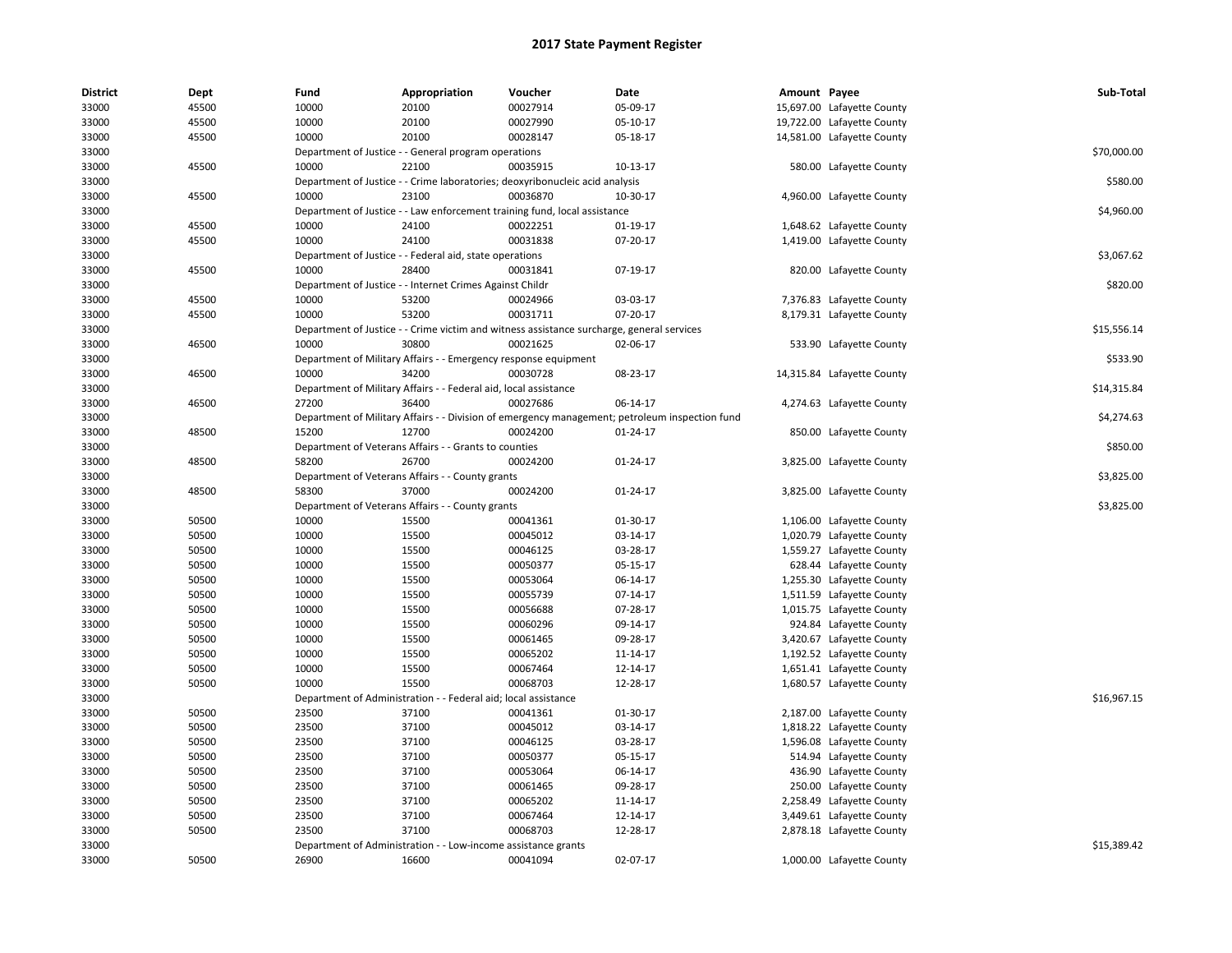| <b>District</b> | Dept  | Fund  | Appropriation                                                    | Voucher                                                                                   | Date                                                                                           | Amount Payee |                            | Sub-Total   |
|-----------------|-------|-------|------------------------------------------------------------------|-------------------------------------------------------------------------------------------|------------------------------------------------------------------------------------------------|--------------|----------------------------|-------------|
| 33000           | 45500 | 10000 | 20100                                                            | 00027914                                                                                  | 05-09-17                                                                                       |              | 15,697.00 Lafayette County |             |
| 33000           | 45500 | 10000 | 20100                                                            | 00027990                                                                                  | 05-10-17                                                                                       |              | 19,722.00 Lafayette County |             |
| 33000           | 45500 | 10000 | 20100                                                            | 00028147                                                                                  | 05-18-17                                                                                       |              | 14,581.00 Lafayette County |             |
| 33000           |       |       | Department of Justice - - General program operations             |                                                                                           |                                                                                                |              |                            | \$70,000.00 |
| 33000           | 45500 | 10000 | 22100                                                            | 00035915                                                                                  | 10-13-17                                                                                       |              | 580.00 Lafayette County    |             |
| 33000           |       |       |                                                                  | Department of Justice - - Crime laboratories; deoxyribonucleic acid analysis              |                                                                                                |              |                            | \$580.00    |
| 33000           | 45500 | 10000 | 23100                                                            | 00036870                                                                                  | 10-30-17                                                                                       |              | 4,960.00 Lafayette County  |             |
| 33000           |       |       |                                                                  | Department of Justice - - Law enforcement training fund, local assistance                 |                                                                                                |              |                            | \$4,960.00  |
| 33000           | 45500 | 10000 | 24100                                                            | 00022251                                                                                  | 01-19-17                                                                                       |              | 1,648.62 Lafayette County  |             |
| 33000           | 45500 | 10000 | 24100                                                            | 00031838                                                                                  | 07-20-17                                                                                       |              | 1,419.00 Lafayette County  |             |
| 33000           |       |       | Department of Justice - - Federal aid, state operations          |                                                                                           |                                                                                                |              |                            | \$3,067.62  |
| 33000           | 45500 | 10000 | 28400                                                            | 00031841                                                                                  | 07-19-17                                                                                       |              | 820.00 Lafayette County    |             |
| 33000           |       |       | Department of Justice - - Internet Crimes Against Childr         |                                                                                           |                                                                                                |              |                            | \$820.00    |
| 33000           | 45500 | 10000 | 53200                                                            | 00024966                                                                                  | 03-03-17                                                                                       |              | 7,376.83 Lafayette County  |             |
| 33000           | 45500 | 10000 | 53200                                                            | 00031711                                                                                  | 07-20-17                                                                                       |              | 8,179.31 Lafayette County  |             |
| 33000           |       |       |                                                                  | Department of Justice - - Crime victim and witness assistance surcharge, general services |                                                                                                |              |                            | \$15,556.14 |
| 33000           | 46500 | 10000 | 30800                                                            | 00021625                                                                                  | 02-06-17                                                                                       |              | 533.90 Lafayette County    |             |
| 33000           |       |       | Department of Military Affairs - - Emergency response equipment  |                                                                                           |                                                                                                |              |                            | \$533.90    |
| 33000           | 46500 | 10000 | 34200                                                            | 00030728                                                                                  | 08-23-17                                                                                       |              | 14,315.84 Lafayette County |             |
| 33000           |       |       | Department of Military Affairs - - Federal aid, local assistance |                                                                                           |                                                                                                |              |                            | \$14,315.84 |
| 33000           | 46500 | 27200 | 36400                                                            | 00027686                                                                                  | 06-14-17                                                                                       |              | 4,274.63 Lafayette County  |             |
| 33000           |       |       |                                                                  |                                                                                           | Department of Military Affairs - - Division of emergency management; petroleum inspection fund |              |                            | \$4,274.63  |
| 33000           | 48500 | 15200 | 12700                                                            | 00024200                                                                                  | 01-24-17                                                                                       |              | 850.00 Lafayette County    |             |
| 33000           |       |       | Department of Veterans Affairs - - Grants to counties            |                                                                                           |                                                                                                |              |                            | \$850.00    |
| 33000           | 48500 | 58200 | 26700                                                            | 00024200                                                                                  | 01-24-17                                                                                       |              | 3,825.00 Lafayette County  |             |
| 33000           |       |       | Department of Veterans Affairs - - County grants                 |                                                                                           |                                                                                                |              |                            | \$3,825.00  |
| 33000           | 48500 | 58300 | 37000                                                            | 00024200                                                                                  | 01-24-17                                                                                       |              | 3,825.00 Lafayette County  |             |
| 33000           |       |       | Department of Veterans Affairs - - County grants                 |                                                                                           |                                                                                                |              |                            | \$3,825.00  |
| 33000           | 50500 | 10000 | 15500                                                            | 00041361                                                                                  | 01-30-17                                                                                       |              | 1,106.00 Lafayette County  |             |
| 33000           | 50500 | 10000 | 15500                                                            | 00045012                                                                                  | 03-14-17                                                                                       |              | 1,020.79 Lafayette County  |             |
| 33000           | 50500 | 10000 | 15500                                                            | 00046125                                                                                  | 03-28-17                                                                                       |              | 1,559.27 Lafayette County  |             |
| 33000           | 50500 | 10000 | 15500                                                            | 00050377                                                                                  | 05-15-17                                                                                       |              | 628.44 Lafayette County    |             |
| 33000           | 50500 | 10000 | 15500                                                            | 00053064                                                                                  | 06-14-17                                                                                       |              | 1,255.30 Lafayette County  |             |
| 33000           | 50500 | 10000 | 15500                                                            | 00055739                                                                                  | 07-14-17                                                                                       |              | 1,511.59 Lafayette County  |             |
| 33000           | 50500 | 10000 | 15500                                                            | 00056688                                                                                  | 07-28-17                                                                                       |              | 1,015.75 Lafayette County  |             |
| 33000           | 50500 | 10000 | 15500                                                            | 00060296                                                                                  | 09-14-17                                                                                       |              | 924.84 Lafayette County    |             |
| 33000           | 50500 | 10000 | 15500                                                            | 00061465                                                                                  | 09-28-17                                                                                       |              | 3,420.67 Lafayette County  |             |
| 33000           | 50500 | 10000 | 15500                                                            | 00065202                                                                                  | 11-14-17                                                                                       |              | 1,192.52 Lafayette County  |             |
| 33000           | 50500 | 10000 | 15500                                                            | 00067464                                                                                  | 12-14-17                                                                                       |              | 1,651.41 Lafayette County  |             |
| 33000           | 50500 | 10000 | 15500                                                            | 00068703                                                                                  | 12-28-17                                                                                       |              | 1,680.57 Lafayette County  |             |
| 33000           |       |       | Department of Administration - - Federal aid; local assistance   |                                                                                           |                                                                                                |              |                            | \$16,967.15 |
| 33000           | 50500 | 23500 | 37100                                                            | 00041361                                                                                  | 01-30-17                                                                                       |              | 2,187.00 Lafayette County  |             |
| 33000           | 50500 | 23500 | 37100                                                            | 00045012                                                                                  | 03-14-17                                                                                       |              | 1,818.22 Lafayette County  |             |
| 33000           | 50500 | 23500 | 37100                                                            | 00046125                                                                                  | 03-28-17                                                                                       |              | 1,596.08 Lafayette County  |             |
| 33000           | 50500 | 23500 | 37100                                                            | 00050377                                                                                  | 05-15-17                                                                                       |              | 514.94 Lafayette County    |             |
| 33000           | 50500 | 23500 | 37100                                                            | 00053064                                                                                  | 06-14-17                                                                                       |              | 436.90 Lafayette County    |             |
| 33000           | 50500 | 23500 | 37100                                                            | 00061465                                                                                  | 09-28-17                                                                                       |              | 250.00 Lafayette County    |             |
| 33000           | 50500 | 23500 | 37100                                                            | 00065202                                                                                  | 11-14-17                                                                                       |              | 2,258.49 Lafayette County  |             |
| 33000           | 50500 | 23500 | 37100                                                            | 00067464                                                                                  | 12-14-17                                                                                       |              | 3,449.61 Lafayette County  |             |
| 33000           | 50500 | 23500 | 37100                                                            | 00068703                                                                                  | 12-28-17                                                                                       |              | 2,878.18 Lafayette County  |             |
| 33000           |       |       | Department of Administration - - Low-income assistance grants    |                                                                                           |                                                                                                |              |                            | \$15,389.42 |
| 33000           | 50500 | 26900 | 16600                                                            | 00041094                                                                                  | 02-07-17                                                                                       |              | 1,000.00 Lafayette County  |             |
|                 |       |       |                                                                  |                                                                                           |                                                                                                |              |                            |             |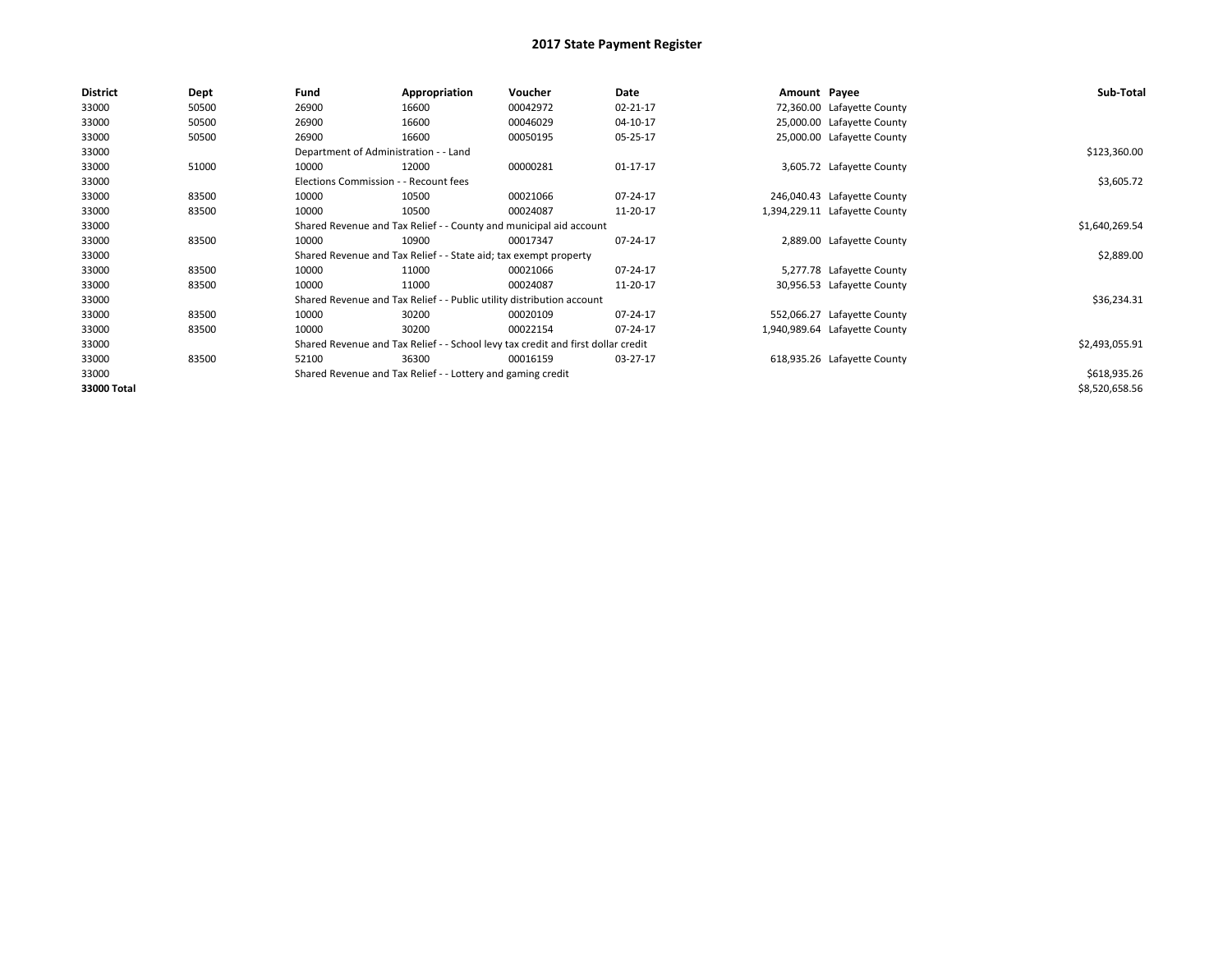| <b>District</b> | Dept  | Fund                                                               | Appropriation                                                                    | Voucher        | Date     | Amount Payee |                               | Sub-Total      |
|-----------------|-------|--------------------------------------------------------------------|----------------------------------------------------------------------------------|----------------|----------|--------------|-------------------------------|----------------|
| 33000           | 50500 | 26900                                                              | 16600                                                                            | 00042972       | 02-21-17 |              | 72,360.00 Lafayette County    |                |
| 33000           | 50500 | 26900                                                              | 16600                                                                            | 00046029       | 04-10-17 |              | 25,000.00 Lafayette County    |                |
| 33000           | 50500 | 26900                                                              | 16600                                                                            | 00050195       | 05-25-17 |              | 25,000.00 Lafayette County    |                |
| 33000           |       | Department of Administration - - Land                              |                                                                                  |                |          |              |                               | \$123,360.00   |
| 33000           | 51000 | 10000                                                              | 12000                                                                            | 00000281       | 01-17-17 |              | 3,605.72 Lafayette County     |                |
| 33000           |       | Elections Commission - - Recount fees                              |                                                                                  |                |          |              |                               | \$3,605.72     |
| 33000           | 83500 | 10000                                                              | 10500                                                                            | 00021066       | 07-24-17 |              | 246,040.43 Lafayette County   |                |
| 33000           | 83500 | 10000                                                              | 10500                                                                            | 00024087       | 11-20-17 |              | 1,394,229.11 Lafayette County |                |
| 33000           |       | Shared Revenue and Tax Relief - - County and municipal aid account |                                                                                  | \$1,640,269.54 |          |              |                               |                |
| 33000           | 83500 | 10000                                                              | 10900                                                                            | 00017347       | 07-24-17 |              | 2,889.00 Lafayette County     |                |
| 33000           |       |                                                                    | Shared Revenue and Tax Relief - - State aid; tax exempt property                 |                |          |              |                               | \$2,889.00     |
| 33000           | 83500 | 10000                                                              | 11000                                                                            | 00021066       | 07-24-17 |              | 5,277.78 Lafayette County     |                |
| 33000           | 83500 | 10000                                                              | 11000                                                                            | 00024087       | 11-20-17 |              | 30,956.53 Lafayette County    |                |
| 33000           |       |                                                                    | Shared Revenue and Tax Relief - - Public utility distribution account            |                |          |              |                               | \$36,234.31    |
| 33000           | 83500 | 10000                                                              | 30200                                                                            | 00020109       | 07-24-17 |              | 552,066.27 Lafayette County   |                |
| 33000           | 83500 | 10000                                                              | 30200                                                                            | 00022154       | 07-24-17 |              | 1,940,989.64 Lafayette County |                |
| 33000           |       |                                                                    | Shared Revenue and Tax Relief - - School levy tax credit and first dollar credit |                |          |              |                               | \$2,493,055.91 |
| 33000           | 83500 | 52100                                                              | 36300                                                                            | 00016159       | 03-27-17 |              | 618,935.26 Lafayette County   |                |
| 33000           |       |                                                                    | Shared Revenue and Tax Relief - - Lottery and gaming credit                      |                |          |              |                               | \$618,935.26   |
| 33000 Total     |       |                                                                    |                                                                                  |                |          |              |                               | \$8,520,658.56 |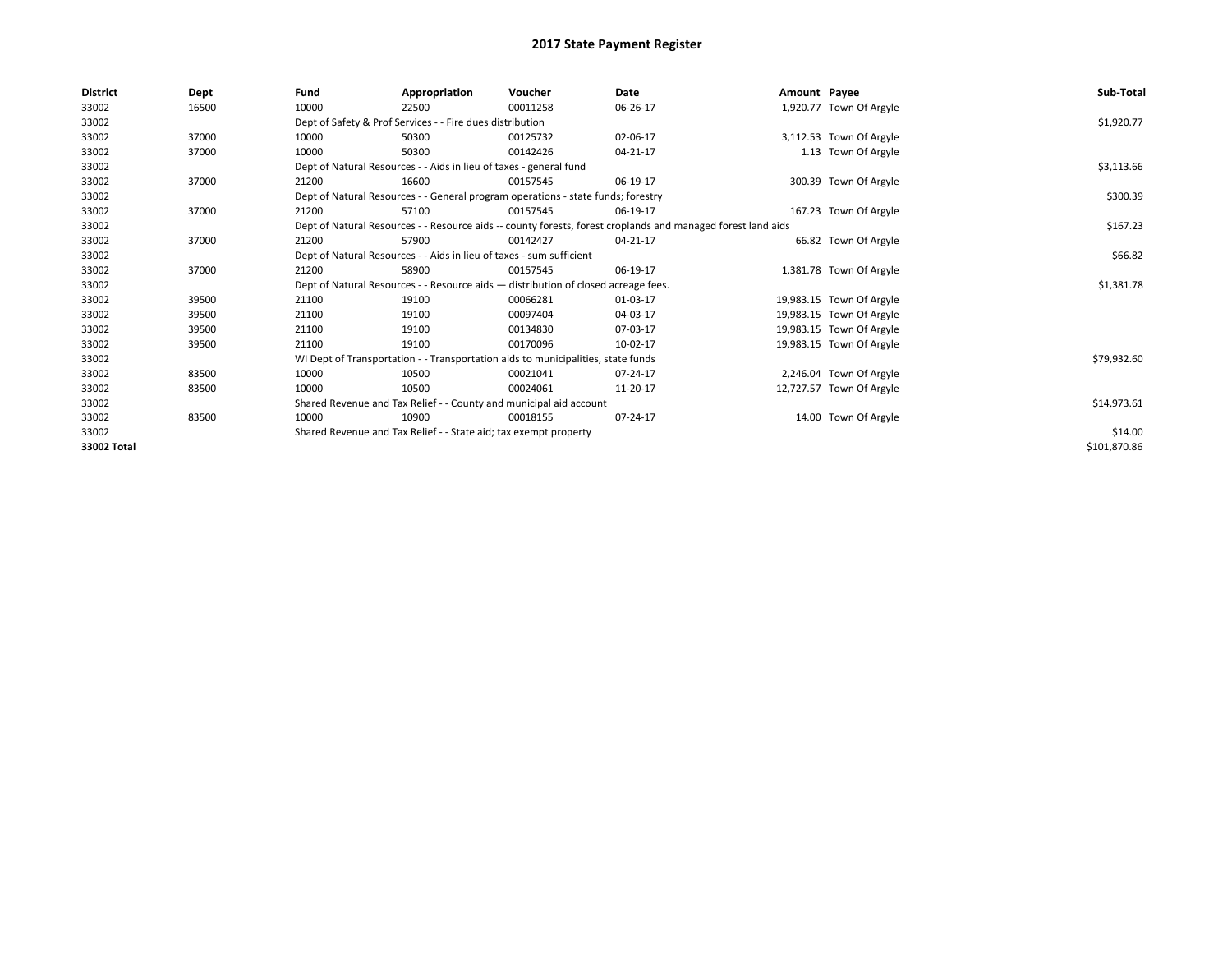| <b>District</b> | Dept  | Fund  | Appropriation                                                                                                | Voucher  | Date     | Amount Payee |                          | Sub-Total    |  |  |
|-----------------|-------|-------|--------------------------------------------------------------------------------------------------------------|----------|----------|--------------|--------------------------|--------------|--|--|
| 33002           | 16500 | 10000 | 22500                                                                                                        | 00011258 | 06-26-17 |              | 1,920.77 Town Of Argyle  |              |  |  |
| 33002           |       |       | Dept of Safety & Prof Services - - Fire dues distribution                                                    |          |          |              |                          | \$1,920.77   |  |  |
| 33002           | 37000 | 10000 | 50300                                                                                                        | 00125732 | 02-06-17 |              | 3,112.53 Town Of Argyle  |              |  |  |
| 33002           | 37000 | 10000 | 50300                                                                                                        | 00142426 | 04-21-17 |              | 1.13 Town Of Argyle      |              |  |  |
| 33002           |       |       | Dept of Natural Resources - - Aids in lieu of taxes - general fund                                           |          |          |              |                          | \$3,113.66   |  |  |
| 33002           | 37000 | 21200 | 16600                                                                                                        | 00157545 | 06-19-17 |              | 300.39 Town Of Argyle    |              |  |  |
| 33002           |       |       | Dept of Natural Resources - - General program operations - state funds; forestry                             |          |          |              |                          | \$300.39     |  |  |
| 33002           | 37000 | 21200 | 57100                                                                                                        | 00157545 | 06-19-17 |              | 167.23 Town Of Argyle    |              |  |  |
| 33002           |       |       | Dept of Natural Resources - - Resource aids -- county forests, forest croplands and managed forest land aids |          |          |              |                          | \$167.23     |  |  |
| 33002           | 37000 | 21200 | 57900                                                                                                        | 00142427 | 04-21-17 |              | 66.82 Town Of Argyle     |              |  |  |
| 33002           |       |       | Dept of Natural Resources - - Aids in lieu of taxes - sum sufficient                                         |          |          |              |                          |              |  |  |
| 33002           | 37000 | 21200 | 58900                                                                                                        | 00157545 | 06-19-17 |              | 1,381.78 Town Of Argyle  |              |  |  |
| 33002           |       |       | Dept of Natural Resources - - Resource aids - distribution of closed acreage fees.                           |          |          |              |                          | \$1,381.78   |  |  |
| 33002           | 39500 | 21100 | 19100                                                                                                        | 00066281 | 01-03-17 |              | 19,983.15 Town Of Argyle |              |  |  |
| 33002           | 39500 | 21100 | 19100                                                                                                        | 00097404 | 04-03-17 |              | 19,983.15 Town Of Argyle |              |  |  |
| 33002           | 39500 | 21100 | 19100                                                                                                        | 00134830 | 07-03-17 |              | 19,983.15 Town Of Argyle |              |  |  |
| 33002           | 39500 | 21100 | 19100                                                                                                        | 00170096 | 10-02-17 |              | 19,983.15 Town Of Argyle |              |  |  |
| 33002           |       |       | WI Dept of Transportation - - Transportation aids to municipalities, state funds                             |          |          |              |                          | \$79,932.60  |  |  |
| 33002           | 83500 | 10000 | 10500                                                                                                        | 00021041 | 07-24-17 |              | 2,246.04 Town Of Argyle  |              |  |  |
| 33002           | 83500 | 10000 | 10500                                                                                                        | 00024061 | 11-20-17 |              | 12,727.57 Town Of Argyle |              |  |  |
| 33002           |       |       | Shared Revenue and Tax Relief - - County and municipal aid account                                           |          |          |              |                          | \$14,973.61  |  |  |
| 33002           | 83500 | 10000 | 10900                                                                                                        | 00018155 | 07-24-17 |              | 14.00 Town Of Argyle     |              |  |  |
| 33002           |       |       | Shared Revenue and Tax Relief - - State aid; tax exempt property                                             |          |          |              |                          | \$14.00      |  |  |
| 33002 Total     |       |       |                                                                                                              |          |          |              |                          | \$101,870.86 |  |  |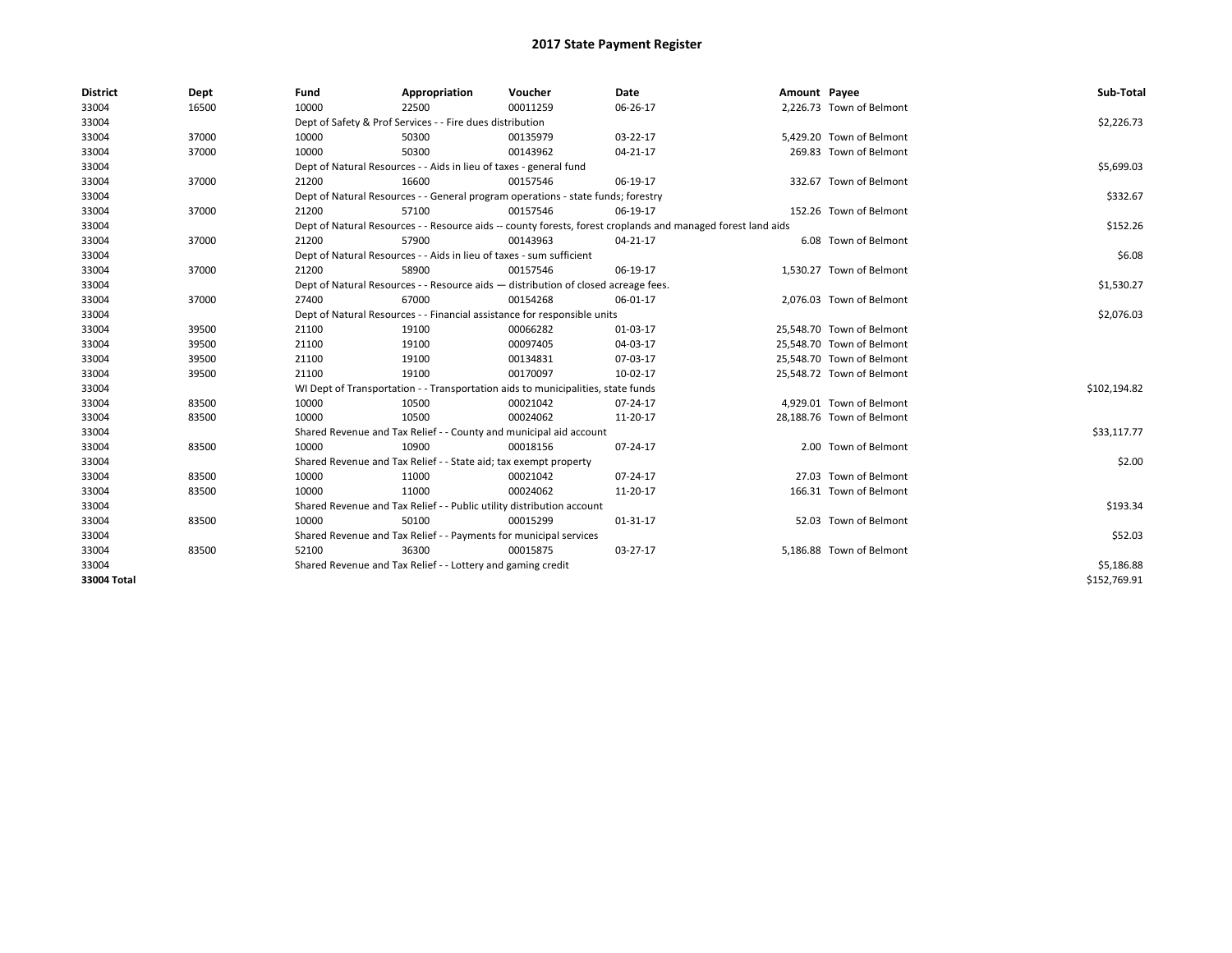| <b>District</b> | Dept  | Fund                                                                     | Appropriation                                                                      | Voucher    | <b>Date</b>                                                                                                  | Amount Payee |                           | Sub-Total    |
|-----------------|-------|--------------------------------------------------------------------------|------------------------------------------------------------------------------------|------------|--------------------------------------------------------------------------------------------------------------|--------------|---------------------------|--------------|
| 33004           | 16500 | 10000                                                                    | 22500                                                                              | 00011259   | 06-26-17                                                                                                     |              | 2,226.73 Town of Belmont  |              |
| 33004           |       |                                                                          | Dept of Safety & Prof Services - - Fire dues distribution                          |            |                                                                                                              |              |                           | \$2,226.73   |
| 33004           | 37000 | 10000                                                                    | 50300                                                                              | 00135979   | 03-22-17                                                                                                     |              | 5,429.20 Town of Belmont  |              |
| 33004           | 37000 | 10000                                                                    | 50300                                                                              | 00143962   | 04-21-17                                                                                                     |              | 269.83 Town of Belmont    |              |
| 33004           |       |                                                                          | Dept of Natural Resources - - Aids in lieu of taxes - general fund                 |            | \$5,699.03                                                                                                   |              |                           |              |
| 33004           | 37000 | 21200                                                                    | 16600                                                                              | 00157546   | 06-19-17                                                                                                     |              | 332.67 Town of Belmont    |              |
| 33004           |       |                                                                          | Dept of Natural Resources - - General program operations - state funds; forestry   |            |                                                                                                              |              |                           | \$332.67     |
| 33004           | 37000 | 21200                                                                    | 57100                                                                              | 00157546   | 06-19-17                                                                                                     |              | 152.26 Town of Belmont    |              |
| 33004           |       |                                                                          |                                                                                    |            | Dept of Natural Resources - - Resource aids -- county forests, forest croplands and managed forest land aids |              |                           | \$152.26     |
| 33004           | 37000 | 21200                                                                    | 57900                                                                              | 00143963   | 04-21-17                                                                                                     |              | 6.08 Town of Belmont      |              |
| 33004           |       |                                                                          | Dept of Natural Resources - - Aids in lieu of taxes - sum sufficient               |            |                                                                                                              |              |                           | \$6.08       |
| 33004           | 37000 | 21200                                                                    | 58900                                                                              | 00157546   | 06-19-17                                                                                                     |              | 1,530.27 Town of Belmont  |              |
| 33004           |       |                                                                          | Dept of Natural Resources - - Resource aids - distribution of closed acreage fees. |            |                                                                                                              |              |                           | \$1,530.27   |
| 33004           | 37000 | 27400                                                                    | 67000                                                                              | 00154268   | 06-01-17                                                                                                     |              | 2,076.03 Town of Belmont  |              |
| 33004           |       | Dept of Natural Resources - - Financial assistance for responsible units |                                                                                    | \$2,076.03 |                                                                                                              |              |                           |              |
| 33004           | 39500 | 21100                                                                    | 19100                                                                              | 00066282   | 01-03-17                                                                                                     |              | 25,548.70 Town of Belmont |              |
| 33004           | 39500 | 21100                                                                    | 19100                                                                              | 00097405   | 04-03-17                                                                                                     |              | 25.548.70 Town of Belmont |              |
| 33004           | 39500 | 21100                                                                    | 19100                                                                              | 00134831   | 07-03-17                                                                                                     |              | 25,548.70 Town of Belmont |              |
| 33004           | 39500 | 21100                                                                    | 19100                                                                              | 00170097   | 10-02-17                                                                                                     |              | 25,548.72 Town of Belmont |              |
| 33004           |       |                                                                          | WI Dept of Transportation - - Transportation aids to municipalities, state funds   |            |                                                                                                              |              |                           | \$102,194.82 |
| 33004           | 83500 | 10000                                                                    | 10500                                                                              | 00021042   | 07-24-17                                                                                                     |              | 4.929.01 Town of Belmont  |              |
| 33004           | 83500 | 10000                                                                    | 10500                                                                              | 00024062   | 11-20-17                                                                                                     |              | 28,188.76 Town of Belmont |              |
| 33004           |       |                                                                          | Shared Revenue and Tax Relief - - County and municipal aid account                 |            |                                                                                                              |              |                           | \$33,117.77  |
| 33004           | 83500 | 10000                                                                    | 10900                                                                              | 00018156   | 07-24-17                                                                                                     |              | 2.00 Town of Belmont      |              |
| 33004           |       |                                                                          | Shared Revenue and Tax Relief - - State aid; tax exempt property                   |            |                                                                                                              |              |                           | \$2.00       |
| 33004           | 83500 | 10000                                                                    | 11000                                                                              | 00021042   | 07-24-17                                                                                                     |              | 27.03 Town of Belmont     |              |
| 33004           | 83500 | 10000                                                                    | 11000                                                                              | 00024062   | 11-20-17                                                                                                     |              | 166.31 Town of Belmont    |              |
| 33004           |       |                                                                          | Shared Revenue and Tax Relief - - Public utility distribution account              |            |                                                                                                              |              |                           | \$193.34     |
| 33004           | 83500 | 10000                                                                    | 50100                                                                              | 00015299   | 01-31-17                                                                                                     |              | 52.03 Town of Belmont     |              |
| 33004           |       |                                                                          | Shared Revenue and Tax Relief - - Payments for municipal services                  |            |                                                                                                              |              |                           | \$52.03      |
| 33004           | 83500 | 52100                                                                    | 36300                                                                              | 00015875   | 03-27-17                                                                                                     |              | 5,186.88 Town of Belmont  |              |
| 33004           |       |                                                                          | Shared Revenue and Tax Relief - - Lottery and gaming credit                        |            |                                                                                                              |              |                           | \$5,186.88   |
| 33004 Total     |       |                                                                          |                                                                                    |            |                                                                                                              |              |                           | \$152,769.91 |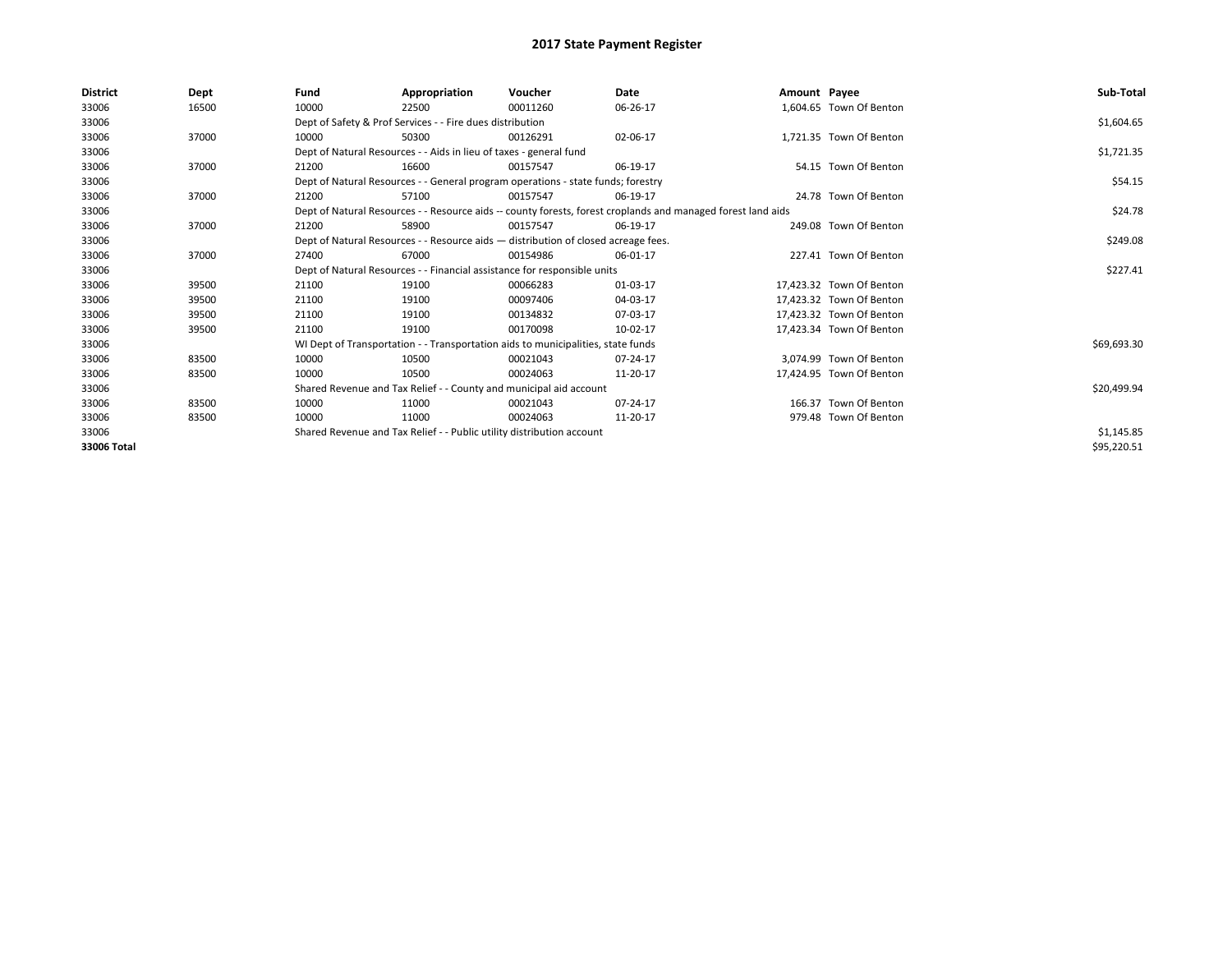| <b>District</b> | Dept  | Fund  | Appropriation                                                                      | Voucher  | Date                                                                                                         | Amount Payee |                          | Sub-Total   |
|-----------------|-------|-------|------------------------------------------------------------------------------------|----------|--------------------------------------------------------------------------------------------------------------|--------------|--------------------------|-------------|
| 33006           | 16500 | 10000 | 22500                                                                              | 00011260 | 06-26-17                                                                                                     |              | 1,604.65 Town Of Benton  |             |
| 33006           |       |       | Dept of Safety & Prof Services - - Fire dues distribution                          |          |                                                                                                              |              |                          | \$1,604.65  |
| 33006           | 37000 | 10000 | 50300                                                                              | 00126291 | 02-06-17                                                                                                     |              | 1,721.35 Town Of Benton  |             |
| 33006           |       |       | Dept of Natural Resources - - Aids in lieu of taxes - general fund                 |          |                                                                                                              |              |                          | \$1,721.35  |
| 33006           | 37000 | 21200 | 16600                                                                              | 00157547 | 06-19-17                                                                                                     |              | 54.15 Town Of Benton     |             |
| 33006           |       |       | Dept of Natural Resources - - General program operations - state funds; forestry   |          |                                                                                                              |              |                          | \$54.15     |
| 33006           | 37000 | 21200 | 57100                                                                              | 00157547 | 06-19-17                                                                                                     |              | 24.78 Town Of Benton     |             |
| 33006           |       |       |                                                                                    |          | Dept of Natural Resources - - Resource aids -- county forests, forest croplands and managed forest land aids |              |                          | \$24.78     |
| 33006           | 37000 | 21200 | 58900                                                                              | 00157547 | 06-19-17                                                                                                     |              | 249.08 Town Of Benton    |             |
| 33006           |       |       | Dept of Natural Resources - - Resource aids - distribution of closed acreage fees. |          |                                                                                                              |              |                          | \$249.08    |
| 33006           | 37000 | 27400 | 67000                                                                              | 00154986 | 06-01-17                                                                                                     |              | 227.41 Town Of Benton    |             |
| 33006           |       |       | Dept of Natural Resources - - Financial assistance for responsible units           |          |                                                                                                              |              |                          | \$227.41    |
| 33006           | 39500 | 21100 | 19100                                                                              | 00066283 | 01-03-17                                                                                                     |              | 17.423.32 Town Of Benton |             |
| 33006           | 39500 | 21100 | 19100                                                                              | 00097406 | 04-03-17                                                                                                     |              | 17,423.32 Town Of Benton |             |
| 33006           | 39500 | 21100 | 19100                                                                              | 00134832 | 07-03-17                                                                                                     |              | 17,423.32 Town Of Benton |             |
| 33006           | 39500 | 21100 | 19100                                                                              | 00170098 | 10-02-17                                                                                                     |              | 17,423.34 Town Of Benton |             |
| 33006           |       |       | WI Dept of Transportation - - Transportation aids to municipalities, state funds   |          |                                                                                                              |              |                          | \$69,693.30 |
| 33006           | 83500 | 10000 | 10500                                                                              | 00021043 | 07-24-17                                                                                                     |              | 3.074.99 Town Of Benton  |             |
| 33006           | 83500 | 10000 | 10500                                                                              | 00024063 | 11-20-17                                                                                                     |              | 17,424.95 Town Of Benton |             |
| 33006           |       |       | Shared Revenue and Tax Relief - - County and municipal aid account                 |          |                                                                                                              |              |                          | \$20,499.94 |
| 33006           | 83500 | 10000 | 11000                                                                              | 00021043 | $07 - 24 - 17$                                                                                               |              | 166.37 Town Of Benton    |             |
| 33006           | 83500 | 10000 | 11000                                                                              | 00024063 | 11-20-17                                                                                                     |              | 979.48 Town Of Benton    |             |
| 33006           |       |       | Shared Revenue and Tax Relief - - Public utility distribution account              |          |                                                                                                              |              |                          | \$1,145.85  |
| 33006 Total     |       |       |                                                                                    |          |                                                                                                              |              |                          | \$95,220.51 |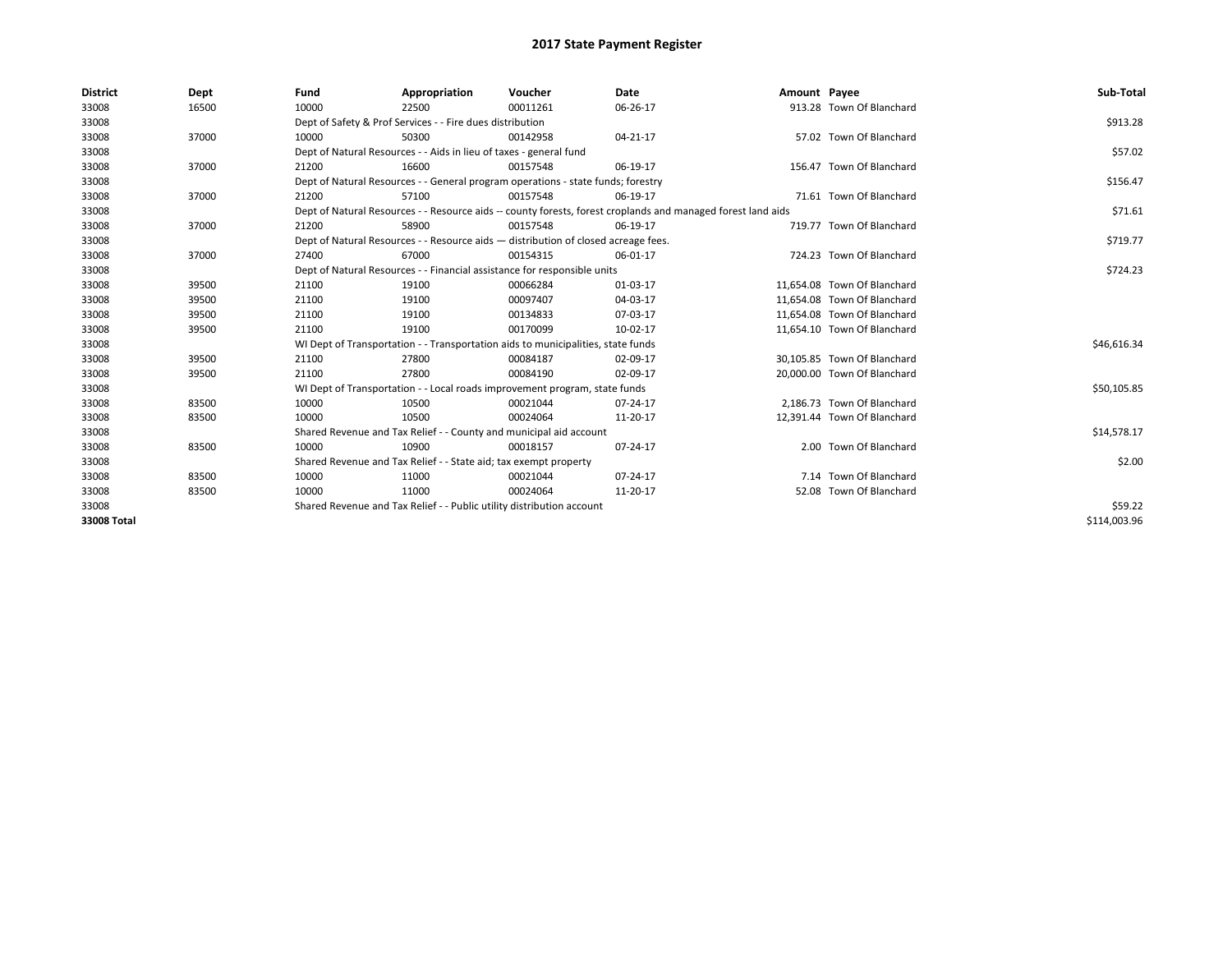| <b>District</b> | Dept  | Fund  | Appropriation                                                                                                | Voucher  | Date     | Amount Payee |                             | Sub-Total    |  |
|-----------------|-------|-------|--------------------------------------------------------------------------------------------------------------|----------|----------|--------------|-----------------------------|--------------|--|
| 33008           | 16500 | 10000 | 22500                                                                                                        | 00011261 | 06-26-17 |              | 913.28 Town Of Blanchard    |              |  |
| 33008           |       |       | Dept of Safety & Prof Services - - Fire dues distribution                                                    |          |          |              |                             | \$913.28     |  |
| 33008           | 37000 | 10000 | 50300                                                                                                        | 00142958 | 04-21-17 |              | 57.02 Town Of Blanchard     |              |  |
| 33008           |       |       | Dept of Natural Resources - - Aids in lieu of taxes - general fund                                           |          |          |              |                             | \$57.02      |  |
| 33008           | 37000 | 21200 | 16600                                                                                                        | 00157548 | 06-19-17 |              | 156.47 Town Of Blanchard    |              |  |
| 33008           |       |       | Dept of Natural Resources - - General program operations - state funds; forestry                             |          |          |              |                             | \$156.47     |  |
| 33008           | 37000 | 21200 | 57100                                                                                                        | 00157548 | 06-19-17 |              | 71.61 Town Of Blanchard     |              |  |
| 33008           |       |       | Dept of Natural Resources - - Resource aids -- county forests, forest croplands and managed forest land aids |          |          |              |                             |              |  |
| 33008           | 37000 | 21200 | 58900                                                                                                        | 00157548 | 06-19-17 |              | 719.77 Town Of Blanchard    |              |  |
| 33008           |       |       | Dept of Natural Resources - - Resource aids - distribution of closed acreage fees.                           |          |          |              |                             | \$719.77     |  |
| 33008           | 37000 | 27400 | 67000                                                                                                        | 00154315 | 06-01-17 |              | 724.23 Town Of Blanchard    |              |  |
| 33008           |       |       | Dept of Natural Resources - - Financial assistance for responsible units                                     |          |          |              |                             | \$724.23     |  |
| 33008           | 39500 | 21100 | 19100                                                                                                        | 00066284 | 01-03-17 |              | 11,654.08 Town Of Blanchard |              |  |
| 33008           | 39500 | 21100 | 19100                                                                                                        | 00097407 | 04-03-17 |              | 11.654.08 Town Of Blanchard |              |  |
| 33008           | 39500 | 21100 | 19100                                                                                                        | 00134833 | 07-03-17 |              | 11,654.08 Town Of Blanchard |              |  |
| 33008           | 39500 | 21100 | 19100                                                                                                        | 00170099 | 10-02-17 |              | 11,654.10 Town Of Blanchard |              |  |
| 33008           |       |       | WI Dept of Transportation - - Transportation aids to municipalities, state funds                             |          |          |              |                             | \$46,616.34  |  |
| 33008           | 39500 | 21100 | 27800                                                                                                        | 00084187 | 02-09-17 |              | 30,105.85 Town Of Blanchard |              |  |
| 33008           | 39500 | 21100 | 27800                                                                                                        | 00084190 | 02-09-17 |              | 20,000.00 Town Of Blanchard |              |  |
| 33008           |       |       | WI Dept of Transportation - - Local roads improvement program, state funds                                   |          |          |              |                             | \$50,105.85  |  |
| 33008           | 83500 | 10000 | 10500                                                                                                        | 00021044 | 07-24-17 |              | 2,186.73 Town Of Blanchard  |              |  |
| 33008           | 83500 | 10000 | 10500                                                                                                        | 00024064 | 11-20-17 |              | 12,391.44 Town Of Blanchard |              |  |
| 33008           |       |       | Shared Revenue and Tax Relief - - County and municipal aid account                                           |          |          |              |                             | \$14,578.17  |  |
| 33008           | 83500 | 10000 | 10900                                                                                                        | 00018157 | 07-24-17 |              | 2.00 Town Of Blanchard      |              |  |
| 33008           |       |       | Shared Revenue and Tax Relief - - State aid; tax exempt property                                             |          |          |              |                             | \$2.00       |  |
| 33008           | 83500 | 10000 | 11000                                                                                                        | 00021044 | 07-24-17 |              | 7.14 Town Of Blanchard      |              |  |
| 33008           | 83500 | 10000 | 11000                                                                                                        | 00024064 | 11-20-17 |              | 52.08 Town Of Blanchard     |              |  |
| 33008           |       |       | Shared Revenue and Tax Relief - - Public utility distribution account                                        |          |          |              |                             | \$59.22      |  |
| 33008 Total     |       |       |                                                                                                              |          |          |              |                             | \$114.003.96 |  |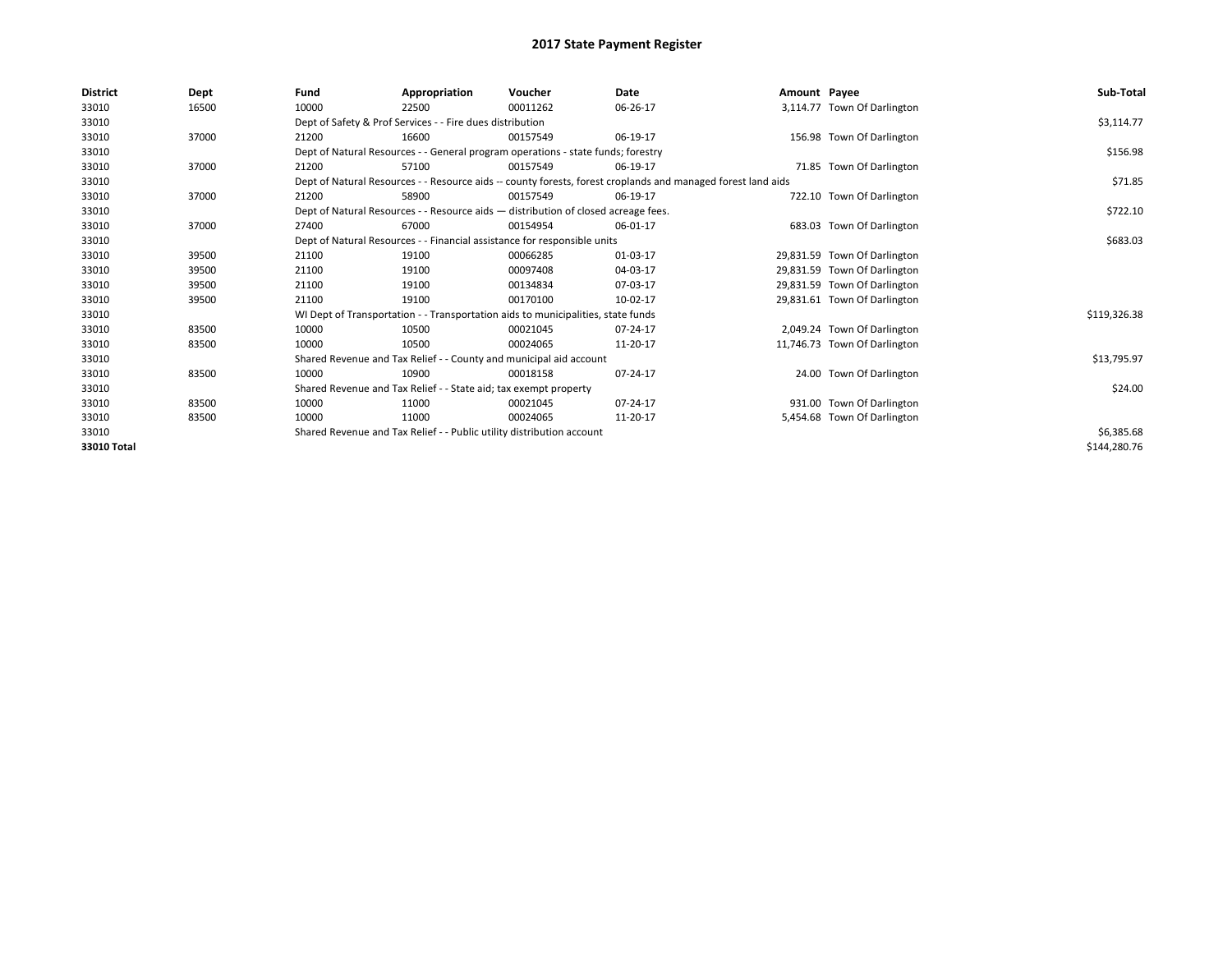| District    | Dept  | Fund  | Appropriation                                                                      | Voucher  | Date                                                                                                         | Amount Payee |                              | Sub-Total    |
|-------------|-------|-------|------------------------------------------------------------------------------------|----------|--------------------------------------------------------------------------------------------------------------|--------------|------------------------------|--------------|
| 33010       | 16500 | 10000 | 22500                                                                              | 00011262 | 06-26-17                                                                                                     |              | 3,114.77 Town Of Darlington  |              |
| 33010       |       |       | Dept of Safety & Prof Services - - Fire dues distribution                          |          |                                                                                                              |              |                              | \$3,114.77   |
| 33010       | 37000 | 21200 | 16600                                                                              | 00157549 | 06-19-17                                                                                                     |              | 156.98 Town Of Darlington    |              |
| 33010       |       |       | Dept of Natural Resources - - General program operations - state funds; forestry   |          |                                                                                                              |              |                              | \$156.98     |
| 33010       | 37000 | 21200 | 57100                                                                              | 00157549 | 06-19-17                                                                                                     |              | 71.85 Town Of Darlington     |              |
| 33010       |       |       |                                                                                    |          | Dept of Natural Resources - - Resource aids -- county forests, forest croplands and managed forest land aids |              |                              | \$71.85      |
| 33010       | 37000 | 21200 | 58900                                                                              | 00157549 | 06-19-17                                                                                                     |              | 722.10 Town Of Darlington    |              |
| 33010       |       |       | Dept of Natural Resources - - Resource aids - distribution of closed acreage fees. |          |                                                                                                              |              |                              | \$722.10     |
| 33010       | 37000 | 27400 | 67000                                                                              | 00154954 | 06-01-17                                                                                                     |              | 683.03 Town Of Darlington    |              |
| 33010       |       |       | Dept of Natural Resources - - Financial assistance for responsible units           |          |                                                                                                              |              |                              | \$683.03     |
| 33010       | 39500 | 21100 | 19100                                                                              | 00066285 | 01-03-17                                                                                                     |              | 29,831.59 Town Of Darlington |              |
| 33010       | 39500 | 21100 | 19100                                                                              | 00097408 | 04-03-17                                                                                                     |              | 29,831.59 Town Of Darlington |              |
| 33010       | 39500 | 21100 | 19100                                                                              | 00134834 | 07-03-17                                                                                                     |              | 29,831.59 Town Of Darlington |              |
| 33010       | 39500 | 21100 | 19100                                                                              | 00170100 | 10-02-17                                                                                                     |              | 29,831.61 Town Of Darlington |              |
| 33010       |       |       | WI Dept of Transportation - - Transportation aids to municipalities, state funds   |          |                                                                                                              |              |                              | \$119,326.38 |
| 33010       | 83500 | 10000 | 10500                                                                              | 00021045 | 07-24-17                                                                                                     |              | 2,049.24 Town Of Darlington  |              |
| 33010       | 83500 | 10000 | 10500                                                                              | 00024065 | 11-20-17                                                                                                     |              | 11,746.73 Town Of Darlington |              |
| 33010       |       |       | Shared Revenue and Tax Relief - - County and municipal aid account                 |          |                                                                                                              |              |                              | \$13,795.97  |
| 33010       | 83500 | 10000 | 10900                                                                              | 00018158 | 07-24-17                                                                                                     |              | 24.00 Town Of Darlington     |              |
| 33010       |       |       | Shared Revenue and Tax Relief - - State aid; tax exempt property                   |          |                                                                                                              |              |                              | \$24.00      |
| 33010       | 83500 | 10000 | 11000                                                                              | 00021045 | 07-24-17                                                                                                     |              | 931.00 Town Of Darlington    |              |
| 33010       | 83500 | 10000 | 11000                                                                              | 00024065 | 11-20-17                                                                                                     |              | 5,454.68 Town Of Darlington  |              |
| 33010       |       |       | Shared Revenue and Tax Relief - - Public utility distribution account              |          |                                                                                                              |              |                              | \$6,385.68   |
| 33010 Total |       |       |                                                                                    |          |                                                                                                              |              |                              | \$144,280.76 |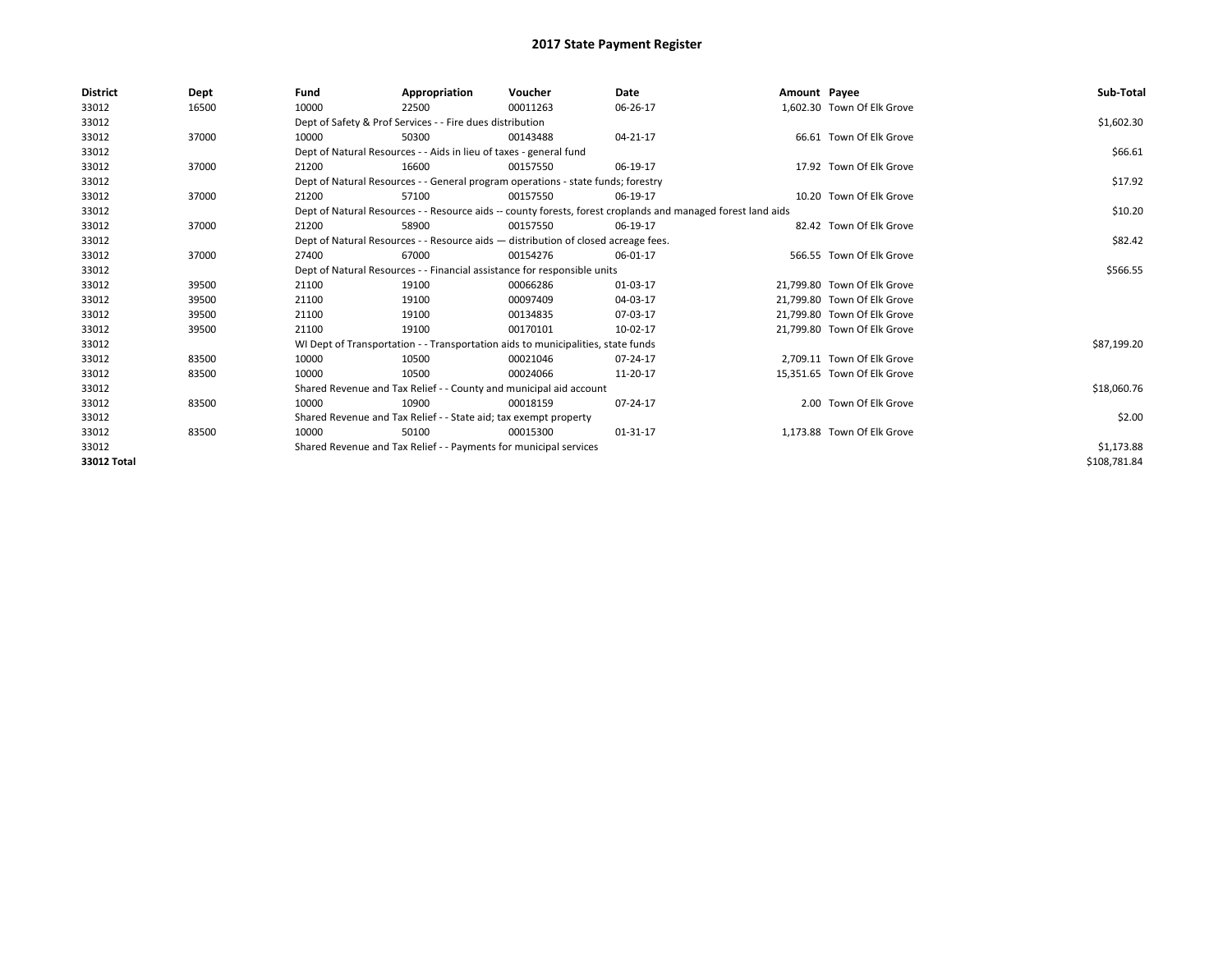| <b>District</b> | Dept  | Fund  | Appropriation                                                                                                | Voucher  | Date     | Amount Payee |                             | Sub-Total    |
|-----------------|-------|-------|--------------------------------------------------------------------------------------------------------------|----------|----------|--------------|-----------------------------|--------------|
| 33012           | 16500 | 10000 | 22500                                                                                                        | 00011263 | 06-26-17 |              | 1,602.30 Town Of Elk Grove  |              |
| 33012           |       |       | Dept of Safety & Prof Services - - Fire dues distribution                                                    |          |          |              |                             | \$1,602.30   |
| 33012           | 37000 | 10000 | 50300                                                                                                        | 00143488 | 04-21-17 |              | 66.61 Town Of Elk Grove     |              |
| 33012           |       |       | Dept of Natural Resources - - Aids in lieu of taxes - general fund                                           |          |          |              |                             | \$66.61      |
| 33012           | 37000 | 21200 | 16600                                                                                                        | 00157550 | 06-19-17 |              | 17.92 Town Of Elk Grove     |              |
| 33012           |       |       | Dept of Natural Resources - - General program operations - state funds; forestry                             |          |          |              |                             | \$17.92      |
| 33012           | 37000 | 21200 | 57100                                                                                                        | 00157550 | 06-19-17 |              | 10.20 Town Of Elk Grove     |              |
| 33012           |       |       | Dept of Natural Resources - - Resource aids -- county forests, forest croplands and managed forest land aids |          | \$10.20  |              |                             |              |
| 33012           | 37000 | 21200 | 58900                                                                                                        | 00157550 | 06-19-17 |              | 82.42 Town Of Elk Grove     |              |
| 33012           |       |       | Dept of Natural Resources - - Resource aids - distribution of closed acreage fees.                           |          |          |              |                             | \$82.42      |
| 33012           | 37000 | 27400 | 67000                                                                                                        | 00154276 | 06-01-17 |              | 566.55 Town Of Elk Grove    |              |
| 33012           |       |       | Dept of Natural Resources - - Financial assistance for responsible units                                     |          |          |              |                             | \$566.55     |
| 33012           | 39500 | 21100 | 19100                                                                                                        | 00066286 | 01-03-17 |              | 21,799.80 Town Of Elk Grove |              |
| 33012           | 39500 | 21100 | 19100                                                                                                        | 00097409 | 04-03-17 |              | 21,799.80 Town Of Elk Grove |              |
| 33012           | 39500 | 21100 | 19100                                                                                                        | 00134835 | 07-03-17 |              | 21.799.80 Town Of Elk Grove |              |
| 33012           | 39500 | 21100 | 19100                                                                                                        | 00170101 | 10-02-17 |              | 21,799.80 Town Of Elk Grove |              |
| 33012           |       |       | WI Dept of Transportation - - Transportation aids to municipalities, state funds                             |          |          |              |                             | \$87,199.20  |
| 33012           | 83500 | 10000 | 10500                                                                                                        | 00021046 | 07-24-17 |              | 2.709.11 Town Of Elk Grove  |              |
| 33012           | 83500 | 10000 | 10500                                                                                                        | 00024066 | 11-20-17 |              | 15,351.65 Town Of Elk Grove |              |
| 33012           |       |       | Shared Revenue and Tax Relief - - County and municipal aid account                                           |          |          |              |                             | \$18,060.76  |
| 33012           | 83500 | 10000 | 10900                                                                                                        | 00018159 | 07-24-17 |              | 2.00 Town Of Elk Grove      |              |
| 33012           |       |       | Shared Revenue and Tax Relief - - State aid; tax exempt property                                             |          |          |              |                             | \$2.00       |
| 33012           | 83500 | 10000 | 50100                                                                                                        | 00015300 | 01-31-17 |              | 1.173.88 Town Of Elk Grove  |              |
| 33012           |       |       | Shared Revenue and Tax Relief - - Payments for municipal services                                            |          |          |              |                             | \$1,173.88   |
| 33012 Total     |       |       |                                                                                                              |          |          |              |                             | \$108,781.84 |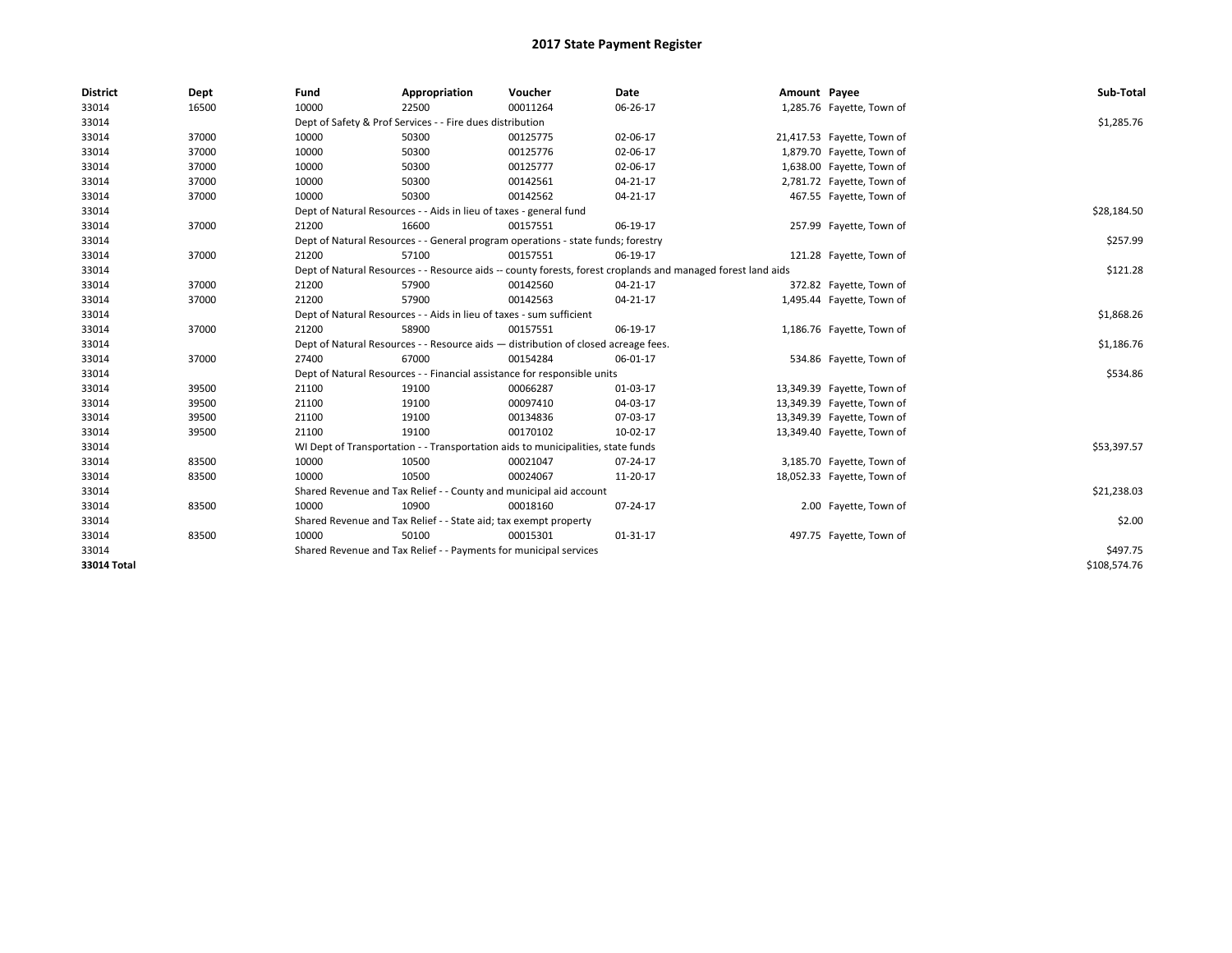| <b>District</b>    | Dept  | Fund  | Appropriation                                                                                                | Voucher  | Date           | Amount Payee |                            | Sub-Total    |  |  |  |
|--------------------|-------|-------|--------------------------------------------------------------------------------------------------------------|----------|----------------|--------------|----------------------------|--------------|--|--|--|
| 33014              | 16500 | 10000 | 22500                                                                                                        | 00011264 | 06-26-17       |              | 1,285.76 Fayette, Town of  |              |  |  |  |
| 33014              |       |       | Dept of Safety & Prof Services - - Fire dues distribution                                                    |          |                |              |                            | \$1,285.76   |  |  |  |
| 33014              | 37000 | 10000 | 50300                                                                                                        | 00125775 | 02-06-17       |              | 21,417.53 Fayette, Town of |              |  |  |  |
| 33014              | 37000 | 10000 | 50300                                                                                                        | 00125776 | 02-06-17       |              | 1,879.70 Fayette, Town of  |              |  |  |  |
| 33014              | 37000 | 10000 | 50300                                                                                                        | 00125777 | 02-06-17       |              | 1,638.00 Fayette, Town of  |              |  |  |  |
| 33014              | 37000 | 10000 | 50300                                                                                                        | 00142561 | 04-21-17       |              | 2,781.72 Fayette, Town of  |              |  |  |  |
| 33014              | 37000 | 10000 | 50300                                                                                                        | 00142562 | 04-21-17       |              | 467.55 Fayette, Town of    |              |  |  |  |
| 33014              |       |       | Dept of Natural Resources - - Aids in lieu of taxes - general fund                                           |          |                |              |                            |              |  |  |  |
| 33014              | 37000 | 21200 | 16600                                                                                                        | 00157551 | 06-19-17       |              | 257.99 Fayette, Town of    |              |  |  |  |
| 33014              |       |       | Dept of Natural Resources - - General program operations - state funds; forestry                             |          |                |              |                            | \$257.99     |  |  |  |
| 33014              | 37000 | 21200 | 57100                                                                                                        | 00157551 | 06-19-17       |              | 121.28 Fayette, Town of    |              |  |  |  |
| 33014              |       |       | Dept of Natural Resources - - Resource aids -- county forests, forest croplands and managed forest land aids |          |                |              |                            | \$121.28     |  |  |  |
| 33014              | 37000 | 21200 | 57900                                                                                                        | 00142560 | $04 - 21 - 17$ |              | 372.82 Fayette, Town of    |              |  |  |  |
| 33014              | 37000 | 21200 | 57900                                                                                                        | 00142563 | 04-21-17       |              | 1,495.44 Fayette, Town of  |              |  |  |  |
| 33014              |       |       | Dept of Natural Resources - - Aids in lieu of taxes - sum sufficient                                         |          |                |              |                            |              |  |  |  |
| 33014              | 37000 | 21200 | 58900                                                                                                        | 00157551 | 06-19-17       |              | 1,186.76 Fayette, Town of  |              |  |  |  |
| 33014              |       |       | Dept of Natural Resources - - Resource aids - distribution of closed acreage fees.                           |          |                |              |                            | \$1,186.76   |  |  |  |
| 33014              | 37000 | 27400 | 67000                                                                                                        | 00154284 | 06-01-17       |              | 534.86 Fayette, Town of    |              |  |  |  |
| 33014              |       |       | Dept of Natural Resources - - Financial assistance for responsible units                                     |          |                |              |                            | \$534.86     |  |  |  |
| 33014              | 39500 | 21100 | 19100                                                                                                        | 00066287 | 01-03-17       |              | 13,349.39 Fayette, Town of |              |  |  |  |
| 33014              | 39500 | 21100 | 19100                                                                                                        | 00097410 | 04-03-17       |              | 13,349.39 Fayette, Town of |              |  |  |  |
| 33014              | 39500 | 21100 | 19100                                                                                                        | 00134836 | 07-03-17       |              | 13,349.39 Fayette, Town of |              |  |  |  |
| 33014              | 39500 | 21100 | 19100                                                                                                        | 00170102 | 10-02-17       |              | 13,349.40 Fayette, Town of |              |  |  |  |
| 33014              |       |       | WI Dept of Transportation - - Transportation aids to municipalities, state funds                             |          |                |              |                            | \$53,397.57  |  |  |  |
| 33014              | 83500 | 10000 | 10500                                                                                                        | 00021047 | 07-24-17       |              | 3,185.70 Fayette, Town of  |              |  |  |  |
| 33014              | 83500 | 10000 | 10500                                                                                                        | 00024067 | 11-20-17       |              | 18,052.33 Fayette, Town of |              |  |  |  |
| 33014              |       |       | Shared Revenue and Tax Relief - - County and municipal aid account                                           |          |                |              |                            | \$21,238.03  |  |  |  |
| 33014              | 83500 | 10000 | 10900                                                                                                        | 00018160 | 07-24-17       |              | 2.00 Fayette, Town of      |              |  |  |  |
| 33014              |       |       | Shared Revenue and Tax Relief - - State aid; tax exempt property                                             |          |                |              |                            | \$2.00       |  |  |  |
| 33014              | 83500 | 10000 | 50100                                                                                                        | 00015301 | 01-31-17       |              | 497.75 Fayette, Town of    |              |  |  |  |
| 33014              |       |       | Shared Revenue and Tax Relief - - Payments for municipal services                                            |          |                |              |                            | \$497.75     |  |  |  |
| <b>33014 Total</b> |       |       |                                                                                                              |          |                |              |                            | \$108,574.76 |  |  |  |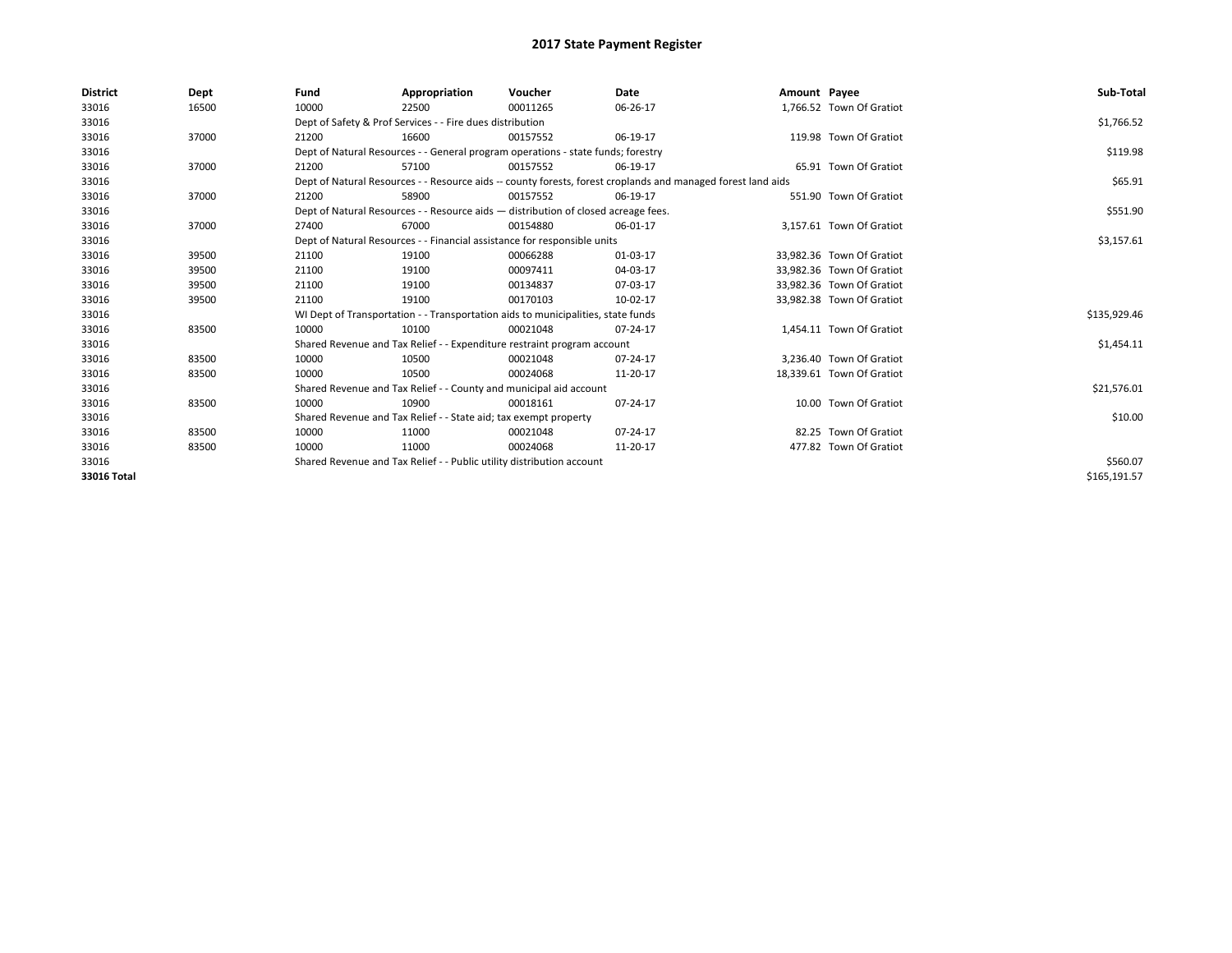| <b>District</b> | Dept  | Fund  | Appropriation                                                                      | Voucher  | Date                                                                                                         | Amount Payee |                           | Sub-Total    |
|-----------------|-------|-------|------------------------------------------------------------------------------------|----------|--------------------------------------------------------------------------------------------------------------|--------------|---------------------------|--------------|
| 33016           | 16500 | 10000 | 22500                                                                              | 00011265 | 06-26-17                                                                                                     |              | 1,766.52 Town Of Gratiot  |              |
| 33016           |       |       | Dept of Safety & Prof Services - - Fire dues distribution                          |          |                                                                                                              |              |                           | \$1,766.52   |
| 33016           | 37000 | 21200 | 16600                                                                              | 00157552 | 06-19-17                                                                                                     |              | 119.98 Town Of Gratiot    |              |
| 33016           |       |       | Dept of Natural Resources - - General program operations - state funds; forestry   |          |                                                                                                              |              |                           | \$119.98     |
| 33016           | 37000 | 21200 | 57100                                                                              | 00157552 | 06-19-17                                                                                                     |              | 65.91 Town Of Gratiot     |              |
| 33016           |       |       |                                                                                    |          | Dept of Natural Resources - - Resource aids -- county forests, forest croplands and managed forest land aids |              |                           | \$65.91      |
| 33016           | 37000 | 21200 | 58900                                                                              | 00157552 | 06-19-17                                                                                                     |              | 551.90 Town Of Gratiot    |              |
| 33016           |       |       | Dept of Natural Resources - - Resource aids - distribution of closed acreage fees. |          |                                                                                                              |              |                           | \$551.90     |
| 33016           | 37000 | 27400 | 67000                                                                              | 00154880 | 06-01-17                                                                                                     |              | 3.157.61 Town Of Gratiot  |              |
| 33016           |       |       | Dept of Natural Resources - - Financial assistance for responsible units           |          |                                                                                                              |              |                           | \$3,157.61   |
| 33016           | 39500 | 21100 | 19100                                                                              | 00066288 | 01-03-17                                                                                                     |              | 33.982.36 Town Of Gratiot |              |
| 33016           | 39500 | 21100 | 19100                                                                              | 00097411 | 04-03-17                                                                                                     |              | 33,982.36 Town Of Gratiot |              |
| 33016           | 39500 | 21100 | 19100                                                                              | 00134837 | 07-03-17                                                                                                     |              | 33,982.36 Town Of Gratiot |              |
| 33016           | 39500 | 21100 | 19100                                                                              | 00170103 | 10-02-17                                                                                                     |              | 33,982.38 Town Of Gratiot |              |
| 33016           |       |       | WI Dept of Transportation - - Transportation aids to municipalities, state funds   |          |                                                                                                              |              |                           | \$135,929.46 |
| 33016           | 83500 | 10000 | 10100                                                                              | 00021048 | 07-24-17                                                                                                     |              | 1,454.11 Town Of Gratiot  |              |
| 33016           |       |       | Shared Revenue and Tax Relief - - Expenditure restraint program account            |          |                                                                                                              |              |                           | \$1,454.11   |
| 33016           | 83500 | 10000 | 10500                                                                              | 00021048 | 07-24-17                                                                                                     |              | 3.236.40 Town Of Gratiot  |              |
| 33016           | 83500 | 10000 | 10500                                                                              | 00024068 | 11-20-17                                                                                                     |              | 18,339.61 Town Of Gratiot |              |
| 33016           |       |       | Shared Revenue and Tax Relief - - County and municipal aid account                 |          |                                                                                                              |              |                           | \$21,576.01  |
| 33016           | 83500 | 10000 | 10900                                                                              | 00018161 | 07-24-17                                                                                                     |              | 10.00 Town Of Gratiot     |              |
| 33016           |       |       | Shared Revenue and Tax Relief - - State aid; tax exempt property                   |          |                                                                                                              |              |                           | \$10.00      |
| 33016           | 83500 | 10000 | 11000                                                                              | 00021048 | 07-24-17                                                                                                     |              | 82.25 Town Of Gratiot     |              |
| 33016           | 83500 | 10000 | 11000                                                                              | 00024068 | 11-20-17                                                                                                     |              | 477.82 Town Of Gratiot    |              |
| 33016           |       |       | Shared Revenue and Tax Relief - - Public utility distribution account              |          |                                                                                                              |              |                           | \$560.07     |
| 33016 Total     |       |       |                                                                                    |          |                                                                                                              |              |                           | \$165,191.57 |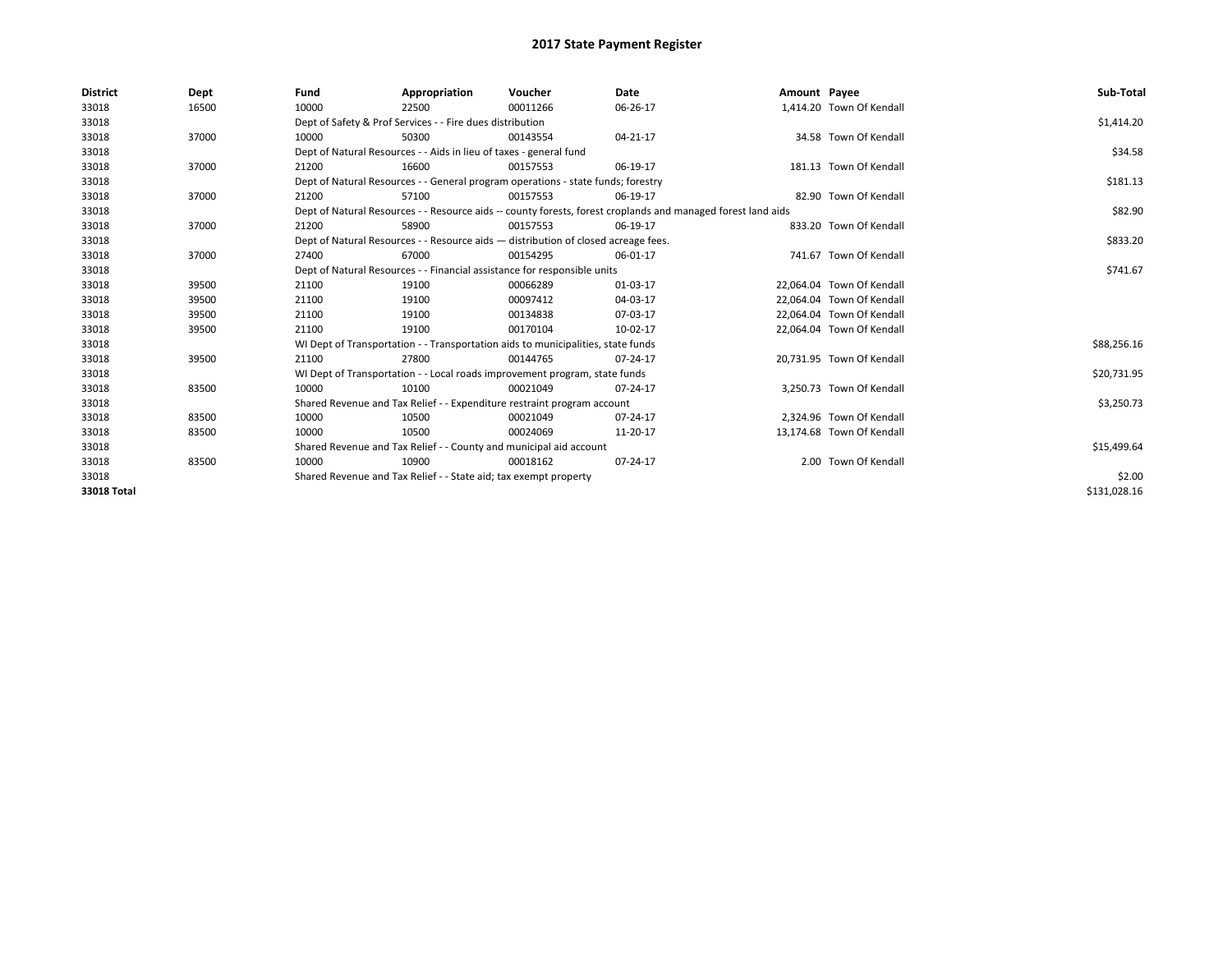| <b>District</b>    | Dept  | Fund  | Appropriation                                                                      | Voucher  | Date                                                                                                         | Amount Payee |                           | Sub-Total    |
|--------------------|-------|-------|------------------------------------------------------------------------------------|----------|--------------------------------------------------------------------------------------------------------------|--------------|---------------------------|--------------|
| 33018              | 16500 | 10000 | 22500                                                                              | 00011266 | 06-26-17                                                                                                     |              | 1,414.20 Town Of Kendall  |              |
| 33018              |       |       | Dept of Safety & Prof Services - - Fire dues distribution                          |          |                                                                                                              |              |                           | \$1,414.20   |
| 33018              | 37000 | 10000 | 50300                                                                              | 00143554 | 04-21-17                                                                                                     |              | 34.58 Town Of Kendall     |              |
| 33018              |       |       | Dept of Natural Resources - - Aids in lieu of taxes - general fund                 |          |                                                                                                              |              |                           | \$34.58      |
| 33018              | 37000 | 21200 | 16600                                                                              | 00157553 | 06-19-17                                                                                                     |              | 181.13 Town Of Kendall    |              |
| 33018              |       |       | Dept of Natural Resources - - General program operations - state funds; forestry   |          |                                                                                                              |              |                           | \$181.13     |
| 33018              | 37000 | 21200 | 57100                                                                              | 00157553 | 06-19-17                                                                                                     |              | 82.90 Town Of Kendall     |              |
| 33018              |       |       |                                                                                    |          | Dept of Natural Resources - - Resource aids -- county forests, forest croplands and managed forest land aids |              |                           | \$82.90      |
| 33018              | 37000 | 21200 | 58900                                                                              | 00157553 | 06-19-17                                                                                                     |              | 833.20 Town Of Kendall    |              |
| 33018              |       |       | Dept of Natural Resources - - Resource aids - distribution of closed acreage fees. |          |                                                                                                              |              |                           | \$833.20     |
| 33018              | 37000 | 27400 | 67000                                                                              | 00154295 | 06-01-17                                                                                                     |              | 741.67 Town Of Kendall    |              |
| 33018              |       |       | Dept of Natural Resources - - Financial assistance for responsible units           |          |                                                                                                              |              |                           | \$741.67     |
| 33018              | 39500 | 21100 | 19100                                                                              | 00066289 | 01-03-17                                                                                                     |              | 22,064.04 Town Of Kendall |              |
| 33018              | 39500 | 21100 | 19100                                                                              | 00097412 | 04-03-17                                                                                                     |              | 22.064.04 Town Of Kendall |              |
| 33018              | 39500 | 21100 | 19100                                                                              | 00134838 | 07-03-17                                                                                                     |              | 22,064.04 Town Of Kendall |              |
| 33018              | 39500 | 21100 | 19100                                                                              | 00170104 | 10-02-17                                                                                                     |              | 22,064.04 Town Of Kendall |              |
| 33018              |       |       | WI Dept of Transportation - - Transportation aids to municipalities, state funds   |          |                                                                                                              |              |                           | \$88,256.16  |
| 33018              | 39500 | 21100 | 27800                                                                              | 00144765 | 07-24-17                                                                                                     |              | 20.731.95 Town Of Kendall |              |
| 33018              |       |       | WI Dept of Transportation - - Local roads improvement program, state funds         |          |                                                                                                              |              |                           | \$20,731.95  |
| 33018              | 83500 | 10000 | 10100                                                                              | 00021049 | 07-24-17                                                                                                     |              | 3,250.73 Town Of Kendall  |              |
| 33018              |       |       | Shared Revenue and Tax Relief - - Expenditure restraint program account            |          |                                                                                                              |              |                           | \$3,250.73   |
| 33018              | 83500 | 10000 | 10500                                                                              | 00021049 | 07-24-17                                                                                                     |              | 2,324.96 Town Of Kendall  |              |
| 33018              | 83500 | 10000 | 10500                                                                              | 00024069 | 11-20-17                                                                                                     |              | 13,174.68 Town Of Kendall |              |
| 33018              |       |       | Shared Revenue and Tax Relief - - County and municipal aid account                 |          |                                                                                                              |              |                           | \$15,499.64  |
| 33018              | 83500 | 10000 | 10900                                                                              | 00018162 | 07-24-17                                                                                                     |              | 2.00 Town Of Kendall      |              |
| 33018              |       |       | Shared Revenue and Tax Relief - - State aid; tax exempt property                   |          |                                                                                                              |              |                           | \$2.00       |
| <b>33018 Total</b> |       |       |                                                                                    |          |                                                                                                              |              |                           | \$131,028.16 |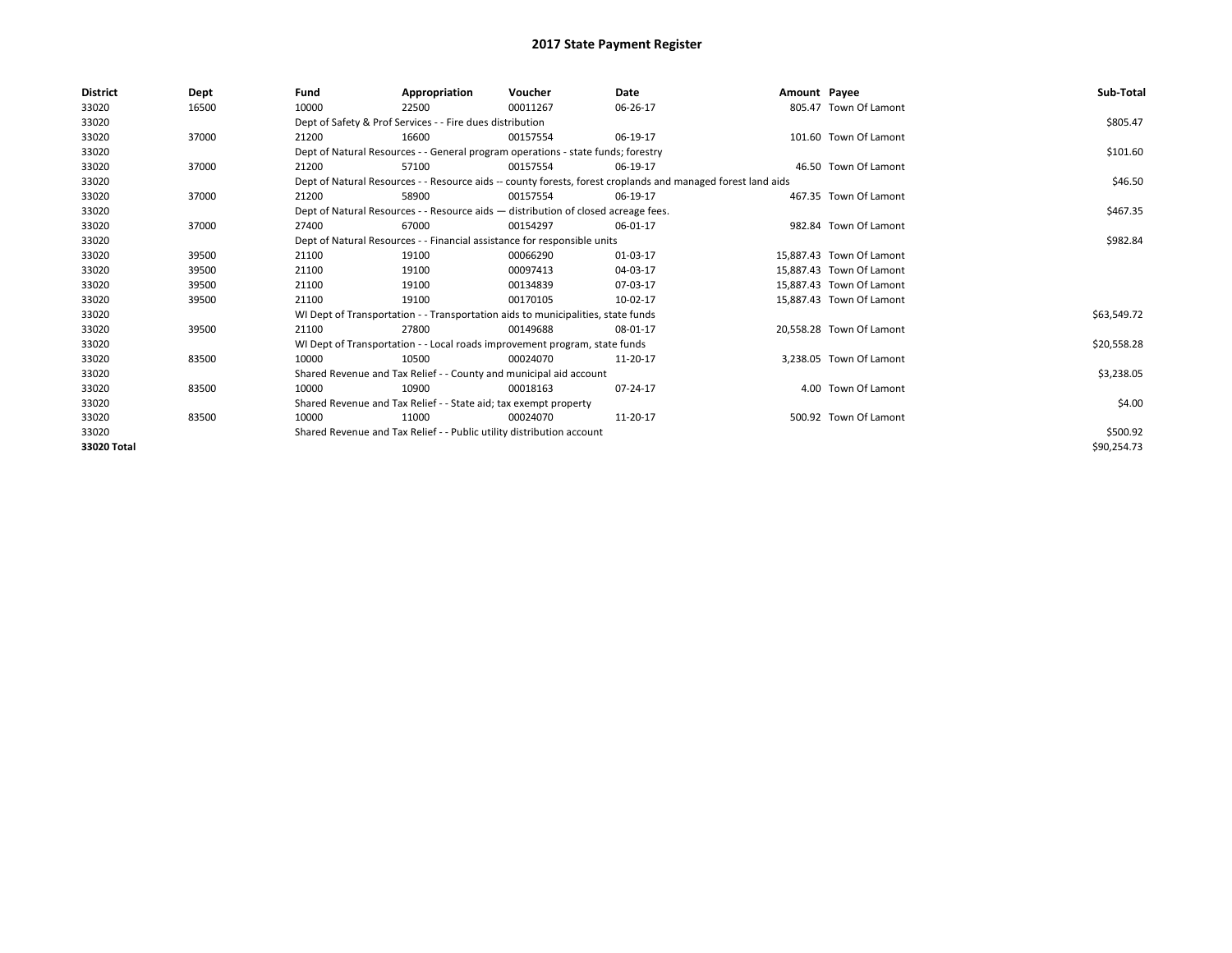| <b>District</b> | Dept  | Fund                                                                  | Appropriation                                                                      | Voucher  | Date                                                                                                         | Amount Payee |                          | Sub-Total   |
|-----------------|-------|-----------------------------------------------------------------------|------------------------------------------------------------------------------------|----------|--------------------------------------------------------------------------------------------------------------|--------------|--------------------------|-------------|
| 33020           | 16500 | 10000                                                                 | 22500                                                                              | 00011267 | 06-26-17                                                                                                     |              | 805.47 Town Of Lamont    |             |
| 33020           |       |                                                                       | Dept of Safety & Prof Services - - Fire dues distribution                          |          |                                                                                                              |              |                          | \$805.47    |
| 33020           | 37000 | 21200                                                                 | 16600                                                                              | 00157554 | 06-19-17                                                                                                     |              | 101.60 Town Of Lamont    |             |
| 33020           |       |                                                                       | Dept of Natural Resources - - General program operations - state funds; forestry   |          |                                                                                                              |              |                          | \$101.60    |
| 33020           | 37000 | 21200                                                                 | 57100                                                                              | 00157554 | 06-19-17                                                                                                     |              | 46.50 Town Of Lamont     |             |
| 33020           |       |                                                                       |                                                                                    |          | Dept of Natural Resources - - Resource aids -- county forests, forest croplands and managed forest land aids |              |                          | \$46.50     |
| 33020           | 37000 | 21200                                                                 | 58900                                                                              | 00157554 | 06-19-17                                                                                                     |              | 467.35 Town Of Lamont    |             |
| 33020           |       |                                                                       | Dept of Natural Resources - - Resource aids - distribution of closed acreage fees. |          |                                                                                                              |              |                          | \$467.35    |
| 33020           | 37000 | 27400                                                                 | 67000                                                                              | 00154297 | 06-01-17                                                                                                     |              | 982.84 Town Of Lamont    |             |
| 33020           |       |                                                                       | Dept of Natural Resources - - Financial assistance for responsible units           |          |                                                                                                              |              |                          | \$982.84    |
| 33020           | 39500 | 21100                                                                 | 19100                                                                              | 00066290 | 01-03-17                                                                                                     |              | 15.887.43 Town Of Lamont |             |
| 33020           | 39500 | 21100                                                                 | 19100                                                                              | 00097413 | 04-03-17                                                                                                     |              | 15,887.43 Town Of Lamont |             |
| 33020           | 39500 | 21100                                                                 | 19100                                                                              | 00134839 | 07-03-17                                                                                                     |              | 15.887.43 Town Of Lamont |             |
| 33020           | 39500 | 21100                                                                 | 19100                                                                              | 00170105 | 10-02-17                                                                                                     |              | 15,887.43 Town Of Lamont |             |
| 33020           |       |                                                                       | WI Dept of Transportation - - Transportation aids to municipalities, state funds   |          |                                                                                                              |              |                          | \$63,549.72 |
| 33020           | 39500 | 21100                                                                 | 27800                                                                              | 00149688 | 08-01-17                                                                                                     |              | 20,558.28 Town Of Lamont |             |
| 33020           |       |                                                                       | WI Dept of Transportation - - Local roads improvement program, state funds         |          |                                                                                                              |              |                          | \$20,558.28 |
| 33020           | 83500 | 10000                                                                 | 10500                                                                              | 00024070 | 11-20-17                                                                                                     |              | 3,238.05 Town Of Lamont  |             |
| 33020           |       |                                                                       | Shared Revenue and Tax Relief - - County and municipal aid account                 |          |                                                                                                              |              |                          | \$3,238.05  |
| 33020           | 83500 | 10000                                                                 | 10900                                                                              | 00018163 | 07-24-17                                                                                                     |              | 4.00 Town Of Lamont      |             |
| 33020           |       |                                                                       | Shared Revenue and Tax Relief - - State aid; tax exempt property                   |          |                                                                                                              |              |                          | \$4.00      |
| 33020           | 83500 | 10000                                                                 | 11000                                                                              | 00024070 | 11-20-17                                                                                                     |              | 500.92 Town Of Lamont    |             |
| 33020           |       | Shared Revenue and Tax Relief - - Public utility distribution account |                                                                                    | \$500.92 |                                                                                                              |              |                          |             |
| 33020 Total     |       |                                                                       |                                                                                    |          |                                                                                                              |              |                          | \$90,254.73 |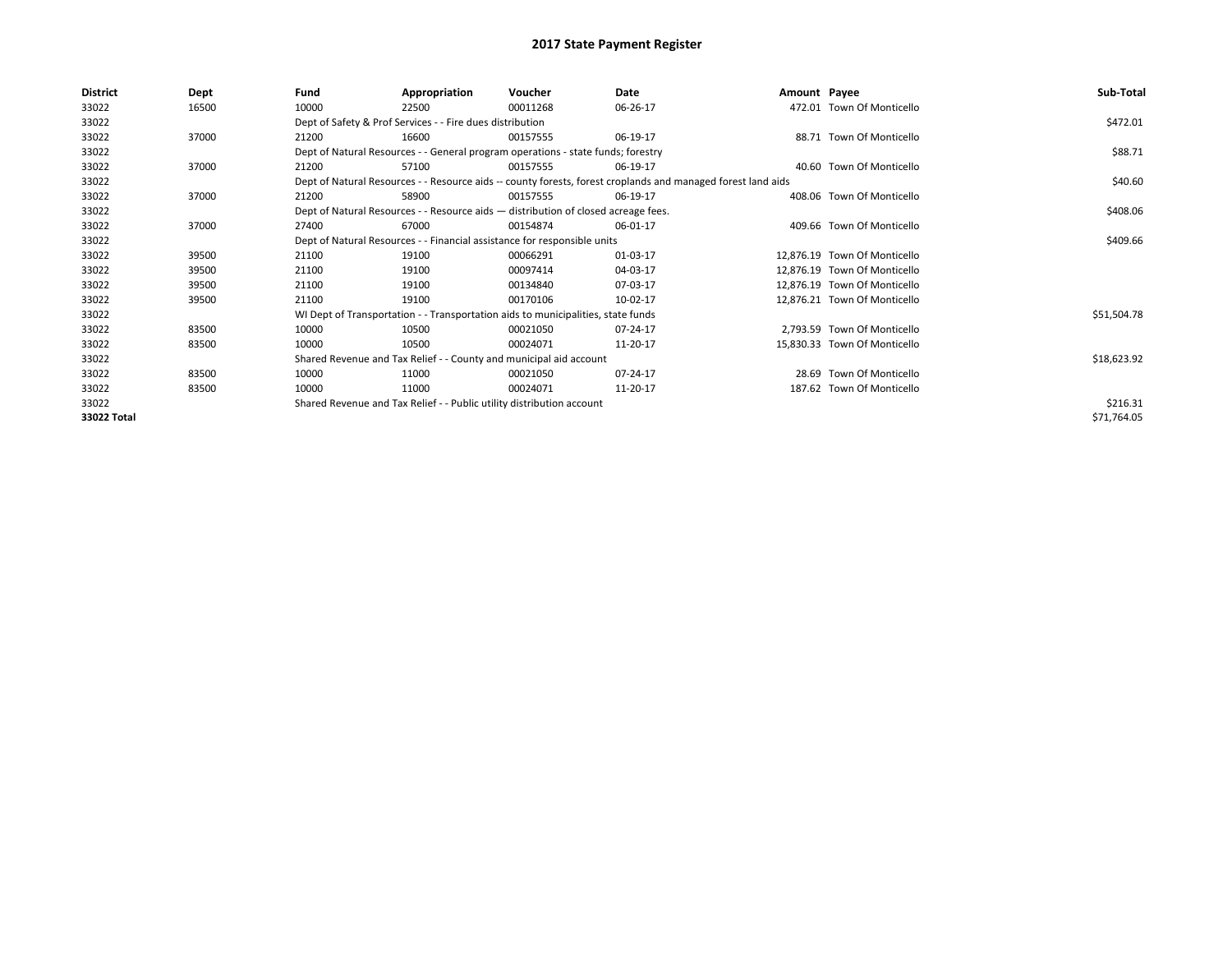| District    | Dept  | Fund  | Appropriation                                                                      | Voucher  | Date                                                                                                         | Amount Payee |                              | Sub-Total   |
|-------------|-------|-------|------------------------------------------------------------------------------------|----------|--------------------------------------------------------------------------------------------------------------|--------------|------------------------------|-------------|
| 33022       | 16500 | 10000 | 22500                                                                              | 00011268 | 06-26-17                                                                                                     |              | 472.01 Town Of Monticello    |             |
| 33022       |       |       | Dept of Safety & Prof Services - - Fire dues distribution                          |          |                                                                                                              |              |                              | \$472.01    |
| 33022       | 37000 | 21200 | 16600                                                                              | 00157555 | 06-19-17                                                                                                     |              | 88.71 Town Of Monticello     |             |
| 33022       |       |       | Dept of Natural Resources - - General program operations - state funds; forestry   |          |                                                                                                              |              |                              | \$88.71     |
| 33022       | 37000 | 21200 | 57100                                                                              | 00157555 | 06-19-17                                                                                                     |              | 40.60 Town Of Monticello     |             |
| 33022       |       |       |                                                                                    |          | Dept of Natural Resources - - Resource aids -- county forests, forest croplands and managed forest land aids |              |                              | \$40.60     |
| 33022       | 37000 | 21200 | 58900                                                                              | 00157555 | 06-19-17                                                                                                     |              | 408.06 Town Of Monticello    |             |
| 33022       |       |       | Dept of Natural Resources - - Resource aids - distribution of closed acreage fees. |          |                                                                                                              |              |                              | \$408.06    |
| 33022       | 37000 | 27400 | 67000                                                                              | 00154874 | 06-01-17                                                                                                     |              | 409.66 Town Of Monticello    |             |
| 33022       |       |       | Dept of Natural Resources - - Financial assistance for responsible units           |          |                                                                                                              |              |                              | \$409.66    |
| 33022       | 39500 | 21100 | 19100                                                                              | 00066291 | 01-03-17                                                                                                     |              | 12,876.19 Town Of Monticello |             |
| 33022       | 39500 | 21100 | 19100                                                                              | 00097414 | 04-03-17                                                                                                     |              | 12,876.19 Town Of Monticello |             |
| 33022       | 39500 | 21100 | 19100                                                                              | 00134840 | 07-03-17                                                                                                     |              | 12,876.19 Town Of Monticello |             |
| 33022       | 39500 | 21100 | 19100                                                                              | 00170106 | 10-02-17                                                                                                     |              | 12,876.21 Town Of Monticello |             |
| 33022       |       |       | WI Dept of Transportation - - Transportation aids to municipalities, state funds   |          |                                                                                                              |              |                              | \$51,504.78 |
| 33022       | 83500 | 10000 | 10500                                                                              | 00021050 | 07-24-17                                                                                                     |              | 2,793.59 Town Of Monticello  |             |
| 33022       | 83500 | 10000 | 10500                                                                              | 00024071 | 11-20-17                                                                                                     |              | 15,830.33 Town Of Monticello |             |
| 33022       |       |       | Shared Revenue and Tax Relief - - County and municipal aid account                 |          |                                                                                                              |              |                              | \$18,623.92 |
| 33022       | 83500 | 10000 | 11000                                                                              | 00021050 | 07-24-17                                                                                                     |              | 28.69 Town Of Monticello     |             |
| 33022       | 83500 | 10000 | 11000                                                                              | 00024071 | 11-20-17                                                                                                     |              | 187.62 Town Of Monticello    |             |
| 33022       |       |       | Shared Revenue and Tax Relief - - Public utility distribution account              |          |                                                                                                              |              |                              | \$216.31    |
| 33022 Total |       |       |                                                                                    |          |                                                                                                              |              |                              | \$71,764.05 |
|             |       |       |                                                                                    |          |                                                                                                              |              |                              |             |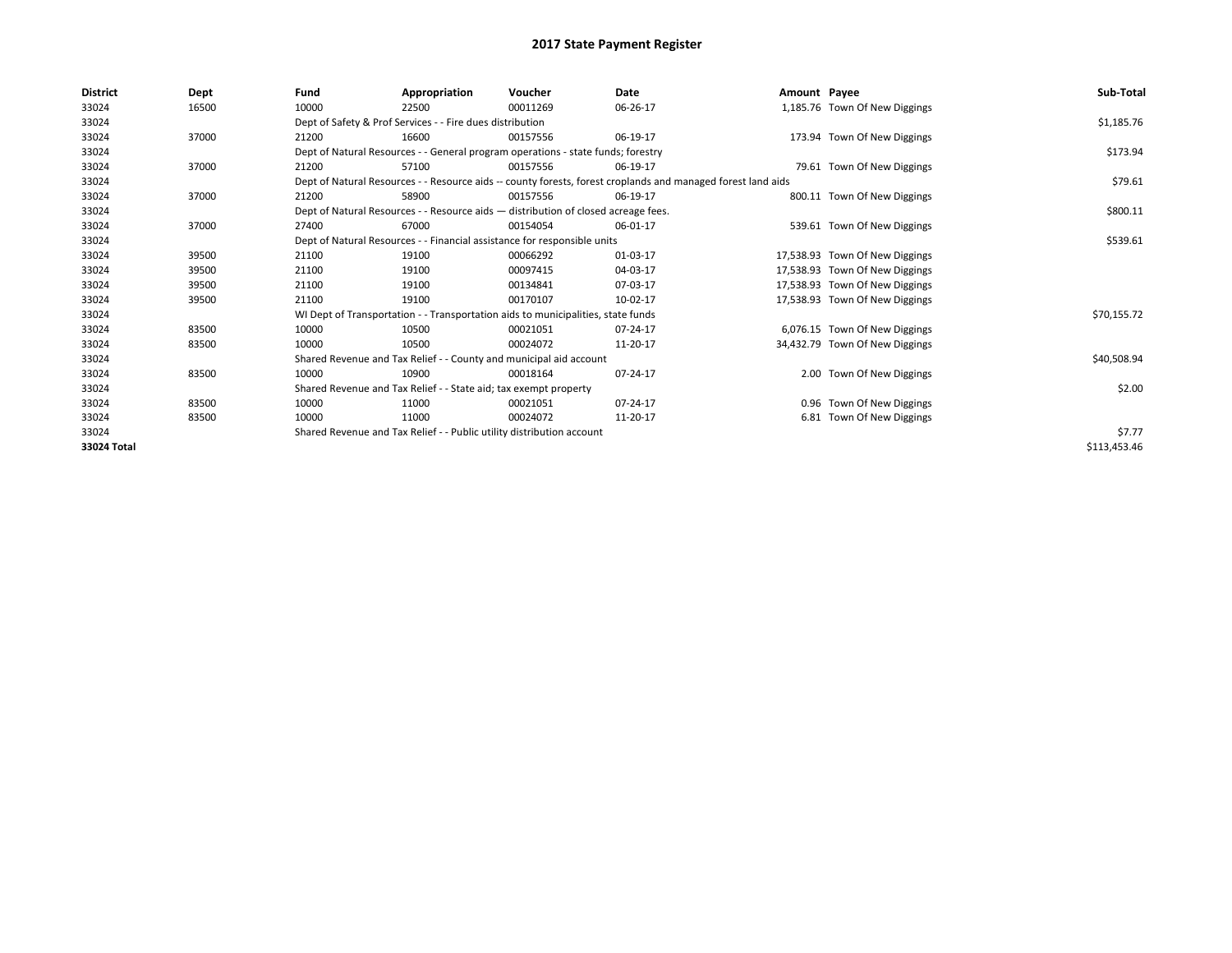| <b>District</b> | Dept  | Fund  | Appropriation                                                                      | Voucher  | <b>Date</b>                                                                                                  | Amount Payee |                                | Sub-Total    |  |  |
|-----------------|-------|-------|------------------------------------------------------------------------------------|----------|--------------------------------------------------------------------------------------------------------------|--------------|--------------------------------|--------------|--|--|
| 33024           | 16500 | 10000 | 22500                                                                              | 00011269 | 06-26-17                                                                                                     |              | 1,185.76 Town Of New Diggings  |              |  |  |
| 33024           |       |       | Dept of Safety & Prof Services - - Fire dues distribution                          |          |                                                                                                              |              |                                | \$1,185.76   |  |  |
| 33024           | 37000 | 21200 | 16600                                                                              | 00157556 | 06-19-17                                                                                                     |              | 173.94 Town Of New Diggings    |              |  |  |
| 33024           |       |       | Dept of Natural Resources - - General program operations - state funds; forestry   |          |                                                                                                              |              |                                | \$173.94     |  |  |
| 33024           | 37000 | 21200 | 57100                                                                              | 00157556 | 06-19-17                                                                                                     |              | 79.61 Town Of New Diggings     |              |  |  |
| 33024           |       |       |                                                                                    |          | Dept of Natural Resources - - Resource aids -- county forests, forest croplands and managed forest land aids |              |                                | \$79.61      |  |  |
| 33024           | 37000 | 21200 | 58900                                                                              | 00157556 | 06-19-17                                                                                                     |              | 800.11 Town Of New Diggings    |              |  |  |
| 33024           |       |       | Dept of Natural Resources - - Resource aids - distribution of closed acreage fees. |          |                                                                                                              |              |                                |              |  |  |
| 33024           | 37000 | 27400 | 67000                                                                              | 00154054 | 06-01-17                                                                                                     |              | 539.61 Town Of New Diggings    |              |  |  |
| 33024           |       |       | Dept of Natural Resources - - Financial assistance for responsible units           |          |                                                                                                              |              |                                | \$539.61     |  |  |
| 33024           | 39500 | 21100 | 19100                                                                              | 00066292 | 01-03-17                                                                                                     |              | 17,538.93 Town Of New Diggings |              |  |  |
| 33024           | 39500 | 21100 | 19100                                                                              | 00097415 | 04-03-17                                                                                                     |              | 17,538.93 Town Of New Diggings |              |  |  |
| 33024           | 39500 | 21100 | 19100                                                                              | 00134841 | 07-03-17                                                                                                     |              | 17,538.93 Town Of New Diggings |              |  |  |
| 33024           | 39500 | 21100 | 19100                                                                              | 00170107 | 10-02-17                                                                                                     |              | 17,538.93 Town Of New Diggings |              |  |  |
| 33024           |       |       | WI Dept of Transportation - - Transportation aids to municipalities, state funds   |          |                                                                                                              |              |                                | \$70,155.72  |  |  |
| 33024           | 83500 | 10000 | 10500                                                                              | 00021051 | 07-24-17                                                                                                     |              | 6,076.15 Town Of New Diggings  |              |  |  |
| 33024           | 83500 | 10000 | 10500                                                                              | 00024072 | 11-20-17                                                                                                     |              | 34,432.79 Town Of New Diggings |              |  |  |
| 33024           |       |       | Shared Revenue and Tax Relief - - County and municipal aid account                 |          |                                                                                                              |              |                                | \$40,508.94  |  |  |
| 33024           | 83500 | 10000 | 10900                                                                              | 00018164 | 07-24-17                                                                                                     |              | 2.00 Town Of New Diggings      |              |  |  |
| 33024           |       |       | Shared Revenue and Tax Relief - - State aid; tax exempt property                   |          |                                                                                                              |              |                                | \$2.00       |  |  |
| 33024           | 83500 | 10000 | 11000                                                                              | 00021051 | 07-24-17                                                                                                     |              | 0.96 Town Of New Diggings      |              |  |  |
| 33024           | 83500 | 10000 | 11000                                                                              | 00024072 | 11-20-17                                                                                                     |              | 6.81 Town Of New Diggings      |              |  |  |
| 33024           |       |       | Shared Revenue and Tax Relief - - Public utility distribution account              |          |                                                                                                              |              |                                | \$7.77       |  |  |
| 33024 Total     |       |       |                                                                                    |          |                                                                                                              |              |                                | \$113,453.46 |  |  |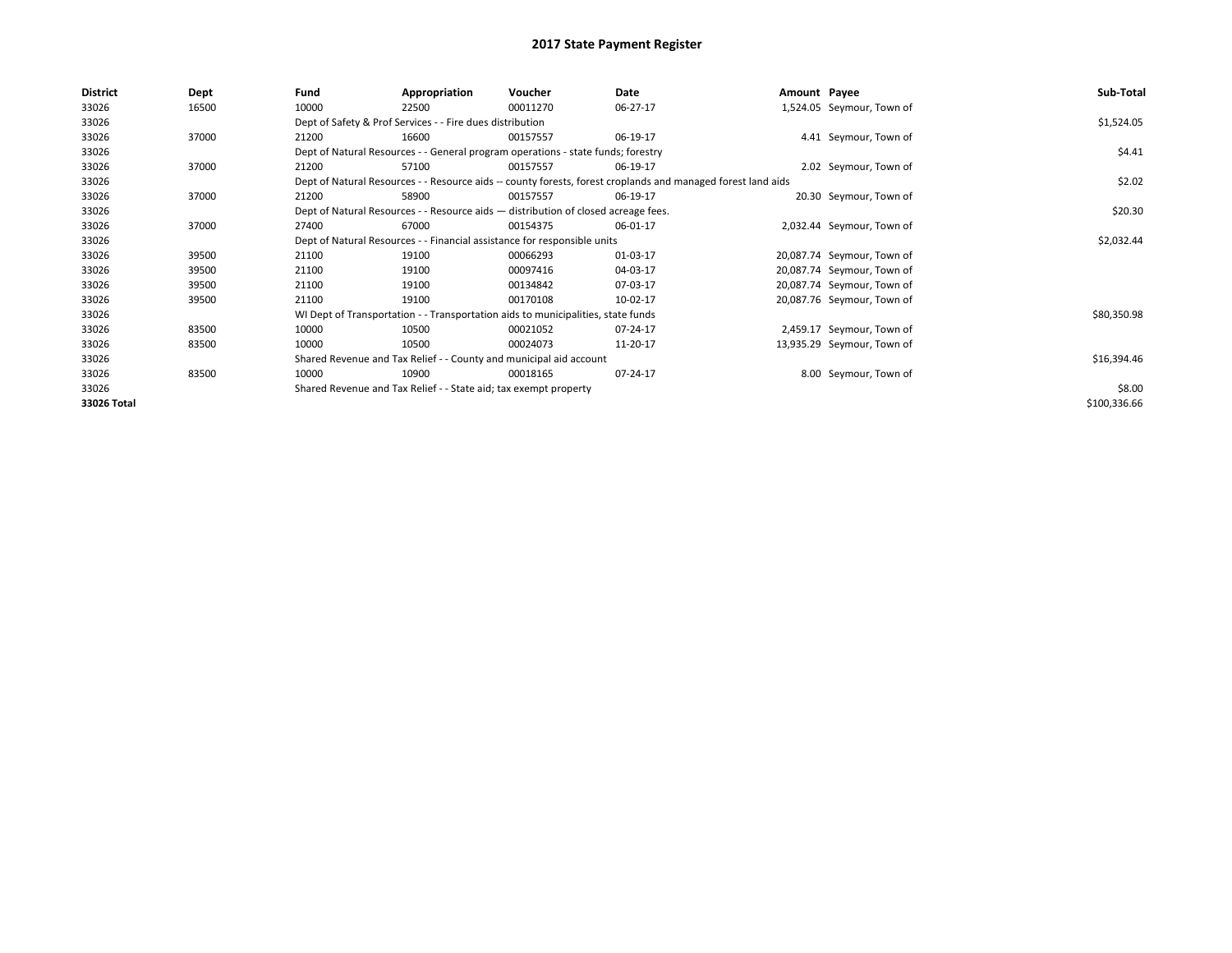| <b>District</b> | Dept  | Fund                                                             | Appropriation                                                                                                | Voucher  | Date     | Amount Payee |                            | Sub-Total    |  |  |
|-----------------|-------|------------------------------------------------------------------|--------------------------------------------------------------------------------------------------------------|----------|----------|--------------|----------------------------|--------------|--|--|
| 33026           | 16500 | 10000                                                            | 22500                                                                                                        | 00011270 | 06-27-17 |              | 1,524.05 Seymour, Town of  |              |  |  |
| 33026           |       |                                                                  | Dept of Safety & Prof Services - - Fire dues distribution                                                    |          |          |              |                            | \$1,524.05   |  |  |
| 33026           | 37000 | 21200                                                            | 16600                                                                                                        | 00157557 | 06-19-17 |              | 4.41 Seymour, Town of      |              |  |  |
| 33026           |       |                                                                  | Dept of Natural Resources - - General program operations - state funds; forestry                             |          |          |              |                            | \$4.41       |  |  |
| 33026           | 37000 | 21200                                                            | 57100                                                                                                        | 00157557 | 06-19-17 |              | 2.02 Seymour, Town of      |              |  |  |
| 33026           |       |                                                                  | Dept of Natural Resources - - Resource aids -- county forests, forest croplands and managed forest land aids |          |          |              |                            |              |  |  |
| 33026           | 37000 | 21200                                                            | 58900                                                                                                        | 00157557 | 06-19-17 |              | 20.30 Seymour, Town of     |              |  |  |
| 33026           |       |                                                                  | Dept of Natural Resources - - Resource aids - distribution of closed acreage fees.                           |          |          |              |                            | \$20.30      |  |  |
| 33026           | 37000 | 27400                                                            | 67000                                                                                                        | 00154375 | 06-01-17 |              | 2,032.44 Seymour, Town of  |              |  |  |
| 33026           |       |                                                                  | Dept of Natural Resources - - Financial assistance for responsible units                                     |          |          |              |                            | \$2,032.44   |  |  |
| 33026           | 39500 | 21100                                                            | 19100                                                                                                        | 00066293 | 01-03-17 |              | 20,087.74 Seymour, Town of |              |  |  |
| 33026           | 39500 | 21100                                                            | 19100                                                                                                        | 00097416 | 04-03-17 |              | 20,087.74 Seymour, Town of |              |  |  |
| 33026           | 39500 | 21100                                                            | 19100                                                                                                        | 00134842 | 07-03-17 |              | 20,087.74 Seymour, Town of |              |  |  |
| 33026           | 39500 | 21100                                                            | 19100                                                                                                        | 00170108 | 10-02-17 |              | 20,087.76 Seymour, Town of |              |  |  |
| 33026           |       |                                                                  | WI Dept of Transportation - - Transportation aids to municipalities, state funds                             |          |          |              |                            | \$80,350.98  |  |  |
| 33026           | 83500 | 10000                                                            | 10500                                                                                                        | 00021052 | 07-24-17 |              | 2,459.17 Seymour, Town of  |              |  |  |
| 33026           | 83500 | 10000                                                            | 10500                                                                                                        | 00024073 | 11-20-17 |              | 13,935.29 Seymour, Town of |              |  |  |
| 33026           |       |                                                                  | Shared Revenue and Tax Relief - - County and municipal aid account                                           |          |          |              |                            | \$16,394.46  |  |  |
| 33026           | 83500 | 10000                                                            | 10900                                                                                                        | 00018165 | 07-24-17 |              | 8.00 Seymour, Town of      |              |  |  |
| 33026           |       | Shared Revenue and Tax Relief - - State aid; tax exempt property |                                                                                                              | \$8.00   |          |              |                            |              |  |  |
| 33026 Total     |       |                                                                  |                                                                                                              |          |          |              |                            | \$100,336.66 |  |  |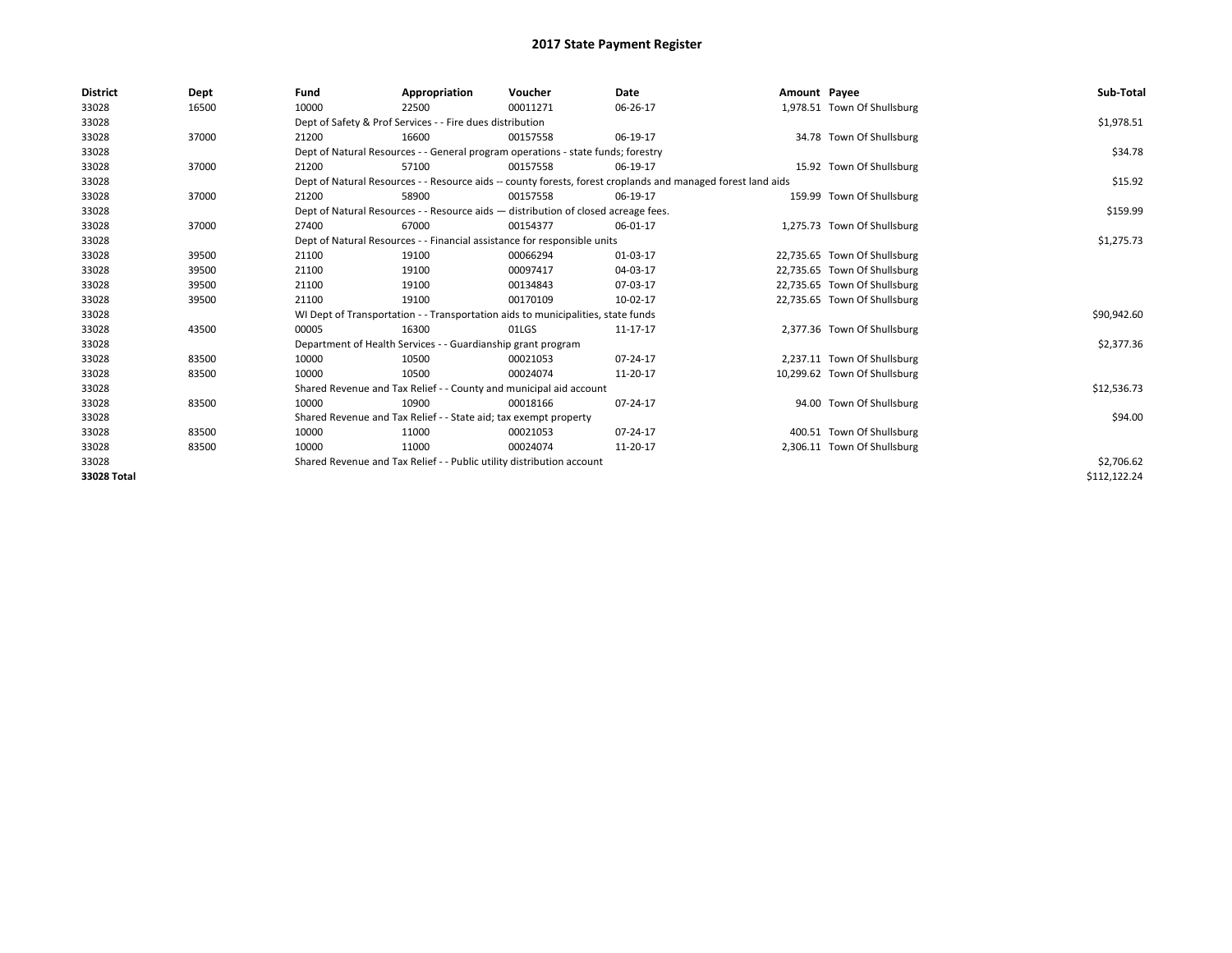| <b>District</b> | Dept  | Fund  | Appropriation                                                            | Voucher                                                                            | <b>Date</b>                                                                                                  | Amount Payee |                              | Sub-Total    |  |  |  |
|-----------------|-------|-------|--------------------------------------------------------------------------|------------------------------------------------------------------------------------|--------------------------------------------------------------------------------------------------------------|--------------|------------------------------|--------------|--|--|--|
| 33028           | 16500 | 10000 | 22500                                                                    | 00011271                                                                           | 06-26-17                                                                                                     |              | 1,978.51 Town Of Shullsburg  |              |  |  |  |
| 33028           |       |       | Dept of Safety & Prof Services - - Fire dues distribution                |                                                                                    |                                                                                                              |              |                              | \$1,978.51   |  |  |  |
| 33028           | 37000 | 21200 | 16600                                                                    | 00157558                                                                           | 06-19-17                                                                                                     |              | 34.78 Town Of Shullsburg     |              |  |  |  |
| 33028           |       |       |                                                                          | Dept of Natural Resources - - General program operations - state funds; forestry   |                                                                                                              |              |                              | \$34.78      |  |  |  |
| 33028           | 37000 | 21200 | 57100                                                                    | 00157558                                                                           | 06-19-17                                                                                                     |              | 15.92 Town Of Shullsburg     |              |  |  |  |
| 33028           |       |       |                                                                          |                                                                                    | Dept of Natural Resources - - Resource aids -- county forests, forest croplands and managed forest land aids |              |                              | \$15.92      |  |  |  |
| 33028           | 37000 | 21200 | 58900                                                                    | 00157558                                                                           | 06-19-17                                                                                                     |              | 159.99 Town Of Shullsburg    |              |  |  |  |
| 33028           |       |       |                                                                          | Dept of Natural Resources - - Resource aids - distribution of closed acreage fees. |                                                                                                              |              |                              | \$159.99     |  |  |  |
| 33028           | 37000 | 27400 | 67000                                                                    | 00154377                                                                           | 06-01-17                                                                                                     |              | 1,275.73 Town Of Shullsburg  |              |  |  |  |
| 33028           |       |       | Dept of Natural Resources - - Financial assistance for responsible units |                                                                                    |                                                                                                              |              |                              |              |  |  |  |
| 33028           | 39500 | 21100 | 19100                                                                    | 00066294                                                                           | 01-03-17                                                                                                     |              | 22,735.65 Town Of Shullsburg |              |  |  |  |
| 33028           | 39500 | 21100 | 19100                                                                    | 00097417                                                                           | 04-03-17                                                                                                     |              | 22,735.65 Town Of Shullsburg |              |  |  |  |
| 33028           | 39500 | 21100 | 19100                                                                    | 00134843                                                                           | 07-03-17                                                                                                     |              | 22,735.65 Town Of Shullsburg |              |  |  |  |
| 33028           | 39500 | 21100 | 19100                                                                    | 00170109                                                                           | 10-02-17                                                                                                     |              | 22,735.65 Town Of Shullsburg |              |  |  |  |
| 33028           |       |       |                                                                          | WI Dept of Transportation - - Transportation aids to municipalities, state funds   |                                                                                                              |              |                              | \$90,942.60  |  |  |  |
| 33028           | 43500 | 00005 | 16300                                                                    | 01LGS                                                                              | 11-17-17                                                                                                     |              | 2,377.36 Town Of Shullsburg  |              |  |  |  |
| 33028           |       |       | Department of Health Services - - Guardianship grant program             |                                                                                    |                                                                                                              |              |                              | \$2,377.36   |  |  |  |
| 33028           | 83500 | 10000 | 10500                                                                    | 00021053                                                                           | 07-24-17                                                                                                     |              | 2,237.11 Town Of Shullsburg  |              |  |  |  |
| 33028           | 83500 | 10000 | 10500                                                                    | 00024074                                                                           | 11-20-17                                                                                                     |              | 10,299.62 Town Of Shullsburg |              |  |  |  |
| 33028           |       |       |                                                                          | Shared Revenue and Tax Relief - - County and municipal aid account                 |                                                                                                              |              |                              | \$12,536.73  |  |  |  |
| 33028           | 83500 | 10000 | 10900                                                                    | 00018166                                                                           | 07-24-17                                                                                                     |              | 94.00 Town Of Shullsburg     |              |  |  |  |
| 33028           |       |       | Shared Revenue and Tax Relief - - State aid; tax exempt property         |                                                                                    |                                                                                                              |              |                              | \$94.00      |  |  |  |
| 33028           | 83500 | 10000 | 11000                                                                    | 00021053                                                                           | 07-24-17                                                                                                     |              | 400.51 Town Of Shullsburg    |              |  |  |  |
| 33028           | 83500 | 10000 | 11000                                                                    | 00024074                                                                           | 11-20-17                                                                                                     |              | 2,306.11 Town Of Shullsburg  |              |  |  |  |
| 33028           |       |       | Shared Revenue and Tax Relief - - Public utility distribution account    |                                                                                    |                                                                                                              |              |                              | \$2,706.62   |  |  |  |
| 33028 Total     |       |       |                                                                          |                                                                                    |                                                                                                              |              |                              | \$112,122.24 |  |  |  |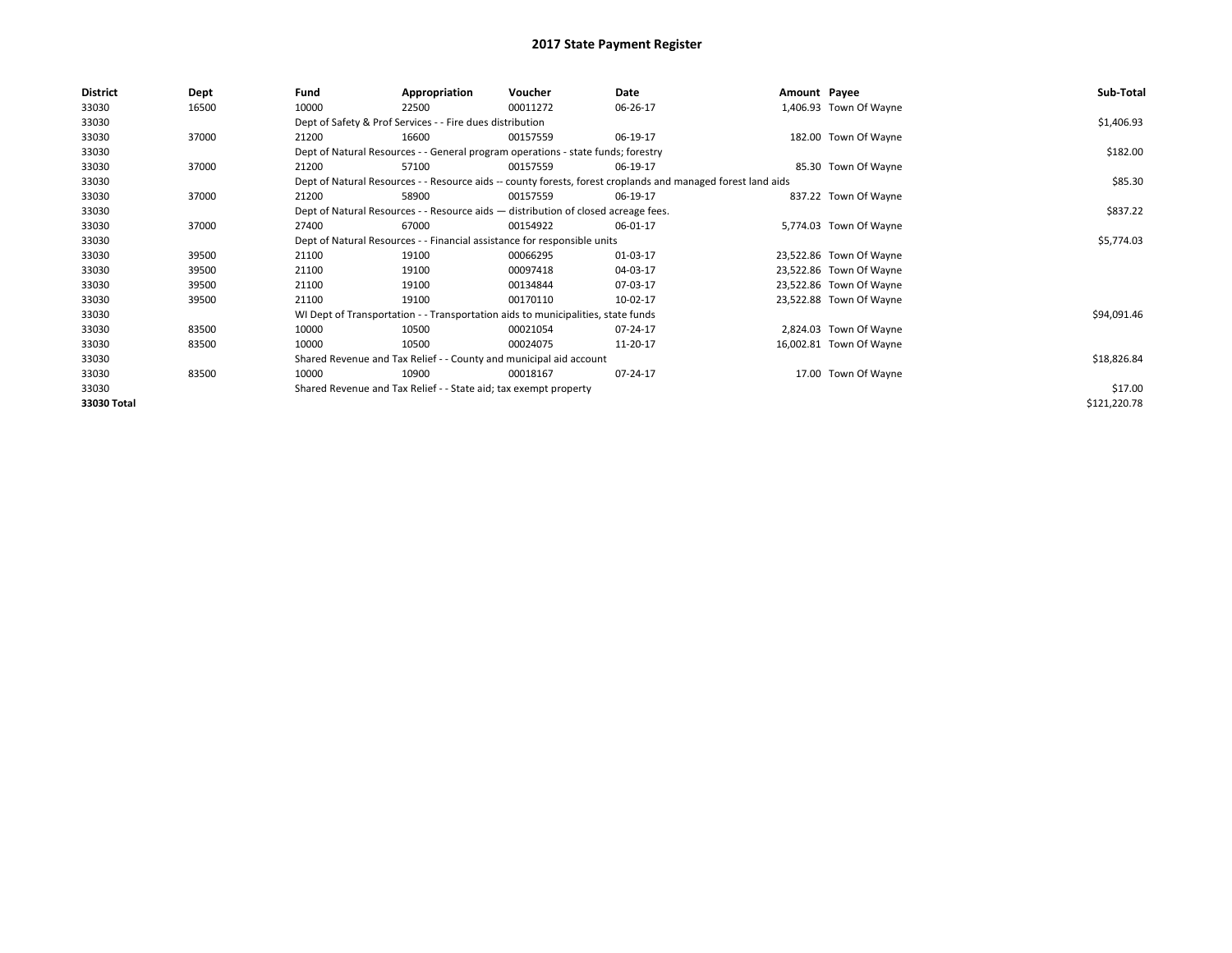| <b>District</b> | <b>Dept</b> | Fund  | Appropriation                                                                      | Voucher  | Date                                                                                                         | Amount Payee |                         | Sub-Total    |
|-----------------|-------------|-------|------------------------------------------------------------------------------------|----------|--------------------------------------------------------------------------------------------------------------|--------------|-------------------------|--------------|
| 33030           | 16500       | 10000 | 22500                                                                              | 00011272 | 06-26-17                                                                                                     |              | 1,406.93 Town Of Wayne  |              |
| 33030           |             |       | Dept of Safety & Prof Services - - Fire dues distribution                          |          |                                                                                                              |              |                         | \$1,406.93   |
| 33030           | 37000       | 21200 | 16600                                                                              | 00157559 | 06-19-17                                                                                                     |              | 182.00 Town Of Wayne    |              |
| 33030           |             |       | Dept of Natural Resources - - General program operations - state funds; forestry   |          |                                                                                                              |              |                         | \$182.00     |
| 33030           | 37000       | 21200 | 57100                                                                              | 00157559 | 06-19-17                                                                                                     |              | 85.30 Town Of Wayne     |              |
| 33030           |             |       |                                                                                    |          | Dept of Natural Resources - - Resource aids -- county forests, forest croplands and managed forest land aids |              |                         | \$85.30      |
| 33030           | 37000       | 21200 | 58900                                                                              | 00157559 | 06-19-17                                                                                                     |              | 837.22 Town Of Wayne    |              |
| 33030           |             |       | Dept of Natural Resources - - Resource aids - distribution of closed acreage fees. |          | \$837.22                                                                                                     |              |                         |              |
| 33030           | 37000       | 27400 | 67000                                                                              | 00154922 | 06-01-17                                                                                                     |              | 5,774.03 Town Of Wayne  |              |
| 33030           |             |       | Dept of Natural Resources - - Financial assistance for responsible units           |          |                                                                                                              |              |                         | \$5,774.03   |
| 33030           | 39500       | 21100 | 19100                                                                              | 00066295 | 01-03-17                                                                                                     |              | 23,522.86 Town Of Wayne |              |
| 33030           | 39500       | 21100 | 19100                                                                              | 00097418 | 04-03-17                                                                                                     |              | 23,522.86 Town Of Wayne |              |
| 33030           | 39500       | 21100 | 19100                                                                              | 00134844 | 07-03-17                                                                                                     |              | 23,522.86 Town Of Wayne |              |
| 33030           | 39500       | 21100 | 19100                                                                              | 00170110 | 10-02-17                                                                                                     |              | 23,522.88 Town Of Wayne |              |
| 33030           |             |       | WI Dept of Transportation - - Transportation aids to municipalities, state funds   |          |                                                                                                              |              |                         | \$94,091.46  |
| 33030           | 83500       | 10000 | 10500                                                                              | 00021054 | 07-24-17                                                                                                     |              | 2,824.03 Town Of Wayne  |              |
| 33030           | 83500       | 10000 | 10500                                                                              | 00024075 | 11-20-17                                                                                                     |              | 16,002.81 Town Of Wayne |              |
| 33030           |             |       | Shared Revenue and Tax Relief - - County and municipal aid account                 |          |                                                                                                              |              |                         | \$18,826.84  |
| 33030           | 83500       | 10000 | 10900                                                                              | 00018167 | 07-24-17                                                                                                     |              | 17.00 Town Of Wayne     |              |
| 33030           |             |       | Shared Revenue and Tax Relief - - State aid; tax exempt property                   |          |                                                                                                              |              |                         | \$17.00      |
| 33030 Total     |             |       |                                                                                    |          |                                                                                                              |              |                         | \$121,220.78 |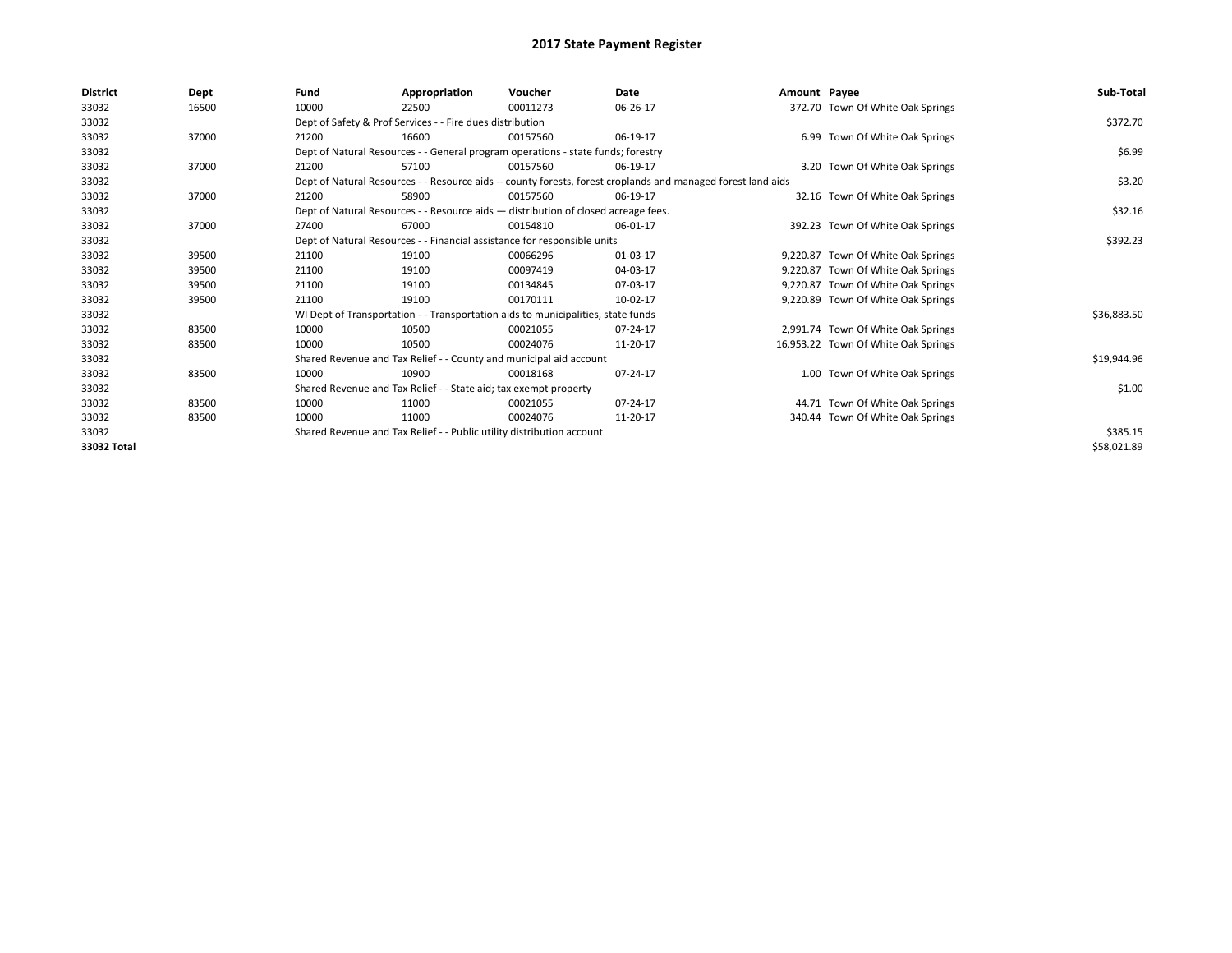| <b>District</b> | Dept  | Fund  | Appropriation                                                                      | Voucher  | Date                                                                                                         | Amount Payee |                                     | Sub-Total   |
|-----------------|-------|-------|------------------------------------------------------------------------------------|----------|--------------------------------------------------------------------------------------------------------------|--------------|-------------------------------------|-------------|
| 33032           | 16500 | 10000 | 22500                                                                              | 00011273 | 06-26-17                                                                                                     |              | 372.70 Town Of White Oak Springs    |             |
| 33032           |       |       | Dept of Safety & Prof Services - - Fire dues distribution                          |          |                                                                                                              |              |                                     | \$372.70    |
| 33032           | 37000 | 21200 | 16600                                                                              | 00157560 | 06-19-17                                                                                                     |              | 6.99 Town Of White Oak Springs      |             |
| 33032           |       |       | Dept of Natural Resources - - General program operations - state funds; forestry   |          |                                                                                                              |              |                                     | \$6.99      |
| 33032           | 37000 | 21200 | 57100                                                                              | 00157560 | 06-19-17                                                                                                     |              | 3.20 Town Of White Oak Springs      |             |
| 33032           |       |       |                                                                                    |          | Dept of Natural Resources - - Resource aids -- county forests, forest croplands and managed forest land aids |              |                                     | \$3.20      |
| 33032           | 37000 | 21200 | 58900                                                                              | 00157560 | 06-19-17                                                                                                     |              | 32.16 Town Of White Oak Springs     |             |
| 33032           |       |       | Dept of Natural Resources - - Resource aids - distribution of closed acreage fees. |          |                                                                                                              |              |                                     | \$32.16     |
| 33032           | 37000 | 27400 | 67000                                                                              | 00154810 | 06-01-17                                                                                                     |              | 392.23 Town Of White Oak Springs    |             |
| 33032           |       |       | Dept of Natural Resources - - Financial assistance for responsible units           |          |                                                                                                              |              |                                     | \$392.23    |
| 33032           | 39500 | 21100 | 19100                                                                              | 00066296 | 01-03-17                                                                                                     |              | 9,220.87 Town Of White Oak Springs  |             |
| 33032           | 39500 | 21100 | 19100                                                                              | 00097419 | 04-03-17                                                                                                     |              | 9,220.87 Town Of White Oak Springs  |             |
| 33032           | 39500 | 21100 | 19100                                                                              | 00134845 | 07-03-17                                                                                                     |              | 9,220.87 Town Of White Oak Springs  |             |
| 33032           | 39500 | 21100 | 19100                                                                              | 00170111 | 10-02-17                                                                                                     |              | 9,220.89 Town Of White Oak Springs  |             |
| 33032           |       |       | WI Dept of Transportation - - Transportation aids to municipalities, state funds   |          |                                                                                                              |              |                                     | \$36,883.50 |
| 33032           | 83500 | 10000 | 10500                                                                              | 00021055 | 07-24-17                                                                                                     |              | 2,991.74 Town Of White Oak Springs  |             |
| 33032           | 83500 | 10000 | 10500                                                                              | 00024076 | 11-20-17                                                                                                     |              | 16,953.22 Town Of White Oak Springs |             |
| 33032           |       |       | Shared Revenue and Tax Relief - - County and municipal aid account                 |          |                                                                                                              |              |                                     | \$19,944.96 |
| 33032           | 83500 | 10000 | 10900                                                                              | 00018168 | 07-24-17                                                                                                     |              | 1.00 Town Of White Oak Springs      |             |
| 33032           |       |       | Shared Revenue and Tax Relief - - State aid; tax exempt property                   |          |                                                                                                              |              |                                     | \$1.00      |
| 33032           | 83500 | 10000 | 11000                                                                              | 00021055 | 07-24-17                                                                                                     |              | 44.71 Town Of White Oak Springs     |             |
| 33032           | 83500 | 10000 | 11000                                                                              | 00024076 | 11-20-17                                                                                                     |              | 340.44 Town Of White Oak Springs    |             |
| 33032           |       |       | Shared Revenue and Tax Relief - - Public utility distribution account              |          |                                                                                                              |              |                                     | \$385.15    |
| 33032 Total     |       |       |                                                                                    |          |                                                                                                              |              |                                     | \$58,021.89 |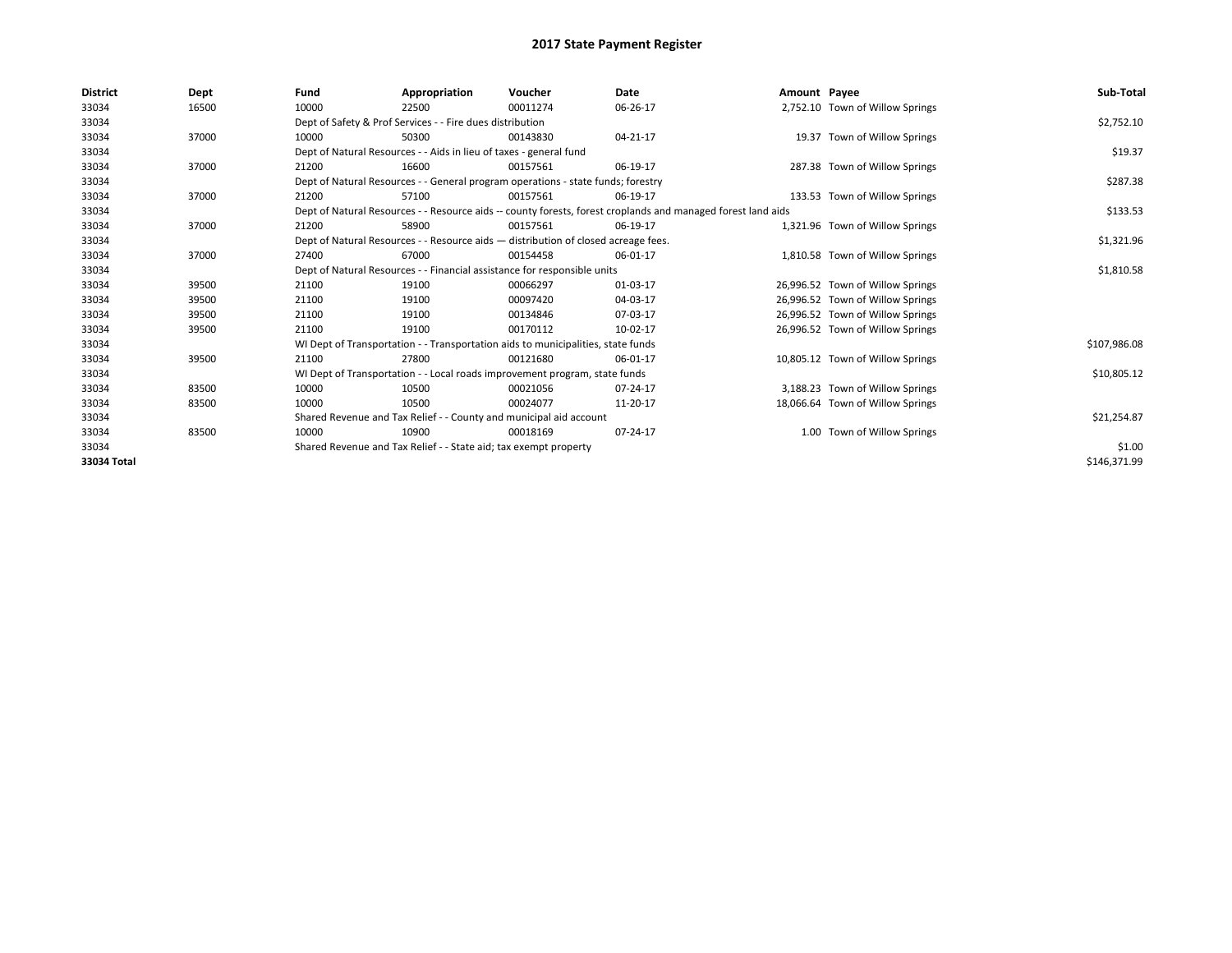| <b>District</b> | Dept  | Fund  | Appropriation                                                                                                | Voucher  | Date     | Amount Payee |                                  | Sub-Total    |  |  |
|-----------------|-------|-------|--------------------------------------------------------------------------------------------------------------|----------|----------|--------------|----------------------------------|--------------|--|--|
| 33034           | 16500 | 10000 | 22500                                                                                                        | 00011274 | 06-26-17 |              | 2,752.10 Town of Willow Springs  |              |  |  |
| 33034           |       |       | Dept of Safety & Prof Services - - Fire dues distribution                                                    |          |          |              |                                  | \$2,752.10   |  |  |
| 33034           | 37000 | 10000 | 50300                                                                                                        | 00143830 | 04-21-17 |              | 19.37 Town of Willow Springs     |              |  |  |
| 33034           |       |       | Dept of Natural Resources - - Aids in lieu of taxes - general fund                                           |          |          |              |                                  | \$19.37      |  |  |
| 33034           | 37000 | 21200 | 16600                                                                                                        | 00157561 | 06-19-17 |              | 287.38 Town of Willow Springs    |              |  |  |
| 33034           |       |       | Dept of Natural Resources - - General program operations - state funds; forestry                             |          |          |              |                                  | \$287.38     |  |  |
| 33034           | 37000 | 21200 | 57100                                                                                                        | 00157561 | 06-19-17 |              | 133.53 Town of Willow Springs    |              |  |  |
| 33034           |       |       | Dept of Natural Resources - - Resource aids -- county forests, forest croplands and managed forest land aids |          |          |              |                                  |              |  |  |
| 33034           | 37000 | 21200 | 58900                                                                                                        | 00157561 | 06-19-17 |              | 1,321.96 Town of Willow Springs  |              |  |  |
| 33034           |       |       | Dept of Natural Resources - - Resource aids - distribution of closed acreage fees.                           |          |          |              |                                  | \$1,321.96   |  |  |
| 33034           | 37000 | 27400 | 67000                                                                                                        | 00154458 | 06-01-17 |              | 1,810.58 Town of Willow Springs  |              |  |  |
| 33034           |       |       | Dept of Natural Resources - - Financial assistance for responsible units                                     |          |          |              |                                  |              |  |  |
| 33034           | 39500 | 21100 | 19100                                                                                                        | 00066297 | 01-03-17 |              | 26,996.52 Town of Willow Springs |              |  |  |
| 33034           | 39500 | 21100 | 19100                                                                                                        | 00097420 | 04-03-17 |              | 26,996.52 Town of Willow Springs |              |  |  |
| 33034           | 39500 | 21100 | 19100                                                                                                        | 00134846 | 07-03-17 |              | 26,996.52 Town of Willow Springs |              |  |  |
| 33034           | 39500 | 21100 | 19100                                                                                                        | 00170112 | 10-02-17 |              | 26,996.52 Town of Willow Springs |              |  |  |
| 33034           |       |       | WI Dept of Transportation - - Transportation aids to municipalities, state funds                             |          |          |              |                                  | \$107,986.08 |  |  |
| 33034           | 39500 | 21100 | 27800                                                                                                        | 00121680 | 06-01-17 |              | 10,805.12 Town of Willow Springs |              |  |  |
| 33034           |       |       | WI Dept of Transportation - - Local roads improvement program, state funds                                   |          |          |              |                                  | \$10,805.12  |  |  |
| 33034           | 83500 | 10000 | 10500                                                                                                        | 00021056 | 07-24-17 |              | 3,188.23 Town of Willow Springs  |              |  |  |
| 33034           | 83500 | 10000 | 10500                                                                                                        | 00024077 | 11-20-17 |              | 18,066.64 Town of Willow Springs |              |  |  |
| 33034           |       |       | Shared Revenue and Tax Relief - - County and municipal aid account                                           |          |          |              |                                  | \$21,254.87  |  |  |
| 33034           | 83500 | 10000 | 10900                                                                                                        | 00018169 | 07-24-17 |              | 1.00 Town of Willow Springs      |              |  |  |
| 33034           |       |       | Shared Revenue and Tax Relief - - State aid; tax exempt property                                             |          |          |              |                                  | \$1.00       |  |  |
| 33034 Total     |       |       |                                                                                                              |          |          |              |                                  | \$146,371.99 |  |  |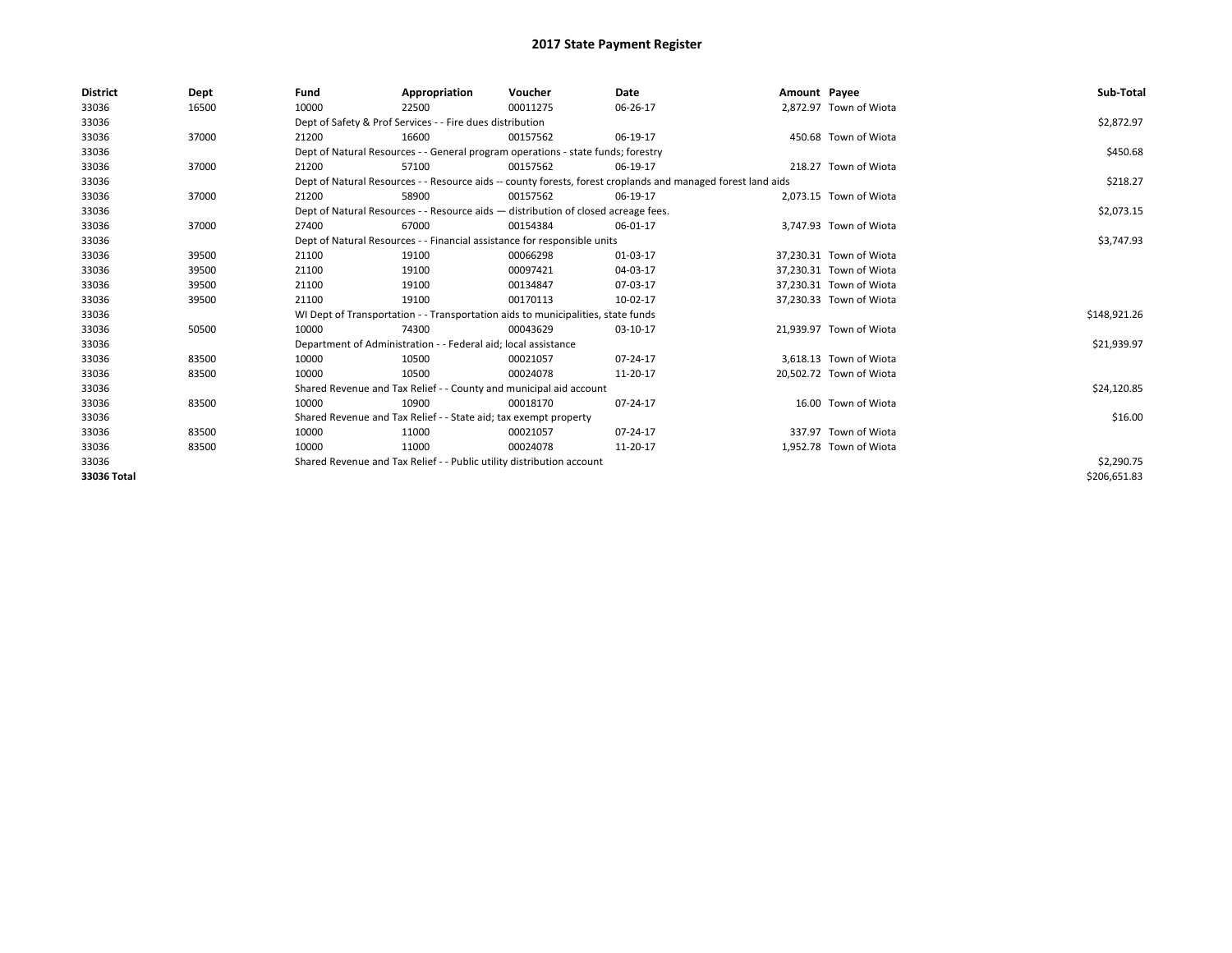| <b>District</b> | Dept  | Fund  | Appropriation                                                                      | Voucher  | Date                                                                                                         | Amount Payee |                         | Sub-Total    |
|-----------------|-------|-------|------------------------------------------------------------------------------------|----------|--------------------------------------------------------------------------------------------------------------|--------------|-------------------------|--------------|
| 33036           | 16500 | 10000 | 22500                                                                              | 00011275 | 06-26-17                                                                                                     |              | 2.872.97 Town of Wiota  |              |
| 33036           |       |       | Dept of Safety & Prof Services - - Fire dues distribution                          |          |                                                                                                              |              |                         | \$2,872.97   |
| 33036           | 37000 | 21200 | 16600                                                                              | 00157562 | 06-19-17                                                                                                     |              | 450.68 Town of Wiota    |              |
| 33036           |       |       | Dept of Natural Resources - - General program operations - state funds; forestry   |          |                                                                                                              |              |                         | \$450.68     |
| 33036           | 37000 | 21200 | 57100                                                                              | 00157562 | 06-19-17                                                                                                     |              | 218.27 Town of Wiota    |              |
| 33036           |       |       |                                                                                    |          | Dept of Natural Resources - - Resource aids -- county forests, forest croplands and managed forest land aids |              |                         | \$218.27     |
| 33036           | 37000 | 21200 | 58900                                                                              | 00157562 | 06-19-17                                                                                                     |              | 2,073.15 Town of Wiota  |              |
| 33036           |       |       | Dept of Natural Resources - - Resource aids - distribution of closed acreage fees. |          |                                                                                                              |              |                         | \$2,073.15   |
| 33036           | 37000 | 27400 | 67000                                                                              | 00154384 | 06-01-17                                                                                                     |              | 3,747.93 Town of Wiota  |              |
| 33036           |       |       | Dept of Natural Resources - - Financial assistance for responsible units           |          | \$3,747.93                                                                                                   |              |                         |              |
| 33036           | 39500 | 21100 | 19100                                                                              | 00066298 | 01-03-17                                                                                                     |              | 37,230.31 Town of Wiota |              |
| 33036           | 39500 | 21100 | 19100                                                                              | 00097421 | 04-03-17                                                                                                     |              | 37,230.31 Town of Wiota |              |
| 33036           | 39500 | 21100 | 19100                                                                              | 00134847 | 07-03-17                                                                                                     |              | 37,230.31 Town of Wiota |              |
| 33036           | 39500 | 21100 | 19100                                                                              | 00170113 | 10-02-17                                                                                                     |              | 37,230.33 Town of Wiota |              |
| 33036           |       |       | WI Dept of Transportation - - Transportation aids to municipalities, state funds   |          |                                                                                                              |              |                         | \$148,921.26 |
| 33036           | 50500 | 10000 | 74300                                                                              | 00043629 | 03-10-17                                                                                                     |              | 21.939.97 Town of Wiota |              |
| 33036           |       |       | Department of Administration - - Federal aid; local assistance                     |          |                                                                                                              |              |                         | \$21,939.97  |
| 33036           | 83500 | 10000 | 10500                                                                              | 00021057 | 07-24-17                                                                                                     |              | 3,618.13 Town of Wiota  |              |
| 33036           | 83500 | 10000 | 10500                                                                              | 00024078 | 11-20-17                                                                                                     |              | 20,502.72 Town of Wiota |              |
| 33036           |       |       | Shared Revenue and Tax Relief - - County and municipal aid account                 |          |                                                                                                              |              |                         | \$24,120.85  |
| 33036           | 83500 | 10000 | 10900                                                                              | 00018170 | 07-24-17                                                                                                     |              | 16.00 Town of Wiota     |              |
| 33036           |       |       | Shared Revenue and Tax Relief - - State aid; tax exempt property                   |          |                                                                                                              |              |                         | \$16.00      |
| 33036           | 83500 | 10000 | 11000                                                                              | 00021057 | 07-24-17                                                                                                     |              | 337.97 Town of Wiota    |              |
| 33036           | 83500 | 10000 | 11000                                                                              | 00024078 | 11-20-17                                                                                                     |              | 1,952.78 Town of Wiota  |              |
| 33036           |       |       | Shared Revenue and Tax Relief - - Public utility distribution account              |          |                                                                                                              |              |                         | \$2,290.75   |
| 33036 Total     |       |       |                                                                                    |          |                                                                                                              |              |                         | \$206,651.83 |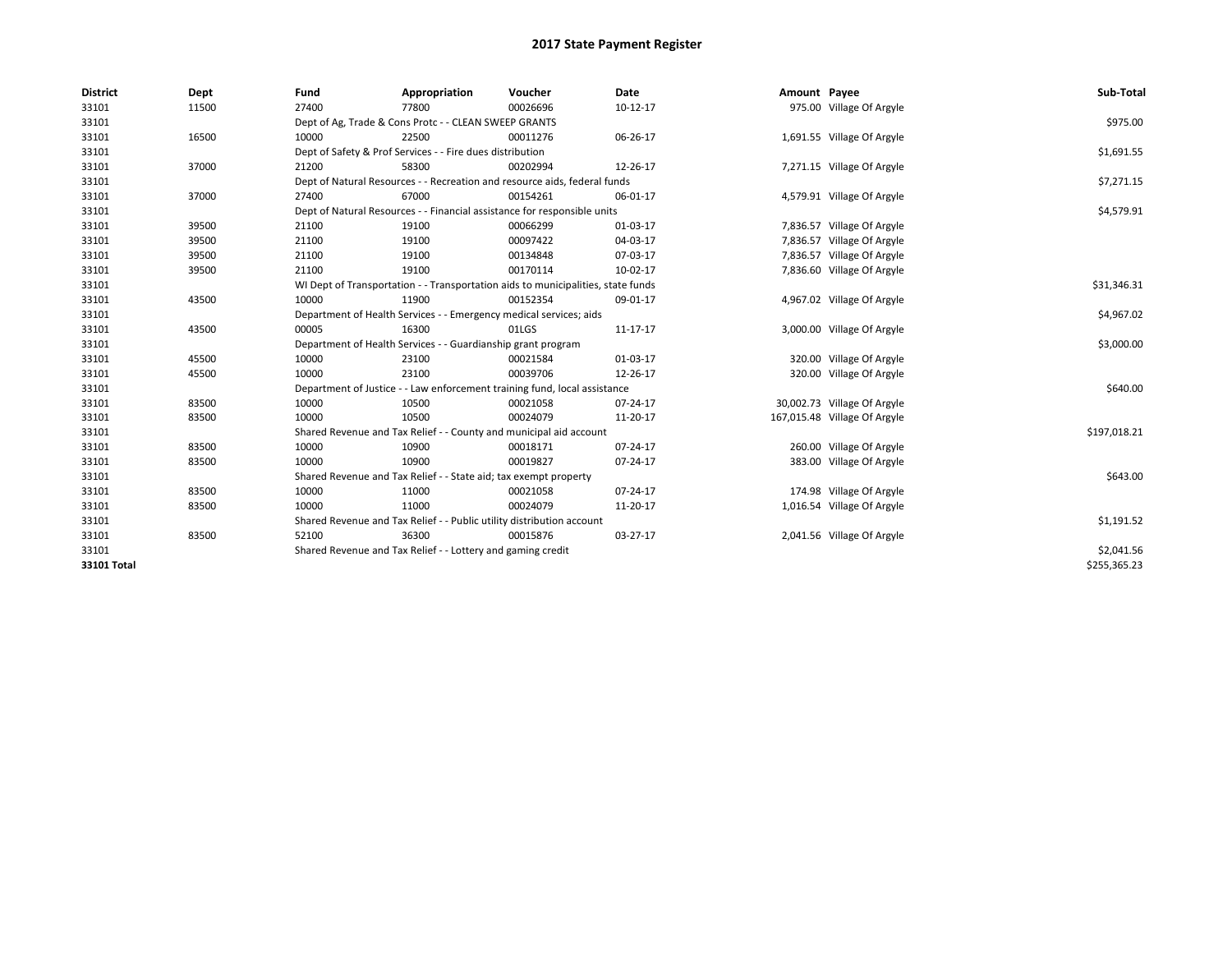| <b>District</b> | Dept  | Fund  | Appropriation                                                                    | Voucher  | Date       | Amount Payee |                              | Sub-Total    |  |  |  |
|-----------------|-------|-------|----------------------------------------------------------------------------------|----------|------------|--------------|------------------------------|--------------|--|--|--|
| 33101           | 11500 | 27400 | 77800                                                                            | 00026696 | $10-12-17$ |              | 975.00 Village Of Argyle     |              |  |  |  |
| 33101           |       |       | Dept of Ag, Trade & Cons Protc - - CLEAN SWEEP GRANTS                            |          |            |              |                              | \$975.00     |  |  |  |
| 33101           | 16500 | 10000 | 22500                                                                            | 00011276 | 06-26-17   |              | 1,691.55 Village Of Argyle   |              |  |  |  |
| 33101           |       |       | Dept of Safety & Prof Services - - Fire dues distribution                        |          |            |              |                              | \$1,691.55   |  |  |  |
| 33101           | 37000 | 21200 | 58300                                                                            | 00202994 | 12-26-17   |              | 7,271.15 Village Of Argyle   |              |  |  |  |
| 33101           |       |       | Dept of Natural Resources - - Recreation and resource aids, federal funds        |          |            |              |                              | \$7,271.15   |  |  |  |
| 33101           | 37000 | 27400 | 67000                                                                            | 00154261 | 06-01-17   |              | 4,579.91 Village Of Argyle   |              |  |  |  |
| 33101           |       |       | Dept of Natural Resources - - Financial assistance for responsible units         |          |            |              |                              | \$4,579.91   |  |  |  |
| 33101           | 39500 | 21100 | 19100                                                                            | 00066299 | 01-03-17   |              | 7,836.57 Village Of Argyle   |              |  |  |  |
| 33101           | 39500 | 21100 | 19100                                                                            | 00097422 | 04-03-17   |              | 7,836.57 Village Of Argyle   |              |  |  |  |
| 33101           | 39500 | 21100 | 19100                                                                            | 00134848 | 07-03-17   |              | 7,836.57 Village Of Argyle   |              |  |  |  |
| 33101           | 39500 | 21100 | 19100                                                                            | 00170114 | 10-02-17   |              | 7,836.60 Village Of Argyle   |              |  |  |  |
| 33101           |       |       | WI Dept of Transportation - - Transportation aids to municipalities, state funds |          |            |              |                              | \$31,346.31  |  |  |  |
| 33101           | 43500 | 10000 | 11900                                                                            | 00152354 | 09-01-17   |              | 4,967.02 Village Of Argyle   |              |  |  |  |
| 33101           |       |       | Department of Health Services - - Emergency medical services; aids               |          |            |              |                              |              |  |  |  |
| 33101           | 43500 | 00005 | 16300                                                                            | 01LGS    | 11-17-17   |              | 3,000.00 Village Of Argyle   |              |  |  |  |
| 33101           |       |       | Department of Health Services - - Guardianship grant program                     |          |            |              |                              | \$3,000.00   |  |  |  |
| 33101           | 45500 | 10000 | 23100                                                                            | 00021584 | 01-03-17   |              | 320.00 Village Of Argyle     |              |  |  |  |
| 33101           | 45500 | 10000 | 23100                                                                            | 00039706 | 12-26-17   |              | 320.00 Village Of Argyle     |              |  |  |  |
| 33101           |       |       | Department of Justice - - Law enforcement training fund, local assistance        |          |            |              |                              | \$640.00     |  |  |  |
| 33101           | 83500 | 10000 | 10500                                                                            | 00021058 | 07-24-17   |              | 30,002.73 Village Of Argyle  |              |  |  |  |
| 33101           | 83500 | 10000 | 10500                                                                            | 00024079 | 11-20-17   |              | 167,015.48 Village Of Argyle |              |  |  |  |
| 33101           |       |       | Shared Revenue and Tax Relief - - County and municipal aid account               |          |            |              |                              | \$197,018.21 |  |  |  |
| 33101           | 83500 | 10000 | 10900                                                                            | 00018171 | 07-24-17   |              | 260.00 Village Of Argyle     |              |  |  |  |
| 33101           | 83500 | 10000 | 10900                                                                            | 00019827 | 07-24-17   |              | 383.00 Village Of Argyle     |              |  |  |  |
| 33101           |       |       | Shared Revenue and Tax Relief - - State aid; tax exempt property                 |          |            |              |                              | \$643.00     |  |  |  |
| 33101           | 83500 | 10000 | 11000                                                                            | 00021058 | 07-24-17   |              | 174.98 Village Of Argyle     |              |  |  |  |
| 33101           | 83500 | 10000 | 11000                                                                            | 00024079 | 11-20-17   |              | 1,016.54 Village Of Argyle   |              |  |  |  |
| 33101           |       |       | Shared Revenue and Tax Relief - - Public utility distribution account            |          |            |              |                              | \$1,191.52   |  |  |  |
| 33101           | 83500 | 52100 | 36300                                                                            | 00015876 | 03-27-17   |              | 2,041.56 Village Of Argyle   |              |  |  |  |
| 33101           |       |       | Shared Revenue and Tax Relief - - Lottery and gaming credit                      |          |            |              |                              | \$2,041.56   |  |  |  |
| 33101 Total     |       |       |                                                                                  |          |            |              |                              | \$255,365.23 |  |  |  |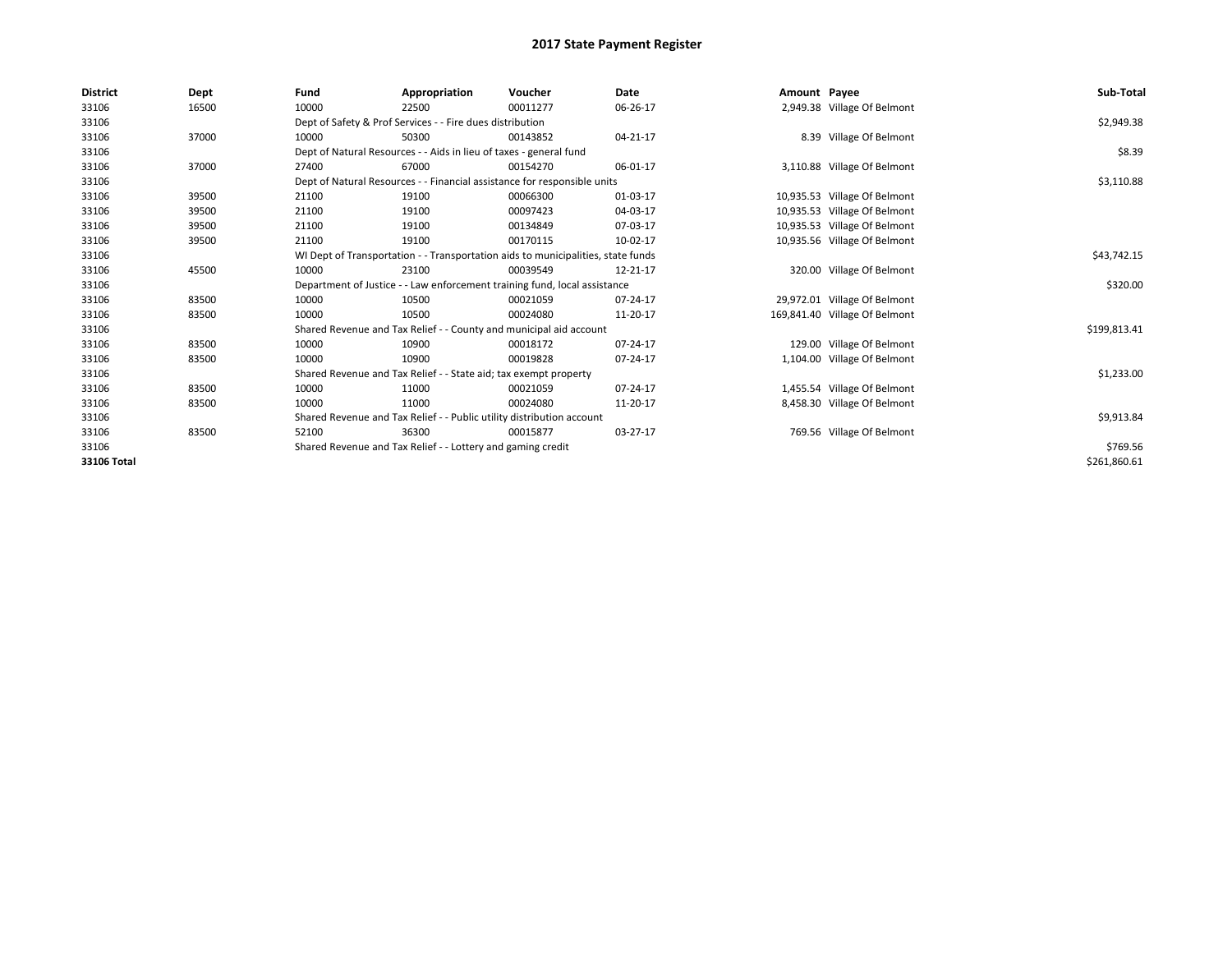| <b>District</b> | Dept  | Fund                                                                             | Appropriation                                                             | Voucher     | <b>Date</b> | Amount Payee |                               | Sub-Total    |
|-----------------|-------|----------------------------------------------------------------------------------|---------------------------------------------------------------------------|-------------|-------------|--------------|-------------------------------|--------------|
| 33106           | 16500 | 10000                                                                            | 22500                                                                     | 00011277    | 06-26-17    |              | 2,949.38 Village Of Belmont   |              |
| 33106           |       |                                                                                  | Dept of Safety & Prof Services - - Fire dues distribution                 |             |             |              |                               | \$2,949.38   |
| 33106           | 37000 | 10000                                                                            | 50300                                                                     | 00143852    | 04-21-17    |              | 8.39 Village Of Belmont       |              |
| 33106           |       |                                                                                  | Dept of Natural Resources - - Aids in lieu of taxes - general fund        |             |             |              |                               | \$8.39       |
| 33106           | 37000 | 27400                                                                            | 67000                                                                     | 00154270    | 06-01-17    |              | 3,110.88 Village Of Belmont   |              |
| 33106           |       |                                                                                  | Dept of Natural Resources - - Financial assistance for responsible units  |             |             |              |                               | \$3,110.88   |
| 33106           | 39500 | 21100                                                                            | 19100                                                                     | 00066300    | 01-03-17    |              | 10,935.53 Village Of Belmont  |              |
| 33106           | 39500 | 21100                                                                            | 19100                                                                     | 00097423    | 04-03-17    |              | 10,935.53 Village Of Belmont  |              |
| 33106           | 39500 | 21100                                                                            | 19100                                                                     | 00134849    | 07-03-17    |              | 10,935.53 Village Of Belmont  |              |
| 33106           | 39500 | 21100                                                                            | 19100                                                                     | 00170115    | 10-02-17    |              | 10,935.56 Village Of Belmont  |              |
| 33106           |       | WI Dept of Transportation - - Transportation aids to municipalities, state funds |                                                                           | \$43,742.15 |             |              |                               |              |
| 33106           | 45500 | 10000                                                                            | 23100                                                                     | 00039549    | 12-21-17    |              | 320.00 Village Of Belmont     |              |
| 33106           |       |                                                                                  | Department of Justice - - Law enforcement training fund, local assistance |             |             |              |                               | \$320.00     |
| 33106           | 83500 | 10000                                                                            | 10500                                                                     | 00021059    | 07-24-17    |              | 29,972.01 Village Of Belmont  |              |
| 33106           | 83500 | 10000                                                                            | 10500                                                                     | 00024080    | 11-20-17    |              | 169,841.40 Village Of Belmont |              |
| 33106           |       |                                                                                  | Shared Revenue and Tax Relief - - County and municipal aid account        |             |             |              |                               | \$199,813.41 |
| 33106           | 83500 | 10000                                                                            | 10900                                                                     | 00018172    | 07-24-17    |              | 129.00 Village Of Belmont     |              |
| 33106           | 83500 | 10000                                                                            | 10900                                                                     | 00019828    | 07-24-17    |              | 1,104.00 Village Of Belmont   |              |
| 33106           |       |                                                                                  | Shared Revenue and Tax Relief - - State aid; tax exempt property          |             |             |              |                               | \$1,233.00   |
| 33106           | 83500 | 10000                                                                            | 11000                                                                     | 00021059    | 07-24-17    |              | 1,455.54 Village Of Belmont   |              |
| 33106           | 83500 | 10000                                                                            | 11000                                                                     | 00024080    | 11-20-17    |              | 8,458.30 Village Of Belmont   |              |
| 33106           |       |                                                                                  | Shared Revenue and Tax Relief - - Public utility distribution account     |             |             |              |                               | \$9,913.84   |
| 33106           | 83500 | 52100                                                                            | 36300                                                                     | 00015877    | 03-27-17    |              | 769.56 Village Of Belmont     |              |
| 33106           |       |                                                                                  | Shared Revenue and Tax Relief - - Lottery and gaming credit               |             |             |              |                               | \$769.56     |
| 33106 Total     |       |                                                                                  |                                                                           |             |             |              |                               | \$261,860.61 |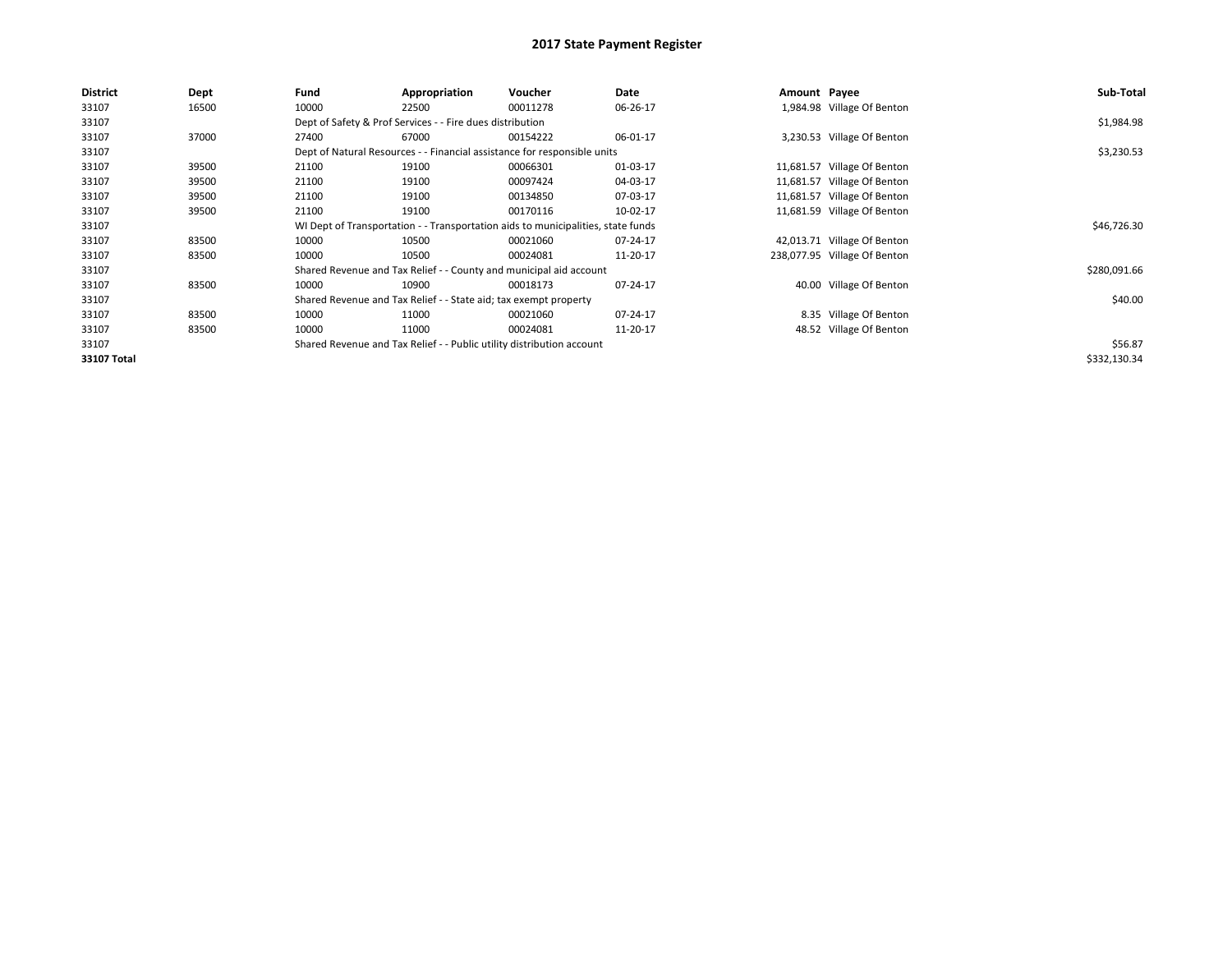| <b>District</b> | Dept  | Fund  | Appropriation                                                         | Voucher                                                                          | Date     | Amount Payee |                              | Sub-Total    |  |  |  |  |
|-----------------|-------|-------|-----------------------------------------------------------------------|----------------------------------------------------------------------------------|----------|--------------|------------------------------|--------------|--|--|--|--|
| 33107           | 16500 | 10000 | 22500                                                                 | 00011278                                                                         | 06-26-17 |              | 1,984.98 Village Of Benton   |              |  |  |  |  |
| 33107           |       |       | Dept of Safety & Prof Services - - Fire dues distribution             |                                                                                  |          |              |                              |              |  |  |  |  |
| 33107           | 37000 | 27400 | 67000                                                                 | 00154222                                                                         | 06-01-17 |              | 3,230.53 Village Of Benton   |              |  |  |  |  |
| 33107           |       |       |                                                                       | Dept of Natural Resources - - Financial assistance for responsible units         |          |              |                              | \$3,230.53   |  |  |  |  |
| 33107           | 39500 | 21100 | 19100                                                                 | 00066301                                                                         | 01-03-17 |              | 11,681.57 Village Of Benton  |              |  |  |  |  |
| 33107           | 39500 | 21100 | 19100                                                                 | 00097424                                                                         | 04-03-17 |              | 11,681.57 Village Of Benton  |              |  |  |  |  |
| 33107           | 39500 | 21100 | 19100                                                                 | 00134850                                                                         | 07-03-17 |              | 11,681.57 Village Of Benton  |              |  |  |  |  |
| 33107           | 39500 | 21100 | 19100                                                                 | 00170116                                                                         | 10-02-17 |              | 11,681.59 Village Of Benton  |              |  |  |  |  |
| 33107           |       |       |                                                                       | WI Dept of Transportation - - Transportation aids to municipalities, state funds |          |              |                              | \$46,726.30  |  |  |  |  |
| 33107           | 83500 | 10000 | 10500                                                                 | 00021060                                                                         | 07-24-17 |              | 42,013.71 Village Of Benton  |              |  |  |  |  |
| 33107           | 83500 | 10000 | 10500                                                                 | 00024081                                                                         | 11-20-17 |              | 238,077.95 Village Of Benton |              |  |  |  |  |
| 33107           |       |       |                                                                       | Shared Revenue and Tax Relief - - County and municipal aid account               |          |              |                              | \$280,091.66 |  |  |  |  |
| 33107           | 83500 | 10000 | 10900                                                                 | 00018173                                                                         | 07-24-17 |              | 40.00 Village Of Benton      |              |  |  |  |  |
| 33107           |       |       | Shared Revenue and Tax Relief - - State aid; tax exempt property      |                                                                                  |          |              |                              | \$40.00      |  |  |  |  |
| 33107           | 83500 | 10000 | 11000                                                                 | 00021060                                                                         | 07-24-17 |              | 8.35 Village Of Benton       |              |  |  |  |  |
| 33107           | 83500 | 10000 | 11000                                                                 | 00024081                                                                         | 11-20-17 |              | 48.52 Village Of Benton      |              |  |  |  |  |
| 33107           |       |       | Shared Revenue and Tax Relief - - Public utility distribution account |                                                                                  |          |              |                              | \$56.87      |  |  |  |  |
| 33107 Total     |       |       |                                                                       |                                                                                  |          |              |                              | \$332,130.34 |  |  |  |  |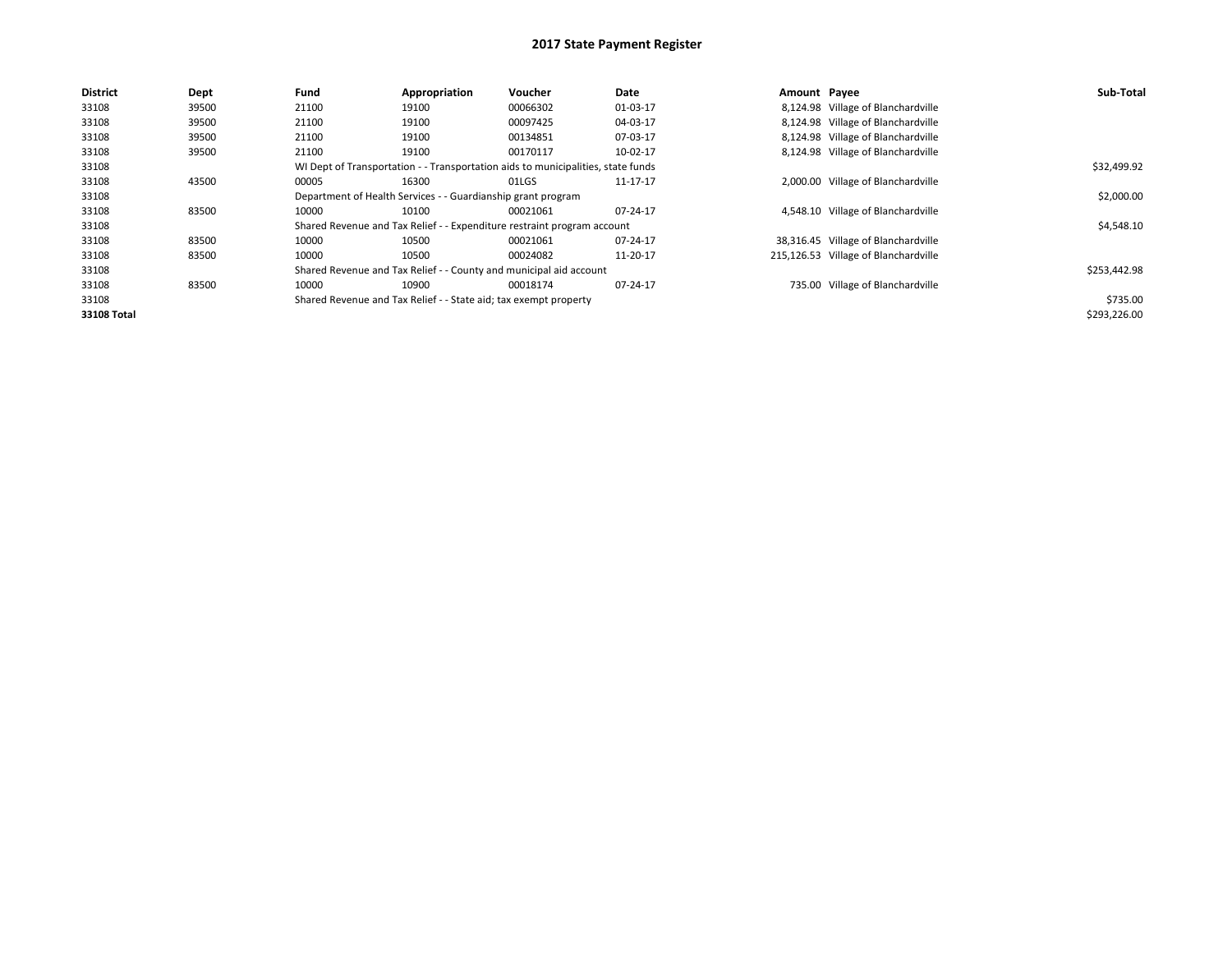| <b>District</b> | Dept  | Fund  | Appropriation                                                    | Voucher                                                                          | Date     | Amount Payee |                                      | Sub-Total    |
|-----------------|-------|-------|------------------------------------------------------------------|----------------------------------------------------------------------------------|----------|--------------|--------------------------------------|--------------|
| 33108           | 39500 | 21100 | 19100                                                            | 00066302                                                                         | 01-03-17 |              | 8,124.98 Village of Blanchardville   |              |
| 33108           | 39500 | 21100 | 19100                                                            | 00097425                                                                         | 04-03-17 |              | 8,124.98 Village of Blanchardville   |              |
| 33108           | 39500 | 21100 | 19100                                                            | 00134851                                                                         | 07-03-17 |              | 8,124.98 Village of Blanchardville   |              |
| 33108           | 39500 | 21100 | 19100                                                            | 00170117                                                                         | 10-02-17 |              | 8,124.98 Village of Blanchardville   |              |
| 33108           |       |       |                                                                  | WI Dept of Transportation - - Transportation aids to municipalities, state funds |          |              |                                      | \$32,499.92  |
| 33108           | 43500 | 00005 | 16300                                                            | 01LGS                                                                            | 11-17-17 |              | 2,000.00 Village of Blanchardville   |              |
| 33108           |       |       | Department of Health Services - - Guardianship grant program     |                                                                                  |          |              |                                      | \$2,000.00   |
| 33108           | 83500 | 10000 | 10100                                                            | 00021061                                                                         | 07-24-17 |              | 4,548.10 Village of Blanchardville   |              |
| 33108           |       |       |                                                                  | Shared Revenue and Tax Relief - - Expenditure restraint program account          |          |              |                                      | \$4,548.10   |
| 33108           | 83500 | 10000 | 10500                                                            | 00021061                                                                         | 07-24-17 |              | 38,316.45 Village of Blanchardville  |              |
| 33108           | 83500 | 10000 | 10500                                                            | 00024082                                                                         | 11-20-17 |              | 215,126.53 Village of Blanchardville |              |
| 33108           |       |       |                                                                  | Shared Revenue and Tax Relief - - County and municipal aid account               |          |              |                                      | \$253,442.98 |
| 33108           | 83500 | 10000 | 10900                                                            | 00018174                                                                         | 07-24-17 |              | 735.00 Village of Blanchardville     |              |
| 33108           |       |       | Shared Revenue and Tax Relief - - State aid; tax exempt property |                                                                                  |          |              |                                      | \$735.00     |
| 33108 Total     |       |       |                                                                  |                                                                                  |          |              |                                      | \$293,226.00 |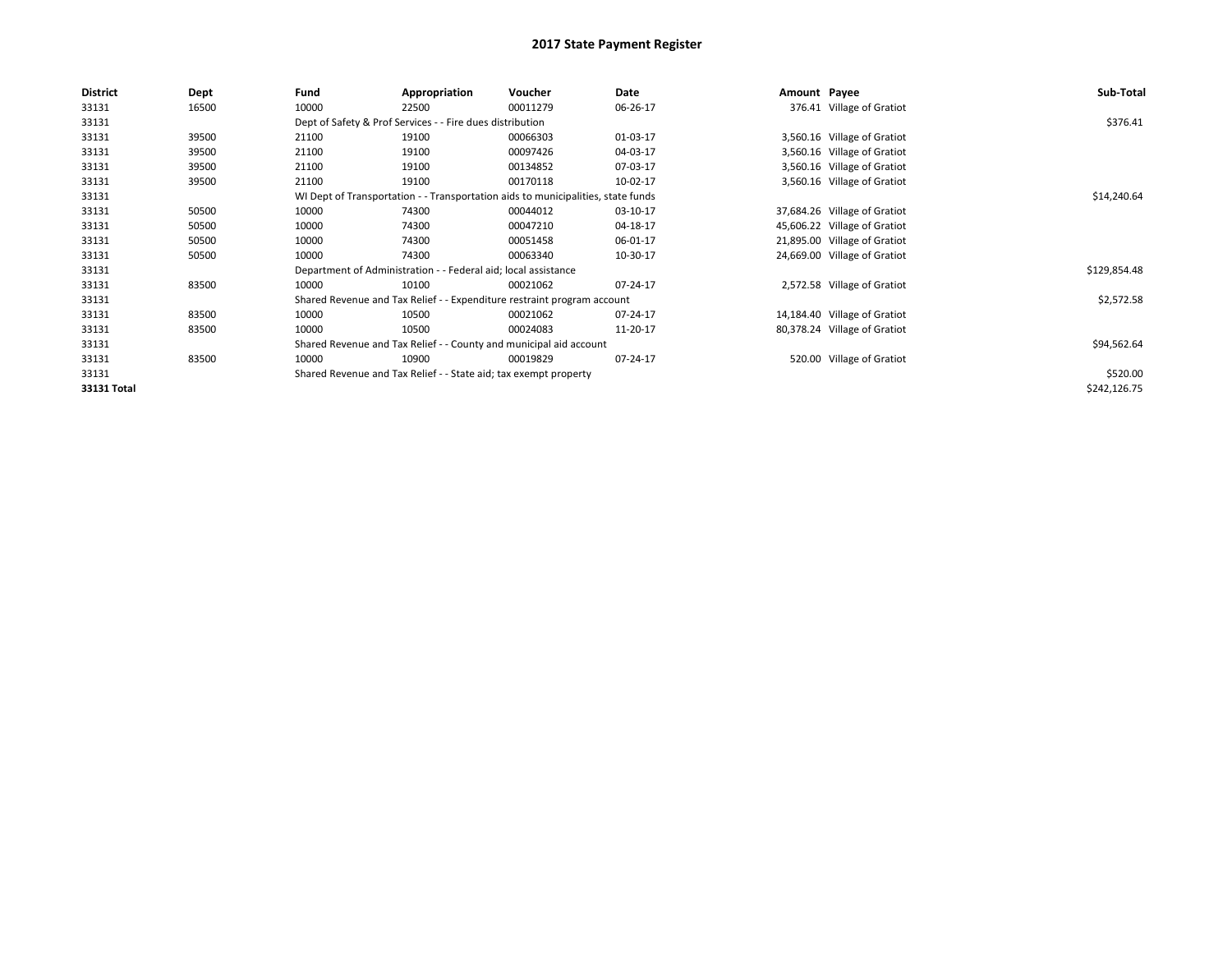| <b>District</b> | Dept  | Fund  | Appropriation                                                                    | Voucher  | Date     | Amount Payee |                              | Sub-Total    |  |  |  |
|-----------------|-------|-------|----------------------------------------------------------------------------------|----------|----------|--------------|------------------------------|--------------|--|--|--|
| 33131           | 16500 | 10000 | 22500                                                                            | 00011279 | 06-26-17 |              | 376.41 Village of Gratiot    |              |  |  |  |
| 33131           |       |       | Dept of Safety & Prof Services - - Fire dues distribution                        |          |          |              |                              |              |  |  |  |
| 33131           | 39500 | 21100 | 19100                                                                            | 00066303 | 01-03-17 |              | 3,560.16 Village of Gratiot  |              |  |  |  |
| 33131           | 39500 | 21100 | 19100                                                                            | 00097426 | 04-03-17 |              | 3,560.16 Village of Gratiot  |              |  |  |  |
| 33131           | 39500 | 21100 | 19100                                                                            | 00134852 | 07-03-17 |              | 3,560.16 Village of Gratiot  |              |  |  |  |
| 33131           | 39500 | 21100 | 19100                                                                            | 00170118 | 10-02-17 |              | 3,560.16 Village of Gratiot  |              |  |  |  |
| 33131           |       |       | WI Dept of Transportation - - Transportation aids to municipalities, state funds |          |          |              |                              | \$14,240.64  |  |  |  |
| 33131           | 50500 | 10000 | 74300                                                                            | 00044012 | 03-10-17 |              | 37,684.26 Village of Gratiot |              |  |  |  |
| 33131           | 50500 | 10000 | 74300                                                                            | 00047210 | 04-18-17 |              | 45,606.22 Village of Gratiot |              |  |  |  |
| 33131           | 50500 | 10000 | 74300                                                                            | 00051458 | 06-01-17 |              | 21,895.00 Village of Gratiot |              |  |  |  |
| 33131           | 50500 | 10000 | 74300                                                                            | 00063340 | 10-30-17 |              | 24,669.00 Village of Gratiot |              |  |  |  |
| 33131           |       |       | Department of Administration - - Federal aid; local assistance                   |          |          |              |                              | \$129,854.48 |  |  |  |
| 33131           | 83500 | 10000 | 10100                                                                            | 00021062 | 07-24-17 |              | 2,572.58 Village of Gratiot  |              |  |  |  |
| 33131           |       |       | Shared Revenue and Tax Relief - - Expenditure restraint program account          |          |          |              |                              | \$2,572.58   |  |  |  |
| 33131           | 83500 | 10000 | 10500                                                                            | 00021062 | 07-24-17 |              | 14,184.40 Village of Gratiot |              |  |  |  |
| 33131           | 83500 | 10000 | 10500                                                                            | 00024083 | 11-20-17 |              | 80,378.24 Village of Gratiot |              |  |  |  |
| 33131           |       |       | Shared Revenue and Tax Relief - - County and municipal aid account               |          |          |              |                              |              |  |  |  |
| 33131           | 83500 | 10000 | 10900                                                                            | 00019829 | 07-24-17 |              | 520.00 Village of Gratiot    |              |  |  |  |
| 33131           |       |       | Shared Revenue and Tax Relief - - State aid; tax exempt property                 |          |          |              |                              | \$520.00     |  |  |  |
| 33131 Total     |       |       |                                                                                  |          |          |              |                              | \$242,126.75 |  |  |  |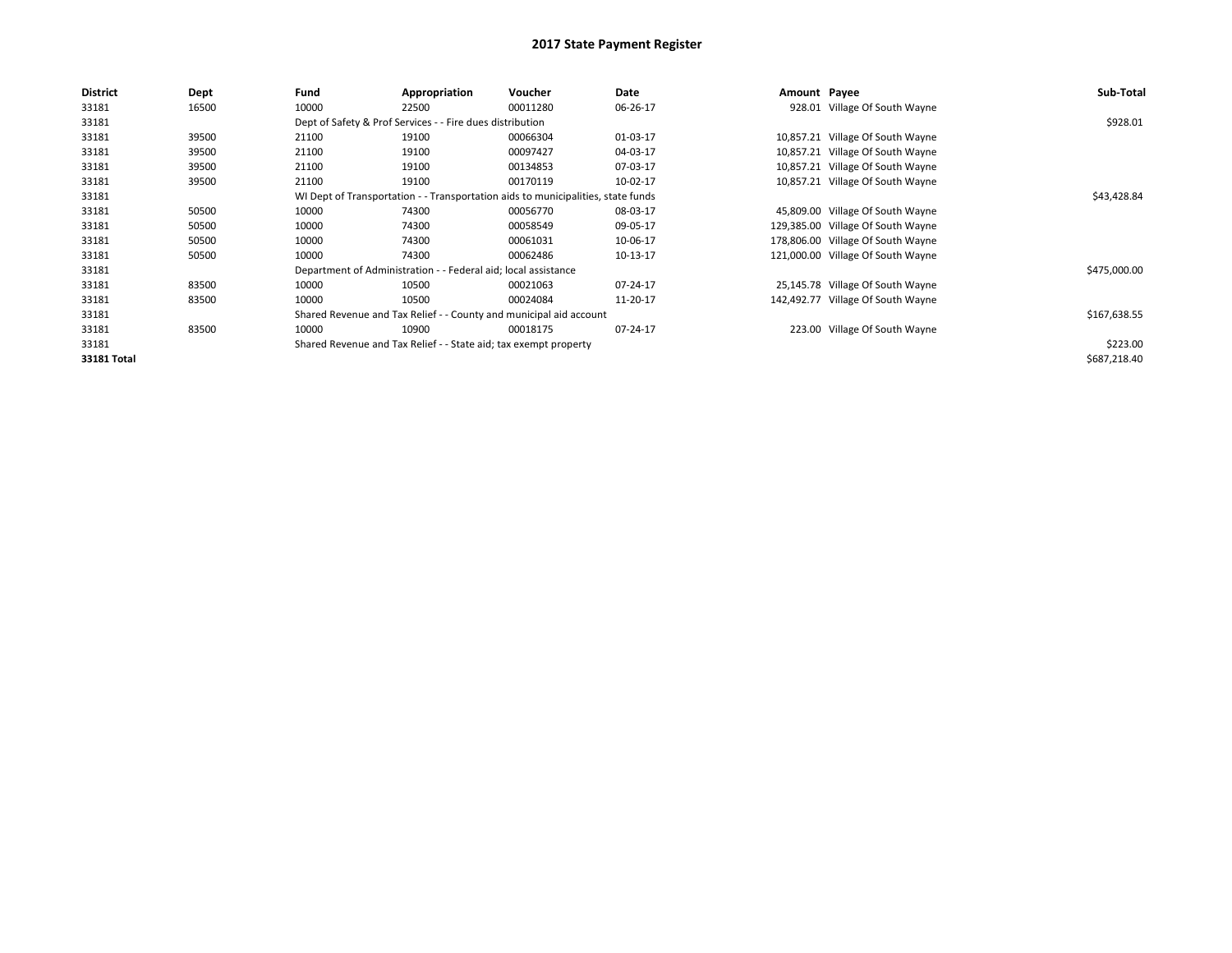| <b>District</b> | <b>Dept</b> | Fund  | Appropriation                                                                    | Voucher  | Date     | Amount Payee |                                   | Sub-Total    |  |  |  |
|-----------------|-------------|-------|----------------------------------------------------------------------------------|----------|----------|--------------|-----------------------------------|--------------|--|--|--|
| 33181           | 16500       | 10000 | 22500                                                                            | 00011280 | 06-26-17 |              | 928.01 Village Of South Wayne     |              |  |  |  |
| 33181           |             |       | Dept of Safety & Prof Services - - Fire dues distribution                        |          |          |              |                                   | \$928.01     |  |  |  |
| 33181           | 39500       | 21100 | 19100                                                                            | 00066304 | 01-03-17 |              | 10,857.21 Village Of South Wayne  |              |  |  |  |
| 33181           | 39500       | 21100 | 19100                                                                            | 00097427 | 04-03-17 |              | 10,857.21 Village Of South Wayne  |              |  |  |  |
| 33181           | 39500       | 21100 | 19100                                                                            | 00134853 | 07-03-17 |              | 10,857.21 Village Of South Wayne  |              |  |  |  |
| 33181           | 39500       | 21100 | 19100                                                                            | 00170119 | 10-02-17 |              | 10,857.21 Village Of South Wayne  |              |  |  |  |
| 33181           |             |       | WI Dept of Transportation - - Transportation aids to municipalities, state funds |          |          |              |                                   | \$43,428.84  |  |  |  |
| 33181           | 50500       | 10000 | 74300                                                                            | 00056770 | 08-03-17 |              | 45,809.00 Village Of South Wayne  |              |  |  |  |
| 33181           | 50500       | 10000 | 74300                                                                            | 00058549 | 09-05-17 |              | 129,385.00 Village Of South Wayne |              |  |  |  |
| 33181           | 50500       | 10000 | 74300                                                                            | 00061031 | 10-06-17 |              | 178,806.00 Village Of South Wayne |              |  |  |  |
| 33181           | 50500       | 10000 | 74300                                                                            | 00062486 | 10-13-17 |              | 121,000.00 Village Of South Wayne |              |  |  |  |
| 33181           |             |       | Department of Administration - - Federal aid; local assistance                   |          |          |              |                                   | \$475,000.00 |  |  |  |
| 33181           | 83500       | 10000 | 10500                                                                            | 00021063 | 07-24-17 |              | 25,145.78 Village Of South Wayne  |              |  |  |  |
| 33181           | 83500       | 10000 | 10500                                                                            | 00024084 | 11-20-17 |              | 142,492.77 Village Of South Wayne |              |  |  |  |
| 33181           |             |       | Shared Revenue and Tax Relief - - County and municipal aid account               |          |          |              |                                   |              |  |  |  |
| 33181           | 83500       | 10000 | 10900                                                                            | 00018175 | 07-24-17 |              | 223.00 Village Of South Wayne     |              |  |  |  |
| 33181           |             |       | Shared Revenue and Tax Relief - - State aid; tax exempt property                 |          |          |              |                                   | \$223.00     |  |  |  |
| 33181 Total     |             |       |                                                                                  |          |          |              |                                   | \$687,218.40 |  |  |  |
|                 |             |       |                                                                                  |          |          |              |                                   |              |  |  |  |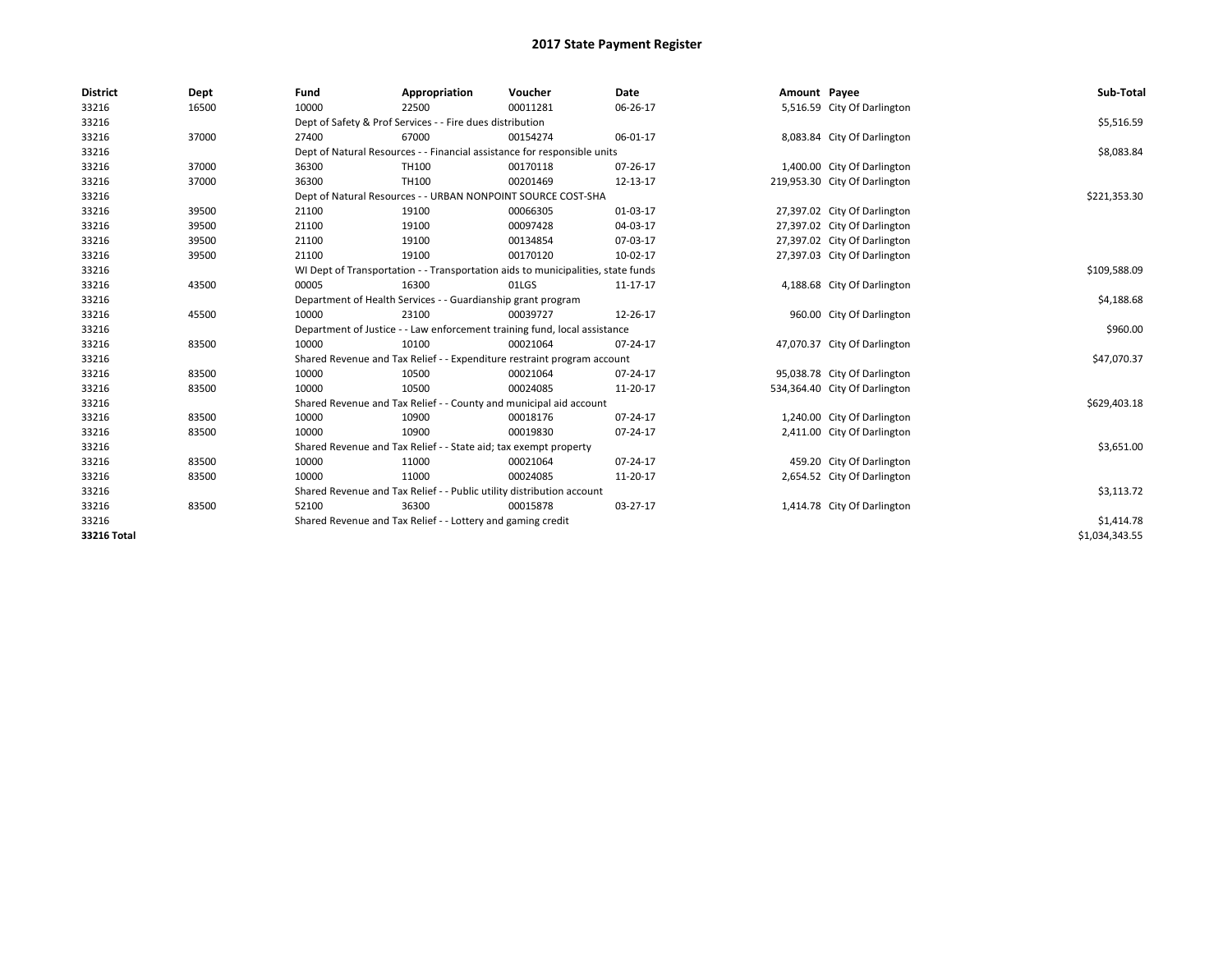| <b>District</b> | Dept  | Fund                                                      | Appropriation                                                                    | Voucher    | Date     | Amount Payee |                               | Sub-Total      |
|-----------------|-------|-----------------------------------------------------------|----------------------------------------------------------------------------------|------------|----------|--------------|-------------------------------|----------------|
| 33216           | 16500 | 10000                                                     | 22500                                                                            | 00011281   | 06-26-17 |              | 5,516.59 City Of Darlington   |                |
| 33216           |       | Dept of Safety & Prof Services - - Fire dues distribution |                                                                                  | \$5,516.59 |          |              |                               |                |
| 33216           | 37000 | 27400                                                     | 67000                                                                            | 00154274   | 06-01-17 |              | 8,083.84 City Of Darlington   |                |
| 33216           |       |                                                           | Dept of Natural Resources - - Financial assistance for responsible units         |            |          |              |                               | \$8,083.84     |
| 33216           | 37000 | 36300                                                     | TH100                                                                            | 00170118   | 07-26-17 |              | 1,400.00 City Of Darlington   |                |
| 33216           | 37000 | 36300                                                     | TH100                                                                            | 00201469   | 12-13-17 |              | 219,953.30 City Of Darlington |                |
| 33216           |       |                                                           | Dept of Natural Resources - - URBAN NONPOINT SOURCE COST-SHA                     |            |          |              |                               | \$221,353.30   |
| 33216           | 39500 | 21100                                                     | 19100                                                                            | 00066305   | 01-03-17 |              | 27,397.02 City Of Darlington  |                |
| 33216           | 39500 | 21100                                                     | 19100                                                                            | 00097428   | 04-03-17 |              | 27,397.02 City Of Darlington  |                |
| 33216           | 39500 | 21100                                                     | 19100                                                                            | 00134854   | 07-03-17 |              | 27,397.02 City Of Darlington  |                |
| 33216           | 39500 | 21100                                                     | 19100                                                                            | 00170120   | 10-02-17 |              | 27,397.03 City Of Darlington  |                |
| 33216           |       |                                                           | WI Dept of Transportation - - Transportation aids to municipalities, state funds |            |          |              |                               | \$109,588.09   |
| 33216           | 43500 | 00005                                                     | 16300                                                                            | 01LGS      | 11-17-17 |              | 4,188.68 City Of Darlington   |                |
| 33216           |       |                                                           | Department of Health Services - - Guardianship grant program                     |            |          |              |                               | \$4,188.68     |
| 33216           | 45500 | 10000                                                     | 23100                                                                            | 00039727   | 12-26-17 |              | 960.00 City Of Darlington     |                |
| 33216           |       |                                                           | Department of Justice - - Law enforcement training fund, local assistance        |            |          |              |                               | \$960.00       |
| 33216           | 83500 | 10000                                                     | 10100                                                                            | 00021064   | 07-24-17 |              | 47,070.37 City Of Darlington  |                |
| 33216           |       |                                                           | Shared Revenue and Tax Relief - - Expenditure restraint program account          |            |          |              |                               | \$47,070.37    |
| 33216           | 83500 | 10000                                                     | 10500                                                                            | 00021064   | 07-24-17 |              | 95,038.78 City Of Darlington  |                |
| 33216           | 83500 | 10000                                                     | 10500                                                                            | 00024085   | 11-20-17 |              | 534,364.40 City Of Darlington |                |
| 33216           |       |                                                           | Shared Revenue and Tax Relief - - County and municipal aid account               |            |          |              |                               | \$629,403.18   |
| 33216           | 83500 | 10000                                                     | 10900                                                                            | 00018176   | 07-24-17 |              | 1,240.00 City Of Darlington   |                |
| 33216           | 83500 | 10000                                                     | 10900                                                                            | 00019830   | 07-24-17 |              | 2,411.00 City Of Darlington   |                |
| 33216           |       |                                                           | Shared Revenue and Tax Relief - - State aid; tax exempt property                 |            |          |              |                               | \$3,651.00     |
| 33216           | 83500 | 10000                                                     | 11000                                                                            | 00021064   | 07-24-17 |              | 459.20 City Of Darlington     |                |
| 33216           | 83500 | 10000                                                     | 11000                                                                            | 00024085   | 11-20-17 |              | 2,654.52 City Of Darlington   |                |
| 33216           |       |                                                           | Shared Revenue and Tax Relief - - Public utility distribution account            |            |          |              |                               | \$3,113.72     |
| 33216           | 83500 | 52100                                                     | 36300                                                                            | 00015878   | 03-27-17 |              | 1,414.78 City Of Darlington   |                |
| 33216           |       |                                                           | Shared Revenue and Tax Relief - - Lottery and gaming credit                      |            |          |              |                               | \$1,414.78     |
| 33216 Total     |       |                                                           |                                                                                  |            |          |              |                               | \$1,034,343.55 |